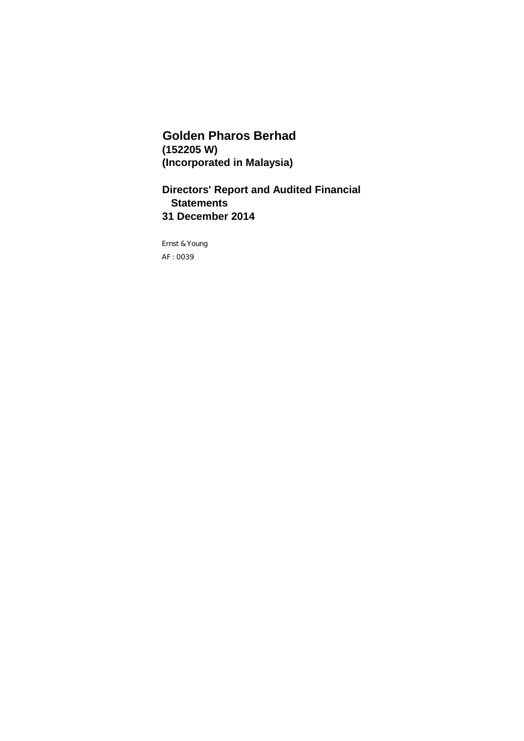**(152205 W) Golden Pharos Berhad (Incorporated in Malaysia)**

 **Statements 31 December 2014 Directors' Report and Audited Financial**

Ernst & Young AF : 0039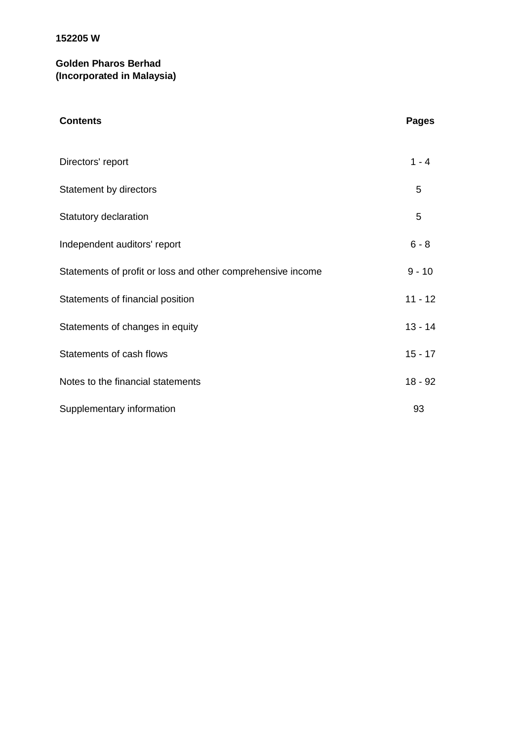## **Golden Pharos Berhad (Incorporated in Malaysia)**

| <b>Contents</b>                                             | <b>Pages</b> |
|-------------------------------------------------------------|--------------|
| Directors' report                                           | $1 - 4$      |
| Statement by directors                                      | 5            |
| Statutory declaration                                       | 5            |
| Independent auditors' report                                | $6 - 8$      |
| Statements of profit or loss and other comprehensive income | $9 - 10$     |
| Statements of financial position                            | $11 - 12$    |
| Statements of changes in equity                             | $13 - 14$    |
| Statements of cash flows                                    | $15 - 17$    |
| Notes to the financial statements                           | $18 - 92$    |
| Supplementary information                                   | 93           |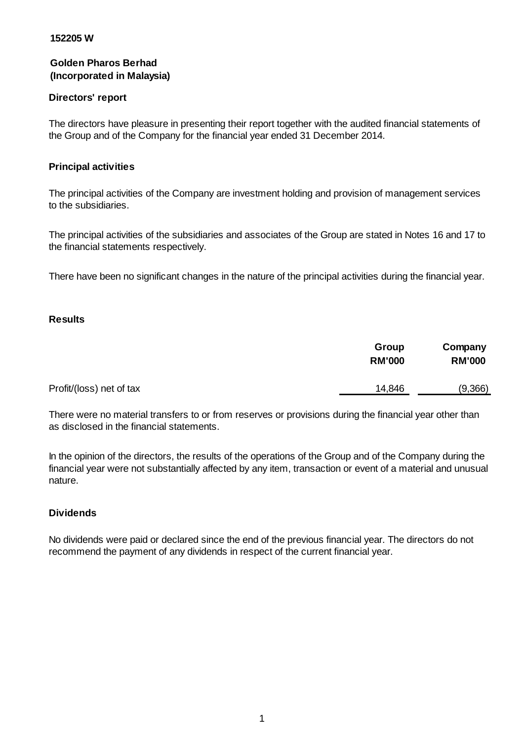### **Golden Pharos Berhad (Incorporated in Malaysia)**

#### **Directors' report**

The directors have pleasure in presenting their report together with the audited financial statements of the Group and of the Company for the financial year ended 31 December 2014.

## **Principal activities**

The principal activities of the Company are investment holding and provision of management services to the subsidiaries.

The principal activities of the subsidiaries and associates of the Group are stated in Notes 16 and 17 to the financial statements respectively.

There have been no significant changes in the nature of the principal activities during the financial year.

## **Results**

|                          | Group         | Company       |
|--------------------------|---------------|---------------|
|                          | <b>RM'000</b> | <b>RM'000</b> |
| Profit/(loss) net of tax | 14,846        | (9,366)       |

There were no material transfers to or from reserves or provisions during the financial year other than as disclosed in the financial statements.

In the opinion of the directors, the results of the operations of the Group and of the Company during the financial year were not substantially affected by any item, transaction or event of a material and unusual nature.

#### **Dividends**

No dividends were paid or declared since the end of the previous financial year. The directors do not recommend the payment of any dividends in respect of the current financial year.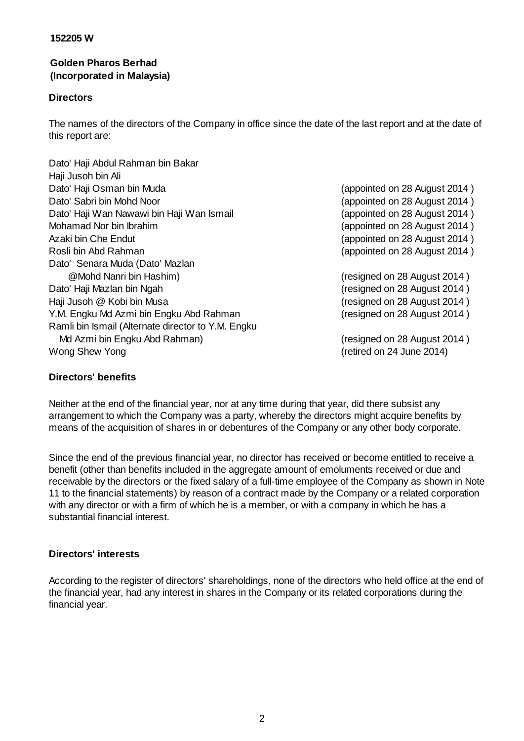## **Directors**

The names of the directors of the Company in office since the date of the last report and at the date of this report are:

Dato' Haji Abdul Rahman bin Bakar Haji Jusoh bin Ali Dato' Haji Osman bin Muda<br>
2014 ) Dato' Sabri bin Mohd Noor (appointed on 28 August 2014 ) Dato' Haji Wan Nawawi bin Haji Wan Ismail (appointed on 28 August 2014) Mohamad Nor bin Ibrahim **Mohamad Nor bin Ibrahim** (appointed on 28 August 2014 ) Azaki bin Che Endut (appointed on 28 August 2014) Rosli bin Abd Rahman (appointed on 28 August 2014) Dato' Senara Muda (Dato' Mazlan @Mohd Nanri bin Hashim) (resigned on 28 August 2014 ) Dato' Haji Mazlan bin Ngah (resigned on 28 August 2014 ) Haji Jusoh @ Kobi bin Musa (resigned on 28 August 2014 ) Y.M. Engku Md Azmi bin Engku Abd Rahman (resigned on 28 August 2014 ) Ramli bin Ismail (Alternate director to Y.M. Engku Md Azmi bin Engku Abd Rahman) (resigned on 28 August 2014) Wong Shew Yong (retired on 24 June 2014)

## **Directors' benefits**

Neither at the end of the financial year, nor at any time during that year, did there subsist any arrangement to which the Company was a party, whereby the directors might acquire benefits by means of the acquisition of shares in or debentures of the Company or any other body corporate.

Since the end of the previous financial year, no director has received or become entitled to receive a benefit (other than benefits included in the aggregate amount of emoluments received or due and receivable by the directors or the fixed salary of a full-time employee of the Company as shown in Note 11 to the financial statements) by reason of a contract made by the Company or a related corporation with any director or with a firm of which he is a member, or with a company in which he has a substantial financial interest.

## **Directors' interests**

According to the register of directors' shareholdings, none of the directors who held office at the end of the financial year, had any interest in shares in the Company or its related corporations during the financial year.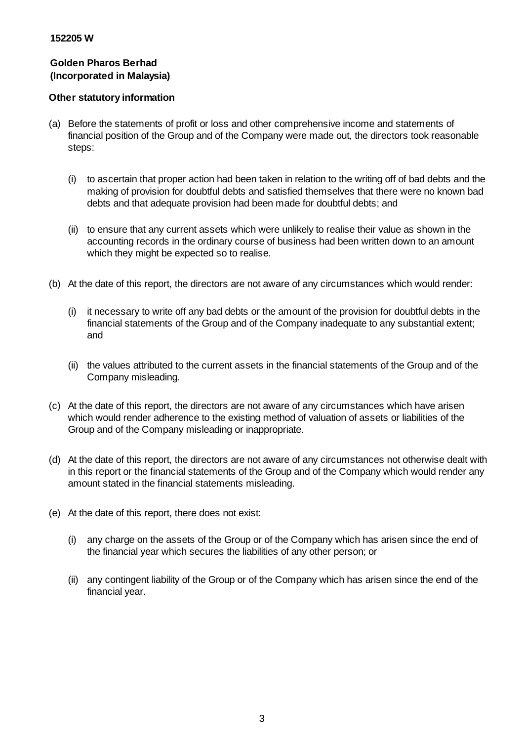## **Other statutory information**

- (a) Before the statements of profit or loss and other comprehensive income and statements of financial position of the Group and of the Company were made out, the directors took reasonable steps:
	- (i) to ascertain that proper action had been taken in relation to the writing off of bad debts and the making of provision for doubtful debts and satisfied themselves that there were no known bad debts and that adequate provision had been made for doubtful debts; and
	- (ii) to ensure that any current assets which were unlikely to realise their value as shown in the accounting records in the ordinary course of business had been written down to an amount which they might be expected so to realise.
- (b) At the date of this report, the directors are not aware of any circumstances which would render:
	- (i) it necessary to write off any bad debts or the amount of the provision for doubtful debts in the financial statements of the Group and of the Company inadequate to any substantial extent; and
	- (ii) the values attributed to the current assets in the financial statements of the Group and of the Company misleading.
- (c) At the date of this report, the directors are not aware of any circumstances which have arisen which would render adherence to the existing method of valuation of assets or liabilities of the Group and of the Company misleading or inappropriate.
- (d) At the date of this report, the directors are not aware of any circumstances not otherwise dealt with in this report or the financial statements of the Group and of the Company which would render any amount stated in the financial statements misleading.
- (e) At the date of this report, there does not exist:
	- (i) any charge on the assets of the Group or of the Company which has arisen since the end of the financial year which secures the liabilities of any other person; or
	- (ii) any contingent liability of the Group or of the Company which has arisen since the end of the financial year.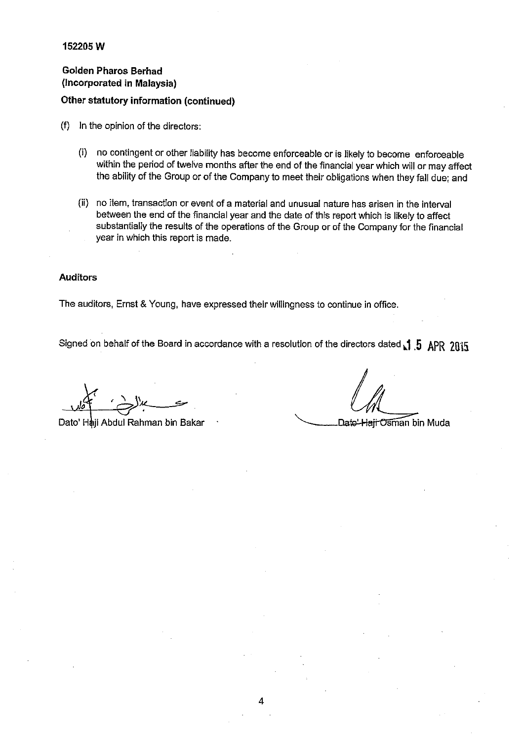#### **Golden Pharos Berhad** (Incorporated in Malaysia)

## Other statutory information (continued)

- In the opinion of the directors:  $(f)$ 
	- (i) no contingent or other liability has become enforceable or is likely to become enforceable within the period of twelve months after the end of the financial year which will or may affect the ability of the Group or of the Company to meet their obligations when they fall due; and
	- (ii) no item, transaction or event of a material and unusual nature has arisen in the interval between the end of the financial year and the date of this report which is likely to affect substantially the results of the operations of the Group or of the Company for the financial year in which this report is made.

#### **Auditors**

The auditors, Ernst & Young, have expressed their willingness to continue in office.

Signed on behalf of the Board in accordance with a resolution of the directors dated  $\sqrt{1.5}$  APR 2015

4

Dato' Haji Abdul Rahman bin Bakar

.Date<del>' Haji Osm</del>an bin Muda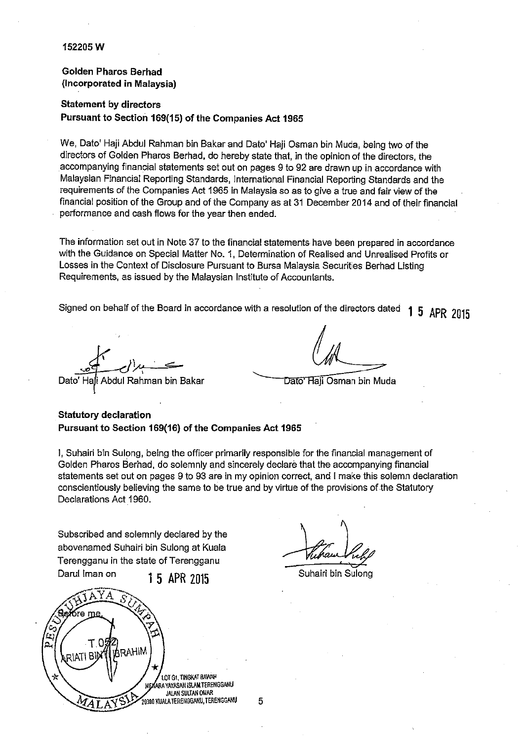#### **Golden Pharos Berhad** (Incorporated in Malaysia)

## **Statement by directors** Pursuant to Section 169(15) of the Companies Act 1965

We, Dato' Haji Abdul Rahman bin Bakar and Dato' Haji Osman bin Muda, being two of the directors of Golden Pharos Berhad, do hereby state that, in the opinion of the directors, the accompanying financial statements set out on pages 9 to 92 are drawn up in accordance with Malaysian Financial Reporting Standards, International Financial Reporting Standards and the requirements of the Companies Act 1965 in Malaysia so as to give a true and fair view of the financial position of the Group and of the Company as at 31 December 2014 and of their financial performance and cash flows for the year then ended.

The information set out in Note 37 to the financial statements have been prepared in accordance with the Guidance on Special Matter No. 1, Determination of Realised and Unrealised Profits or Losses in the Context of Disclosure Pursuant to Bursa Malaysia Securities Berhad Listing Requirements, as issued by the Malaysian Institute of Accountants.

Signed on behalf of the Board in accordance with a resolution of the directors dated  $\overline{1}$  5 APR 2015

Dato' Hali Abdul Rahman bin Bakar

Dato Haji Osman bin Muda

#### **Statutory declaration** Pursuant to Section 169(16) of the Companies Act 1965

I, Suhairi bin Sulong, being the officer primarily responsible for the financial management of Golden Pharos Berhad, do solemnly and sincerely declare that the accompanying financial statements set out on pages 9 to 93 are in my opinion correct, and I make this solemn declaration conscientiously believing the same to be true and by virtue of the provisions of the Statutory Declarations Act 1960.

Subscribed and solemnly declared by the abovenamed Suhairi bin Sulong at Kuala Terengganu in the state of Terengganu Darul Iman on

Suhairi bin Sulong

15 APR 2015 76re me  $\tilde{\boldsymbol{\zeta}}$ ĽΣ RAHIM LOT G1, TINGKAT BAWAH ARA YAYASAN ISLAM TERENGGANU **JALAN SULTAN OMAR** 20300 KUALA TERENGGANU, TERENGGANU

5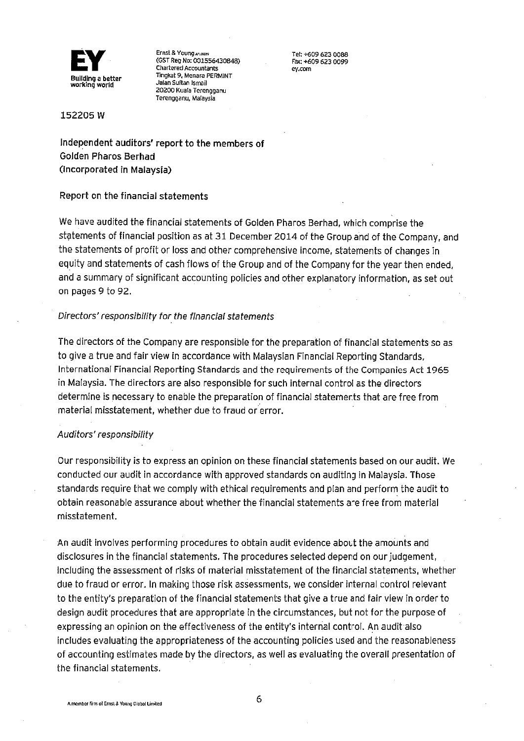

Ernst & Young Aricore (GST Reg No: 001556430848) **Chartered Accountants** Tingkat 9. Menara PERMINT Jalan Sultan Ismail 20200 Kuala Terengganu Terengganu, Malaysia

Tel: +609 623 0088 Fax: +609 623 0099 ev.com

#### 152205 W

Independent auditors' report to the members of **Golden Pharos Berhad** (Incorporated in Malaysia)

#### Report on the financial statements

We have audited the financial statements of Golden Pharos Berhad, which comprise the statements of financial position as at 31 December 2014 of the Group and of the Company, and the statements of profit or loss and other comprehensive income, statements of changes in equity and statements of cash flows of the Group and of the Company for the year then ended, and a summary of significant accounting policies and other explanatory information, as set out on pages 9 to 92.

#### Directors' responsibility for the financial statements

The directors of the Company are responsible for the preparation of financial statements so as to give a true and fair view in accordance with Malaysian Financial Reporting Standards, International Financial Reporting Standards and the requirements of the Companies Act 1965 in Malaysia. The directors are also responsible for such internal control as the directors determine is necessary to enable the preparation of financial statements that are free from material misstatement, whether due to fraud or error.

#### Auditors' responsibility

Our responsibility is to express an opinion on these financial statements based on our audit. We conducted our audit in accordance with approved standards on auditing in Malaysia. Those standards require that we comply with ethical requirements and plan and perform the audit to obtain reasonable assurance about whether the financial statements are free from material misstatement.

An audit involves performing procedures to obtain audit evidence about the amounts and disclosures in the financial statements. The procedures selected depend on our judgement, including the assessment of risks of material misstatement of the financial statements, whether due to fraud or error. In making those risk assessments, we consider internal control relevant to the entity's preparation of the financial statements that give a true and fair view in order to design audit procedures that are appropriate in the circumstances, but not for the purpose of expressing an opinion on the effectiveness of the entity's internal control. An audit also includes evaluating the appropriateness of the accounting policies used and the reasonableness of accounting estimates made by the directors, as well as evaluating the overall presentation of the financial statements.

6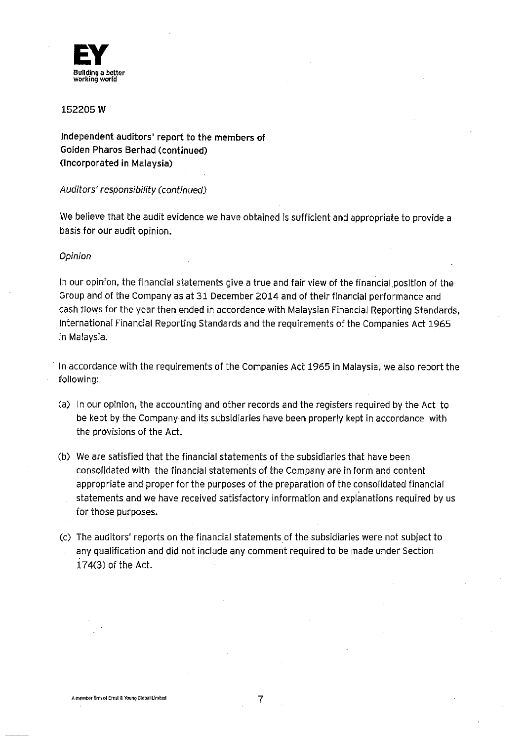

Independent auditors' report to the members of Golden Pharos Berhad (continued) (Incorporated in Malaysia)

#### Auditors' responsibility (continued)

We believe that the audit evidence we have obtained is sufficient and appropriate to provide a basis for our audit opinion.

#### Opinion

In our opinion, the financial statements give a true and fair view of the financial position of the Group and of the Company as at 31 December 2014 and of their financial performance and cash flows for the year then ended in accordance with Malaysian Financial Reporting Standards. International Financial Reporting Standards and the requirements of the Companies Act 1965 in Malaysia.

In accordance with the requirements of the Companies Act 1965 in Malaysia, we also report the following:

- (a) In our opinion, the accounting and other records and the registers required by the Act to be kept by the Company and its subsidiaries have been properly kept in accordance with the provisions of the Act.
- (b) We are satisfied that the financial statements of the subsidiaries that have been consolidated with the financial statements of the Company are in form and content appropriate and proper for the purposes of the preparation of the consolidated financial statements and we have received satisfactory information and explanations required by us for those purposes.
- (c) The auditors' reports on the financial statements of the subsidiaries were not subject to any qualification and did not include any comment required to be made under Section 174(3) of the Act.

7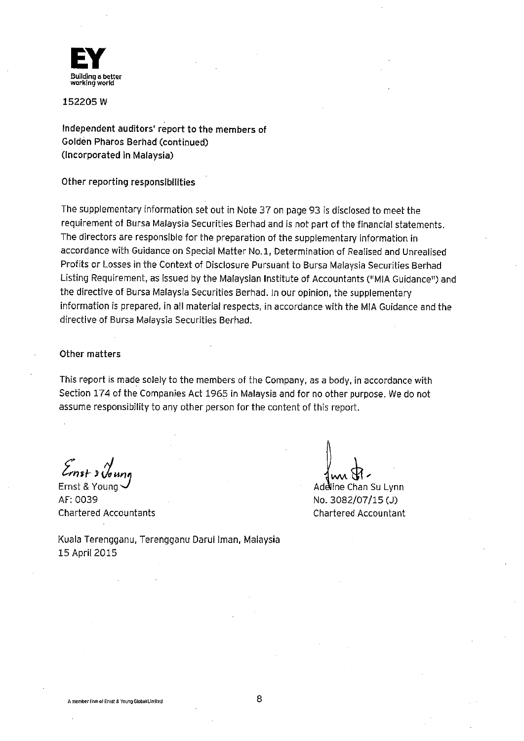

Independent auditors' report to the members of **Golden Pharos Berhad (continued)** (Incorporated in Malaysia)

Other reporting responsibilities

The supplementary information set out in Note 37 on page 93 is disclosed to meet the requirement of Bursa Malaysia Securities Berhad and is not part of the financial statements. The directors are responsible for the preparation of the supplementary information in accordance with Guidance on Special Matter No.1, Determination of Realised and Unrealised Profits or Losses in the Context of Disclosure Pursuant to Bursa Malaysia Securities Berhad Listing Requirement, as issued by the Malaysian Institute of Accountants ("MIA Guidance") and the directive of Bursa Malaysia Securities Berhad. In our opinion, the supplementary information is prepared, in all material respects, in accordance with the MIA Guidance and the directive of Bursa Malaysia Securities Berhad.

#### **Other matters**

This report is made solely to the members of the Company, as a body, in accordance with Section 174 of the Companies Act 1965 in Malaysia and for no other purpose. We do not assume responsibility to any other person for the content of this report.

Ernst & Voung

Ernst & Young AF: 0039 **Chartered Accountants** 

Adeline Chan Su Lynn No. 3082/07/15(J) **Chartered Accountant** 

Kuala Terengganu, Terengganu Darul Iman, Malaysia 15 April 2015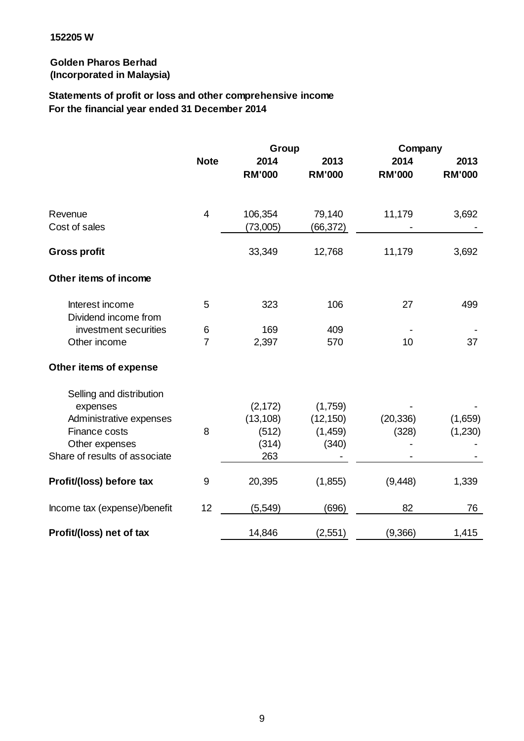# **Statements of profit or loss and other comprehensive income For the financial year ended 31 December 2014**

|                                                                                                                                     |                          | Group                                          |                                          | Company               |                       |  |
|-------------------------------------------------------------------------------------------------------------------------------------|--------------------------|------------------------------------------------|------------------------------------------|-----------------------|-----------------------|--|
|                                                                                                                                     | <b>Note</b>              | 2014<br><b>RM'000</b>                          | 2013<br><b>RM'000</b>                    | 2014<br><b>RM'000</b> | 2013<br><b>RM'000</b> |  |
| Revenue<br>Cost of sales                                                                                                            | $\overline{\mathcal{A}}$ | 106,354<br>(73,005)                            | 79,140<br>(66, 372)                      | 11,179                | 3,692                 |  |
| <b>Gross profit</b>                                                                                                                 |                          | 33,349                                         | 12,768                                   | 11,179                | 3,692                 |  |
| Other items of income                                                                                                               |                          |                                                |                                          |                       |                       |  |
| Interest income<br>Dividend income from                                                                                             | 5                        | 323                                            | 106                                      | 27                    | 499                   |  |
| investment securities<br>Other income                                                                                               | 6<br>$\overline{7}$      | 169<br>2,397                                   | 409<br>570                               | 10                    | 37                    |  |
| Other items of expense                                                                                                              |                          |                                                |                                          |                       |                       |  |
| Selling and distribution<br>expenses<br>Administrative expenses<br>Finance costs<br>Other expenses<br>Share of results of associate | 8                        | (2, 172)<br>(13, 108)<br>(512)<br>(314)<br>263 | (1,759)<br>(12, 150)<br>(1,459)<br>(340) | (20, 336)<br>(328)    | (1,659)<br>(1,230)    |  |
| Profit/(loss) before tax                                                                                                            | 9                        | 20,395                                         | (1,855)                                  | (9, 448)              | 1,339                 |  |
| Income tax (expense)/benefit                                                                                                        | 12                       | (5, 549)                                       | (696)                                    | 82                    | 76                    |  |
| Profit/(loss) net of tax                                                                                                            |                          | 14,846                                         | (2,551)                                  | (9,366)               | 1,415                 |  |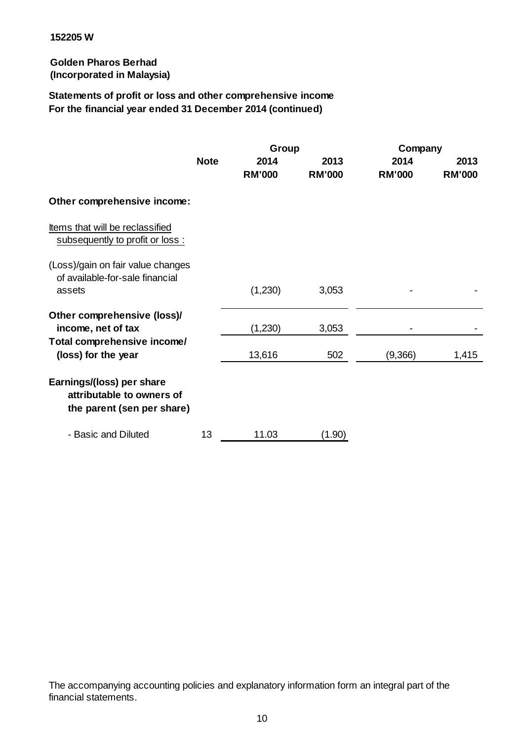## **Statements of profit or loss and other comprehensive income For the financial year ended 31 December 2014 (continued)**

|                                                                                      |             | Group                 |                       | Company               |                       |  |
|--------------------------------------------------------------------------------------|-------------|-----------------------|-----------------------|-----------------------|-----------------------|--|
|                                                                                      | <b>Note</b> | 2014<br><b>RM'000</b> | 2013<br><b>RM'000</b> | 2014<br><b>RM'000</b> | 2013<br><b>RM'000</b> |  |
| Other comprehensive income:                                                          |             |                       |                       |                       |                       |  |
| Items that will be reclassified<br>subsequently to profit or loss :                  |             |                       |                       |                       |                       |  |
| (Loss)/gain on fair value changes<br>of available-for-sale financial<br>assets       |             | (1,230)               | 3,053                 |                       |                       |  |
| Other comprehensive (loss)/<br>income, net of tax                                    |             | (1,230)               | 3,053                 |                       |                       |  |
| Total comprehensive income/<br>(loss) for the year                                   |             | 13,616                | 502                   | (9,366)               | 1,415                 |  |
| Earnings/(loss) per share<br>attributable to owners of<br>the parent (sen per share) |             |                       |                       |                       |                       |  |
| - Basic and Diluted                                                                  | 13          | 11.03                 | (1.90)                |                       |                       |  |

The accompanying accounting policies and explanatory information form an integral part of the financial statements.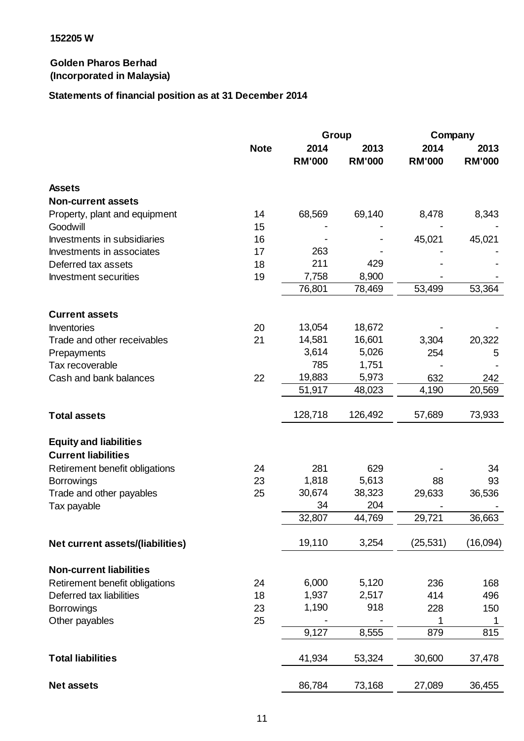# **Statements of financial position as at 31 December 2014**

|                                  |             | Group                 |                       | Company               |                       |  |
|----------------------------------|-------------|-----------------------|-----------------------|-----------------------|-----------------------|--|
|                                  | <b>Note</b> | 2014<br><b>RM'000</b> | 2013<br><b>RM'000</b> | 2014<br><b>RM'000</b> | 2013<br><b>RM'000</b> |  |
| <b>Assets</b>                    |             |                       |                       |                       |                       |  |
| <b>Non-current assets</b>        |             |                       |                       |                       |                       |  |
| Property, plant and equipment    | 14          | 68,569                | 69,140                | 8,478                 | 8,343                 |  |
| Goodwill                         | 15          |                       |                       |                       |                       |  |
| Investments in subsidiaries      | 16          |                       |                       | 45,021                | 45,021                |  |
| Investments in associates        | 17          | 263                   |                       |                       |                       |  |
| Deferred tax assets              | 18          | 211                   | 429                   |                       |                       |  |
| <b>Investment securities</b>     | 19          | 7,758                 | 8,900                 |                       |                       |  |
|                                  |             | 76,801                | 78,469                | 53,499                | 53,364                |  |
| <b>Current assets</b>            |             |                       |                       |                       |                       |  |
| <b>Inventories</b>               | 20          | 13,054                | 18,672                |                       |                       |  |
| Trade and other receivables      | 21          | 14,581                | 16,601                | 3,304                 | 20,322                |  |
| Prepayments                      |             | 3,614                 | 5,026                 | 254                   | 5                     |  |
| Tax recoverable                  |             | 785                   | 1,751                 |                       |                       |  |
| Cash and bank balances           | 22          | 19,883                | 5,973                 | 632                   | 242                   |  |
|                                  |             | 51,917                | 48,023                | 4,190                 | 20,569                |  |
| <b>Total assets</b>              |             | 128,718               | 126,492               | 57,689                | 73,933                |  |
| <b>Equity and liabilities</b>    |             |                       |                       |                       |                       |  |
| <b>Current liabilities</b>       |             |                       |                       |                       |                       |  |
| Retirement benefit obligations   | 24          | 281                   | 629                   |                       | 34                    |  |
| <b>Borrowings</b>                | 23          | 1,818                 | 5,613                 | 88                    | 93                    |  |
| Trade and other payables         | 25          | 30,674                | 38,323                | 29,633                | 36,536                |  |
| Tax payable                      |             | 34                    | 204                   |                       |                       |  |
|                                  |             | 32,807                | 44,769                | 29,721                | 36,663                |  |
| Net current assets/(liabilities) |             | 19,110                | 3,254                 | (25, 531)             | (16,094)              |  |
| <b>Non-current liabilities</b>   |             |                       |                       |                       |                       |  |
| Retirement benefit obligations   | 24          | 6,000                 | 5,120                 | 236                   | 168                   |  |
| Deferred tax liabilities         | 18          | 1,937                 | 2,517                 | 414                   | 496                   |  |
| <b>Borrowings</b>                | 23          | 1,190                 | 918                   | 228                   | 150                   |  |
| Other payables                   | 25          |                       |                       | 1                     | 1                     |  |
|                                  |             | 9,127                 | 8,555                 | 879                   | 815                   |  |
|                                  |             |                       |                       |                       |                       |  |
| <b>Total liabilities</b>         |             | 41,934                | 53,324                | 30,600                | 37,478                |  |
| <b>Net assets</b>                |             | 86,784                | 73,168                | 27,089                | 36,455                |  |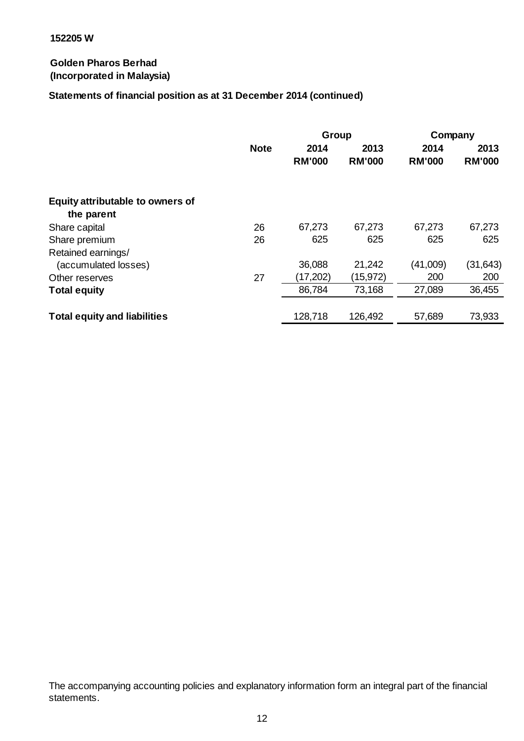## **Statements of financial position as at 31 December 2014 (continued)**

|                                                |             | Group                 |                       | Company               |                       |
|------------------------------------------------|-------------|-----------------------|-----------------------|-----------------------|-----------------------|
|                                                | <b>Note</b> | 2014<br><b>RM'000</b> | 2013<br><b>RM'000</b> | 2014<br><b>RM'000</b> | 2013<br><b>RM'000</b> |
| Equity attributable to owners of<br>the parent |             |                       |                       |                       |                       |
| Share capital                                  | 26          | 67,273                | 67,273                | 67,273                | 67,273                |
| Share premium                                  | 26          | 625                   | 625                   | 625                   | 625                   |
| Retained earnings/<br>(accumulated losses)     |             | 36,088                | 21,242                | (41,009)              | (31, 643)             |
| Other reserves                                 | 27          | (17,202)              | (15, 972)             | 200                   | 200                   |
| <b>Total equity</b>                            |             | 86,784                | 73,168                | 27,089                | 36,455                |
| <b>Total equity and liabilities</b>            |             | 128,718               | 126,492               | 57,689                | 73,933                |

The accompanying accounting policies and explanatory information form an integral part of the financial statements.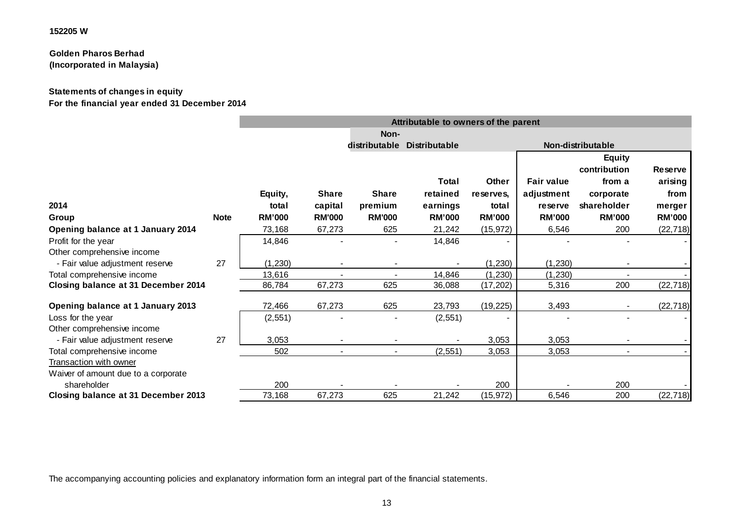#### **Golden Pharos Berhad (Incorporated in Malaysia)**

## **Statements of changes in equity**

**For the financial year ended 31 December 2014**

|                                     |             | Attributable to owners of the parent |                |                |                      |               |                   |                   |                |  |
|-------------------------------------|-------------|--------------------------------------|----------------|----------------|----------------------|---------------|-------------------|-------------------|----------------|--|
|                                     |             |                                      | Non-           |                |                      |               |                   |                   |                |  |
|                                     |             |                                      |                | distributable  | <b>Distributable</b> |               |                   | Non-distributable |                |  |
|                                     |             |                                      |                |                |                      |               |                   | <b>Equity</b>     |                |  |
|                                     |             |                                      |                |                |                      |               |                   | contribution      | <b>Reserve</b> |  |
|                                     |             |                                      |                |                | <b>Total</b>         | <b>Other</b>  | <b>Fair value</b> | from a            | arising        |  |
|                                     |             | Equity,                              | <b>Share</b>   | <b>Share</b>   | retained             | reserves,     | adjustment        | corporate         | from           |  |
| 2014                                |             | total                                | capital        | premium        | earnings             | total         | reserve           | shareholder       | merger         |  |
| Group                               | <b>Note</b> | <b>RM'000</b>                        | <b>RM'000</b>  | <b>RM'000</b>  | <b>RM'000</b>        | <b>RM'000</b> | <b>RM'000</b>     | <b>RM'000</b>     | <b>RM'000</b>  |  |
| Opening balance at 1 January 2014   |             | 73,168                               | 67,273         | 625            | 21,242               | (15, 972)     | 6,546             | 200               | (22, 718)      |  |
| Profit for the year                 |             | 14,846                               |                |                | 14,846               |               |                   |                   |                |  |
| Other comprehensive income          |             |                                      |                |                |                      |               |                   |                   |                |  |
| - Fair value adjustment reserve     | 27          | (1, 230)                             |                |                |                      | (1, 230)      | (1, 230)          |                   |                |  |
| Total comprehensive income          |             | 13,616                               |                |                | 14,846               | (1,230)       | (1,230)           |                   |                |  |
| Closing balance at 31 December 2014 |             | 86,784                               | 67,273         | 625            | 36,088               | (17, 202)     | 5,316             | 200               | (22, 718)      |  |
| Opening balance at 1 January 2013   |             | 72,466                               | 67,273         | 625            | 23,793               | (19, 225)     | 3,493             |                   | (22, 718)      |  |
| Loss for the year                   |             | (2, 551)                             |                |                | (2, 551)             |               |                   |                   |                |  |
| Other comprehensive income          |             |                                      |                |                |                      |               |                   |                   |                |  |
| - Fair value adjustment reserve     | 27          | 3,053                                |                |                |                      | 3,053         | 3,053             |                   |                |  |
| Total comprehensive income          |             | 502                                  | $\blacksquare$ | $\blacksquare$ | (2, 551)             | 3,053         | 3,053             |                   |                |  |
| Transaction with owner              |             |                                      |                |                |                      |               |                   |                   |                |  |
| Waiver of amount due to a corporate |             |                                      |                |                |                      |               |                   |                   |                |  |
| shareholder                         |             | 200                                  |                |                |                      | 200           |                   | 200               |                |  |
| Closing balance at 31 December 2013 |             | 73,168                               | 67,273         | 625            | 21,242               | (15, 972)     | 6,546             | 200               | (22, 718)      |  |

The accompanying accounting policies and explanatory information form an integral part of the financial statements.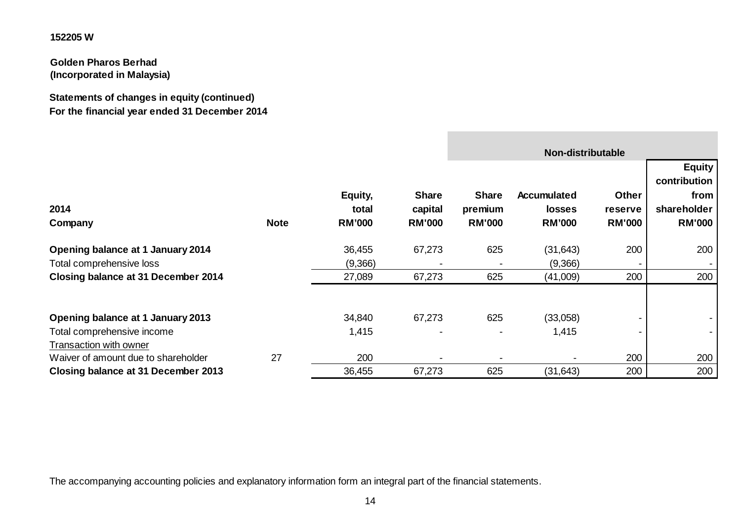**Golden Pharos Berhad (Incorporated in Malaysia)**

**Statements of changes in equity (continued) For the financial year ended 31 December 2014**

|                                     |             |                                   |                                          | <b>Non-distributable</b>                 |                                                      |                                                 |                                                                       |  |  |
|-------------------------------------|-------------|-----------------------------------|------------------------------------------|------------------------------------------|------------------------------------------------------|-------------------------------------------------|-----------------------------------------------------------------------|--|--|
| 2014<br>Company                     | <b>Note</b> | Equity,<br>total<br><b>RM'000</b> | <b>Share</b><br>capital<br><b>RM'000</b> | <b>Share</b><br>premium<br><b>RM'000</b> | <b>Accumulated</b><br><b>losses</b><br><b>RM'000</b> | <b>Other</b><br><b>reserve</b><br><b>RM'000</b> | <b>Equity</b><br>contribution<br>from<br>shareholder<br><b>RM'000</b> |  |  |
| Opening balance at 1 January 2014   |             | 36,455                            | 67,273                                   | 625                                      | (31, 643)                                            | 200                                             | 200                                                                   |  |  |
| Total comprehensive loss            |             | (9,366)                           |                                          |                                          | (9,366)                                              |                                                 |                                                                       |  |  |
| Closing balance at 31 December 2014 |             | 27,089                            | 67,273                                   | 625                                      | (41,009)                                             | 200                                             | 200                                                                   |  |  |
| Opening balance at 1 January 2013   |             | 34,840                            | 67,273                                   | 625                                      | (33,058)                                             |                                                 |                                                                       |  |  |
| Total comprehensive income          |             | 1,415                             |                                          |                                          | 1,415                                                |                                                 |                                                                       |  |  |
| Transaction with owner              |             |                                   |                                          |                                          |                                                      |                                                 |                                                                       |  |  |
| Waiver of amount due to shareholder | 27          | 200                               |                                          |                                          |                                                      | 200                                             | 200                                                                   |  |  |
| Closing balance at 31 December 2013 |             | 36,455                            | 67,273                                   | 625                                      | (31, 643)                                            | 200                                             | 200                                                                   |  |  |

The accompanying accounting policies and explanatory information form an integral part of the financial statements.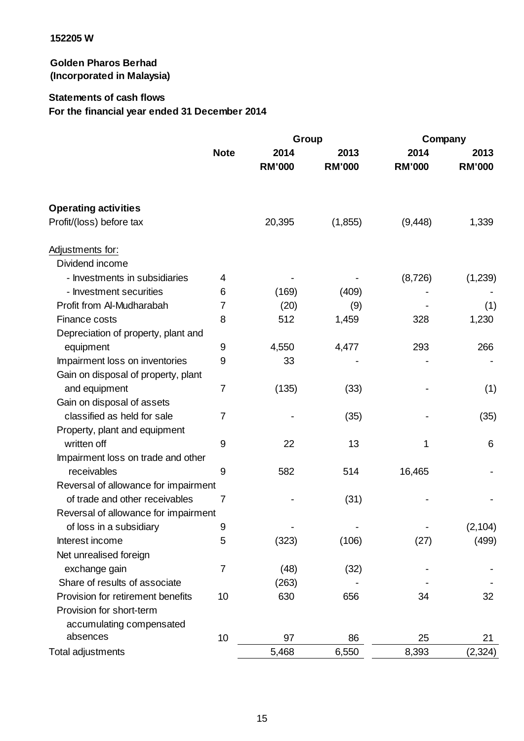# **Statements of cash flows For the financial year ended 31 December 2014**

|                                      |                | Group         |               | Company       |               |  |
|--------------------------------------|----------------|---------------|---------------|---------------|---------------|--|
|                                      | <b>Note</b>    | 2014<br>2013  |               | 2014          | 2013          |  |
|                                      |                | <b>RM'000</b> | <b>RM'000</b> | <b>RM'000</b> | <b>RM'000</b> |  |
| <b>Operating activities</b>          |                |               |               |               |               |  |
| Profit/(loss) before tax             |                | 20,395        | (1, 855)      | (9, 448)      | 1,339         |  |
| Adjustments for:                     |                |               |               |               |               |  |
| Dividend income                      |                |               |               |               |               |  |
| - Investments in subsidiaries        | 4              |               |               | (8,726)       | (1,239)       |  |
| - Investment securities              | 6              | (169)         | (409)         |               |               |  |
| Profit from Al-Mudharabah            | 7              | (20)          | (9)           |               | (1)           |  |
| Finance costs                        | 8              | 512           | 1,459         | 328           | 1,230         |  |
| Depreciation of property, plant and  |                |               |               |               |               |  |
| equipment                            | 9              | 4,550         | 4,477         | 293           | 266           |  |
| Impairment loss on inventories       | 9              | 33            |               |               |               |  |
| Gain on disposal of property, plant  |                |               |               |               |               |  |
| and equipment                        | $\overline{7}$ | (135)         | (33)          |               | (1)           |  |
| Gain on disposal of assets           |                |               |               |               |               |  |
| classified as held for sale          | 7              |               | (35)          |               | (35)          |  |
| Property, plant and equipment        |                |               |               |               |               |  |
| written off                          | 9              | 22            | 13            | 1             | 6             |  |
| Impairment loss on trade and other   |                |               |               |               |               |  |
| receivables                          | 9              | 582           | 514           | 16,465        |               |  |
| Reversal of allowance for impairment |                |               |               |               |               |  |
| of trade and other receivables       | 7              |               | (31)          |               |               |  |
| Reversal of allowance for impairment |                |               |               |               |               |  |
| of loss in a subsidiary              | 9              |               |               |               | (2, 104)      |  |
| Interest income                      | 5              | (323)         | (106)         | (27)          | (499)         |  |
| Net unrealised foreign               |                |               |               |               |               |  |
| exchange gain                        | 7              | (48)          | (32)          |               |               |  |
| Share of results of associate        |                | (263)         |               |               |               |  |
| Provision for retirement benefits    | 10             | 630           | 656           | 34            | 32            |  |
| Provision for short-term             |                |               |               |               |               |  |
| accumulating compensated             |                |               |               |               |               |  |
| absences                             | 10             | 97            | 86            | 25            | 21            |  |
| Total adjustments                    |                | 5,468         | 6,550         | 8,393         | (2, 324)      |  |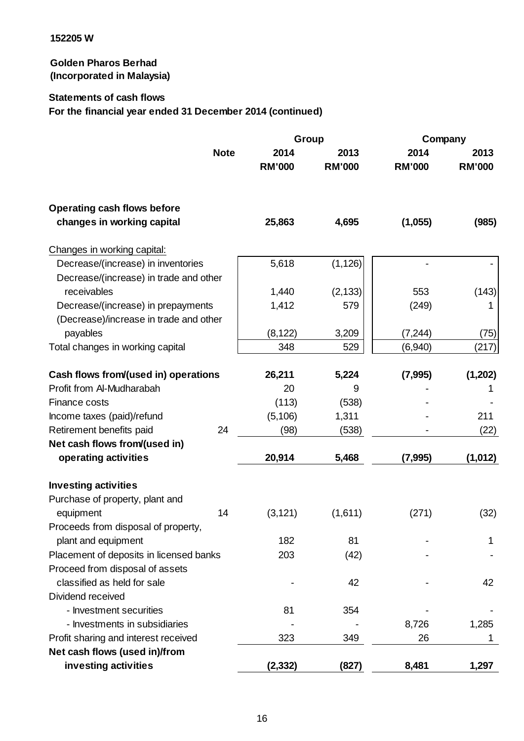# **Statements of cash flows**

**For the financial year ended 31 December 2014 (continued)**

|                                                                              |             | Group                 |                       | Company               |                       |  |
|------------------------------------------------------------------------------|-------------|-----------------------|-----------------------|-----------------------|-----------------------|--|
|                                                                              | <b>Note</b> | 2014<br><b>RM'000</b> | 2013<br><b>RM'000</b> | 2014<br><b>RM'000</b> | 2013<br><b>RM'000</b> |  |
| <b>Operating cash flows before</b>                                           |             |                       |                       |                       |                       |  |
| changes in working capital                                                   |             | 25,863                | 4,695                 | (1,055)               | (985)                 |  |
| Changes in working capital:                                                  |             |                       |                       |                       |                       |  |
| Decrease/(increase) in inventories<br>Decrease/(increase) in trade and other |             | 5,618                 | (1, 126)              |                       |                       |  |
| receivables                                                                  |             | 1,440                 | (2, 133)              | 553                   | (143)                 |  |
| Decrease/(increase) in prepayments<br>(Decrease)/increase in trade and other |             | 1,412                 | 579                   | (249)                 | 1                     |  |
| payables                                                                     |             | (8, 122)              | 3,209                 | (7, 244)              | (75)                  |  |
| Total changes in working capital                                             |             | 348                   | 529                   | (6,940)               | (217)                 |  |
|                                                                              |             |                       |                       |                       |                       |  |
| Cash flows from/(used in) operations                                         |             | 26,211                | 5,224                 | (7, 995)              | (1, 202)              |  |
| Profit from Al-Mudharabah                                                    |             | 20                    | 9                     |                       | 1                     |  |
| Finance costs                                                                |             | (113)                 | (538)                 |                       |                       |  |
| Income taxes (paid)/refund                                                   |             | (5, 106)              | 1,311                 |                       | 211                   |  |
| Retirement benefits paid                                                     | 24          | (98)                  | (538)                 |                       | (22)                  |  |
| Net cash flows from/(used in)                                                |             |                       |                       |                       |                       |  |
| operating activities                                                         |             | 20,914                | 5,468                 | (7, 995)              | (1,012)               |  |
| <b>Investing activities</b>                                                  |             |                       |                       |                       |                       |  |
| Purchase of property, plant and                                              |             |                       |                       |                       |                       |  |
| equipment                                                                    | 14          | (3, 121)              | (1,611)               | (271)                 | (32)                  |  |
| Proceeds from disposal of property,                                          |             |                       |                       |                       |                       |  |
| plant and equipment                                                          |             | 182                   | 81                    |                       | 1                     |  |
| Placement of deposits in licensed banks                                      |             | 203                   | (42)                  |                       |                       |  |
| Proceed from disposal of assets                                              |             |                       |                       |                       |                       |  |
| classified as held for sale                                                  |             |                       | 42                    |                       | 42                    |  |
| Dividend received                                                            |             |                       |                       |                       |                       |  |
| - Investment securities                                                      |             | 81                    | 354                   |                       |                       |  |
| - Investments in subsidiaries                                                |             |                       |                       | 8,726                 | 1,285                 |  |
| Profit sharing and interest received                                         |             | 323                   | 349                   | 26                    | 1                     |  |
| Net cash flows (used in)/from                                                |             |                       |                       |                       |                       |  |
| investing activities                                                         |             | (2, 332)              | (827)                 | 8,481                 | 1,297                 |  |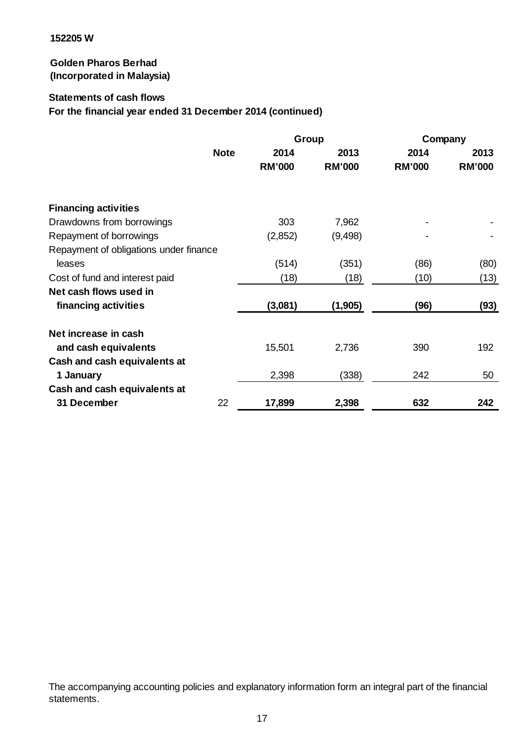## **Statements of cash flows**

**For the financial year ended 31 December 2014 (continued)**

|                                        |             | Group                 |                       | Company               |                       |  |
|----------------------------------------|-------------|-----------------------|-----------------------|-----------------------|-----------------------|--|
|                                        | <b>Note</b> | 2014<br><b>RM'000</b> | 2013<br><b>RM'000</b> | 2014<br><b>RM'000</b> | 2013<br><b>RM'000</b> |  |
|                                        |             |                       |                       |                       |                       |  |
| <b>Financing activities</b>            |             |                       |                       |                       |                       |  |
| Drawdowns from borrowings              |             | 303                   | 7,962                 |                       |                       |  |
| Repayment of borrowings                |             | (2,852)               | (9, 498)              |                       |                       |  |
| Repayment of obligations under finance |             |                       |                       |                       |                       |  |
| leases                                 |             | (514)                 | (351)                 | (86)                  | (80)                  |  |
| Cost of fund and interest paid         |             | (18)                  | (18)                  | (10)                  | (13)                  |  |
| Net cash flows used in                 |             |                       |                       |                       |                       |  |
| financing activities                   |             | (3,081)               | (1, 905)              | (96)                  | (93)                  |  |
| Net increase in cash                   |             |                       |                       |                       |                       |  |
| and cash equivalents                   |             | 15,501                | 2,736                 | 390                   | 192                   |  |
| Cash and cash equivalents at           |             |                       |                       |                       |                       |  |
| 1 January                              |             | 2,398                 | (338)                 | 242                   | 50                    |  |
| Cash and cash equivalents at           |             |                       |                       |                       |                       |  |
| 31 December                            | 22          | 17,899                | 2,398                 | 632                   | 242                   |  |

The accompanying accounting policies and explanatory information form an integral part of the financial statements.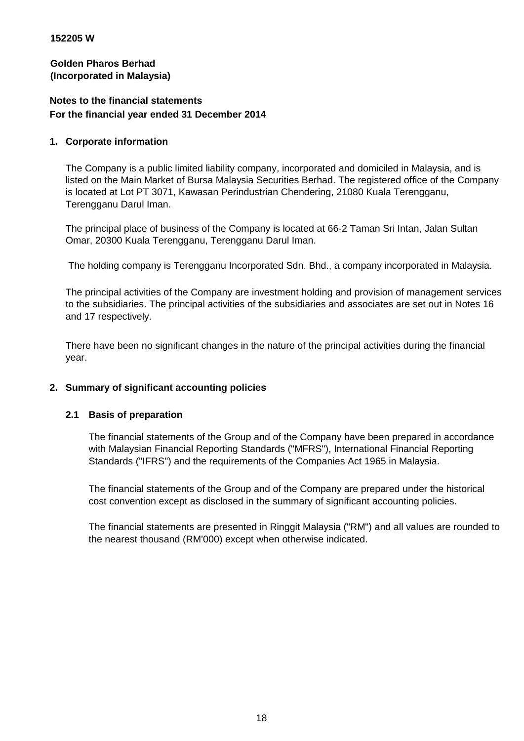## **Notes to the financial statements For the financial year ended 31 December 2014**

## **1. Corporate information**

The Company is a public limited liability company, incorporated and domiciled in Malaysia, and is listed on the Main Market of Bursa Malaysia Securities Berhad. The registered office of the Company is located at Lot PT 3071, Kawasan Perindustrian Chendering, 21080 Kuala Terengganu, Terengganu Darul Iman.

The principal place of business of the Company is located at 66-2 Taman Sri Intan, Jalan Sultan Omar, 20300 Kuala Terengganu, Terengganu Darul Iman.

The holding company is Terengganu Incorporated Sdn. Bhd., a company incorporated in Malaysia.

The principal activities of the Company are investment holding and provision of management services to the subsidiaries. The principal activities of the subsidiaries and associates are set out in Notes 16 and 17 respectively.

There have been no significant changes in the nature of the principal activities during the financial year.

## **2. Summary of significant accounting policies**

#### **2.1 Basis of preparation**

The financial statements of the Group and of the Company have been prepared in accordance with Malaysian Financial Reporting Standards ("MFRS"), International Financial Reporting Standards ("IFRS") and the requirements of the Companies Act 1965 in Malaysia.

The financial statements of the Group and of the Company are prepared under the historical cost convention except as disclosed in the summary of significant accounting policies.

The financial statements are presented in Ringgit Malaysia ("RM") and all values are rounded to the nearest thousand (RM'000) except when otherwise indicated.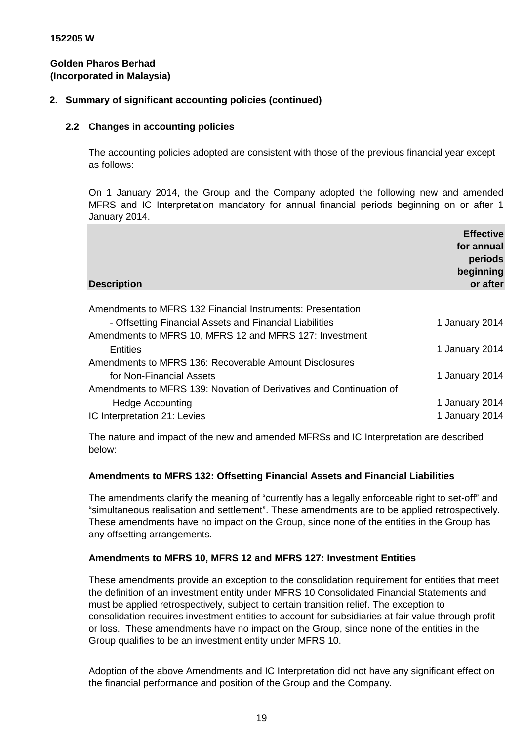## **2. Summary of significant accounting policies (continued)**

## **2.2 Changes in accounting policies**

The accounting policies adopted are consistent with those of the previous financial year except as follows:

On 1 January 2014, the Group and the Company adopted the following new and amended MFRS and IC Interpretation mandatory for annual financial periods beginning on or after 1 January 2014.

| <b>Description</b>                                                  | <b>Effective</b><br>for annual<br>periods<br>beginning<br>or after |
|---------------------------------------------------------------------|--------------------------------------------------------------------|
| Amendments to MFRS 132 Financial Instruments: Presentation          |                                                                    |
| - Offsetting Financial Assets and Financial Liabilities             | 1 January 2014                                                     |
| Amendments to MFRS 10, MFRS 12 and MFRS 127: Investment             |                                                                    |
| <b>Entities</b>                                                     | 1 January 2014                                                     |
| Amendments to MFRS 136: Recoverable Amount Disclosures              |                                                                    |
| for Non-Financial Assets                                            | 1 January 2014                                                     |
| Amendments to MFRS 139: Novation of Derivatives and Continuation of |                                                                    |
| <b>Hedge Accounting</b>                                             | 1 January 2014                                                     |
| IC Interpretation 21: Levies                                        | 1 January 2014                                                     |

The nature and impact of the new and amended MFRSs and IC Interpretation are described below:

#### **Amendments to MFRS 132: Offsetting Financial Assets and Financial Liabilities**

The amendments clarify the meaning of "currently has a legally enforceable right to set-off" and "simultaneous realisation and settlement". These amendments are to be applied retrospectively. These amendments have no impact on the Group, since none of the entities in the Group has any offsetting arrangements.

#### **Amendments to MFRS 10, MFRS 12 and MFRS 127: Investment Entities**

These amendments provide an exception to the consolidation requirement for entities that meet the definition of an investment entity under MFRS 10 Consolidated Financial Statements and must be applied retrospectively, subject to certain transition relief. The exception to consolidation requires investment entities to account for subsidiaries at fair value through profit or loss. These amendments have no impact on the Group, since none of the entities in the Group qualifies to be an investment entity under MFRS 10.

Adoption of the above Amendments and IC Interpretation did not have any significant effect on the financial performance and position of the Group and the Company.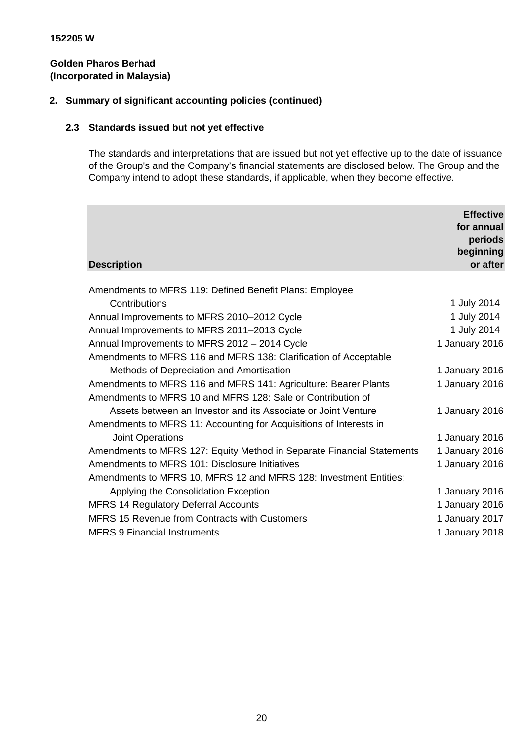## **2. Summary of significant accounting policies (continued)**

#### **2.3 Standards issued but not yet effective**

The standards and interpretations that are issued but not yet effective up to the date of issuance of the Group's and the Company's financial statements are disclosed below. The Group and the Company intend to adopt these standards, if applicable, when they become effective.

| Amendments to MFRS 119: Defined Benefit Plans: Employee<br>1 July 2014<br>Contributions<br>1 July 2014<br>Annual Improvements to MFRS 2010-2012 Cycle<br>1 July 2014<br>Annual Improvements to MFRS 2011-2013 Cycle<br>Annual Improvements to MFRS 2012 - 2014 Cycle<br>1 January 2016<br>Amendments to MFRS 116 and MFRS 138: Clarification of Acceptable<br>Methods of Depreciation and Amortisation<br>1 January 2016<br>Amendments to MFRS 116 and MFRS 141: Agriculture: Bearer Plants<br>1 January 2016<br>Amendments to MFRS 10 and MFRS 128: Sale or Contribution of<br>Assets between an Investor and its Associate or Joint Venture<br>1 January 2016<br>Amendments to MFRS 11: Accounting for Acquisitions of Interests in<br>1 January 2016<br><b>Joint Operations</b><br>Amendments to MFRS 127: Equity Method in Separate Financial Statements<br>1 January 2016<br>Amendments to MFRS 101: Disclosure Initiatives<br>1 January 2016 |
|----------------------------------------------------------------------------------------------------------------------------------------------------------------------------------------------------------------------------------------------------------------------------------------------------------------------------------------------------------------------------------------------------------------------------------------------------------------------------------------------------------------------------------------------------------------------------------------------------------------------------------------------------------------------------------------------------------------------------------------------------------------------------------------------------------------------------------------------------------------------------------------------------------------------------------------------------|
|                                                                                                                                                                                                                                                                                                                                                                                                                                                                                                                                                                                                                                                                                                                                                                                                                                                                                                                                                    |
|                                                                                                                                                                                                                                                                                                                                                                                                                                                                                                                                                                                                                                                                                                                                                                                                                                                                                                                                                    |
|                                                                                                                                                                                                                                                                                                                                                                                                                                                                                                                                                                                                                                                                                                                                                                                                                                                                                                                                                    |
|                                                                                                                                                                                                                                                                                                                                                                                                                                                                                                                                                                                                                                                                                                                                                                                                                                                                                                                                                    |
|                                                                                                                                                                                                                                                                                                                                                                                                                                                                                                                                                                                                                                                                                                                                                                                                                                                                                                                                                    |
|                                                                                                                                                                                                                                                                                                                                                                                                                                                                                                                                                                                                                                                                                                                                                                                                                                                                                                                                                    |
|                                                                                                                                                                                                                                                                                                                                                                                                                                                                                                                                                                                                                                                                                                                                                                                                                                                                                                                                                    |
|                                                                                                                                                                                                                                                                                                                                                                                                                                                                                                                                                                                                                                                                                                                                                                                                                                                                                                                                                    |
|                                                                                                                                                                                                                                                                                                                                                                                                                                                                                                                                                                                                                                                                                                                                                                                                                                                                                                                                                    |
|                                                                                                                                                                                                                                                                                                                                                                                                                                                                                                                                                                                                                                                                                                                                                                                                                                                                                                                                                    |
|                                                                                                                                                                                                                                                                                                                                                                                                                                                                                                                                                                                                                                                                                                                                                                                                                                                                                                                                                    |
|                                                                                                                                                                                                                                                                                                                                                                                                                                                                                                                                                                                                                                                                                                                                                                                                                                                                                                                                                    |
|                                                                                                                                                                                                                                                                                                                                                                                                                                                                                                                                                                                                                                                                                                                                                                                                                                                                                                                                                    |
|                                                                                                                                                                                                                                                                                                                                                                                                                                                                                                                                                                                                                                                                                                                                                                                                                                                                                                                                                    |
| Amendments to MFRS 10, MFRS 12 and MFRS 128: Investment Entities:                                                                                                                                                                                                                                                                                                                                                                                                                                                                                                                                                                                                                                                                                                                                                                                                                                                                                  |
| 1 January 2016<br>Applying the Consolidation Exception                                                                                                                                                                                                                                                                                                                                                                                                                                                                                                                                                                                                                                                                                                                                                                                                                                                                                             |
| 1 January 2016<br><b>MFRS 14 Regulatory Deferral Accounts</b>                                                                                                                                                                                                                                                                                                                                                                                                                                                                                                                                                                                                                                                                                                                                                                                                                                                                                      |
| <b>MFRS 15 Revenue from Contracts with Customers</b><br>1 January 2017                                                                                                                                                                                                                                                                                                                                                                                                                                                                                                                                                                                                                                                                                                                                                                                                                                                                             |
| <b>MFRS 9 Financial Instruments</b><br>1 January 2018                                                                                                                                                                                                                                                                                                                                                                                                                                                                                                                                                                                                                                                                                                                                                                                                                                                                                              |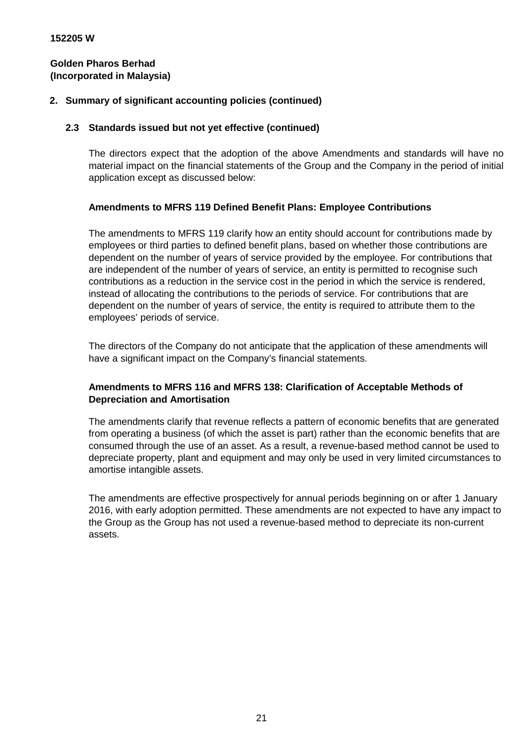## **2. Summary of significant accounting policies (continued)**

#### **2.3 Standards issued but not yet effective (continued)**

The directors expect that the adoption of the above Amendments and standards will have no material impact on the financial statements of the Group and the Company in the period of initial application except as discussed below:

#### **Amendments to MFRS 119 Defined Benefit Plans: Employee Contributions**

The amendments to MFRS 119 clarify how an entity should account for contributions made by employees or third parties to defined benefit plans, based on whether those contributions are dependent on the number of years of service provided by the employee. For contributions that are independent of the number of years of service, an entity is permitted to recognise such contributions as a reduction in the service cost in the period in which the service is rendered, instead of allocating the contributions to the periods of service. For contributions that are dependent on the number of years of service, the entity is required to attribute them to the employees' periods of service.

The directors of the Company do not anticipate that the application of these amendments will have a significant impact on the Company's financial statements.

## **Amendments to MFRS 116 and MFRS 138: Clarification of Acceptable Methods of Depreciation and Amortisation**

The amendments clarify that revenue reflects a pattern of economic benefits that are generated from operating a business (of which the asset is part) rather than the economic benefits that are consumed through the use of an asset. As a result, a revenue-based method cannot be used to depreciate property, plant and equipment and may only be used in very limited circumstances to amortise intangible assets.

The amendments are effective prospectively for annual periods beginning on or after 1 January 2016, with early adoption permitted. These amendments are not expected to have any impact to the Group as the Group has not used a revenue-based method to depreciate its non-current assets.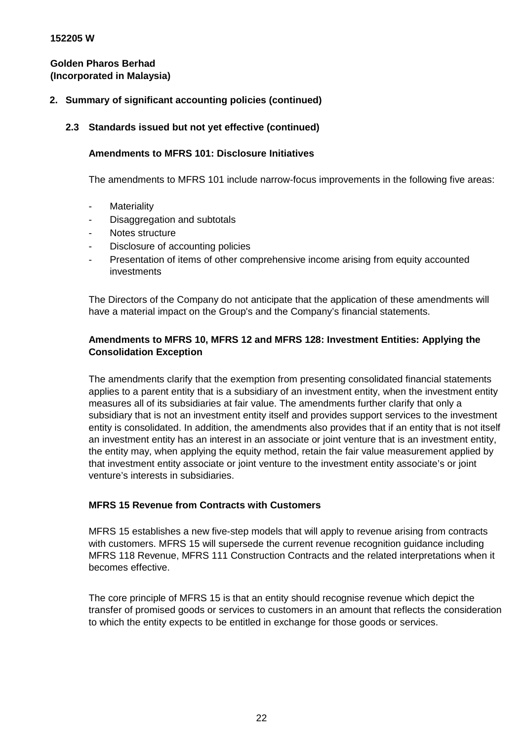## **2. Summary of significant accounting policies (continued)**

## **2.3 Standards issued but not yet effective (continued)**

## **Amendments to MFRS 101: Disclosure Initiatives**

The amendments to MFRS 101 include narrow-focus improvements in the following five areas:

- **Materiality**
- Disaggregation and subtotals
- Notes structure
- Disclosure of accounting policies
- Presentation of items of other comprehensive income arising from equity accounted investments

The Directors of the Company do not anticipate that the application of these amendments will have a material impact on the Group's and the Company's financial statements.

## **Amendments to MFRS 10, MFRS 12 and MFRS 128: Investment Entities: Applying the Consolidation Exception**

The amendments clarify that the exemption from presenting consolidated financial statements applies to a parent entity that is a subsidiary of an investment entity, when the investment entity measures all of its subsidiaries at fair value. The amendments further clarify that only a subsidiary that is not an investment entity itself and provides support services to the investment entity is consolidated. In addition, the amendments also provides that if an entity that is not itself an investment entity has an interest in an associate or joint venture that is an investment entity, the entity may, when applying the equity method, retain the fair value measurement applied by that investment entity associate or joint venture to the investment entity associate's or joint venture's interests in subsidiaries.

#### **MFRS 15 Revenue from Contracts with Customers**

MFRS 15 establishes a new five-step models that will apply to revenue arising from contracts with customers. MFRS 15 will supersede the current revenue recognition guidance including MFRS 118 Revenue, MFRS 111 Construction Contracts and the related interpretations when it becomes effective.

The core principle of MFRS 15 is that an entity should recognise revenue which depict the transfer of promised goods or services to customers in an amount that reflects the consideration to which the entity expects to be entitled in exchange for those goods or services.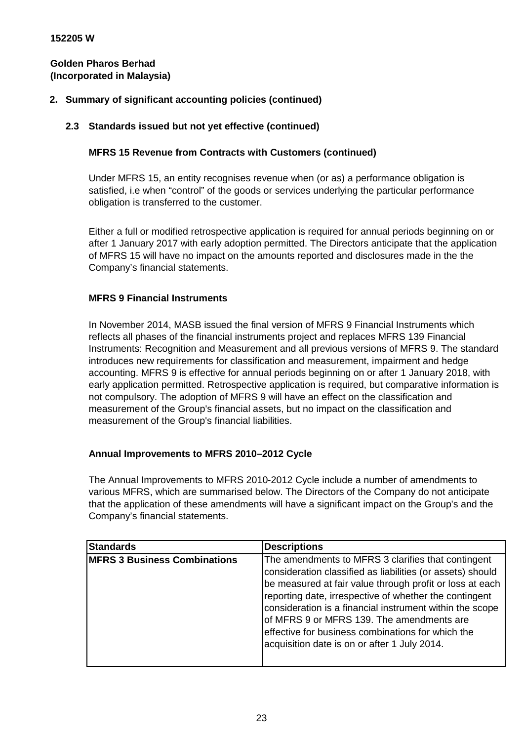## **2. Summary of significant accounting policies (continued)**

## **2.3 Standards issued but not yet effective (continued)**

## **MFRS 15 Revenue from Contracts with Customers (continued)**

Under MFRS 15, an entity recognises revenue when (or as) a performance obligation is satisfied, i.e when "control" of the goods or services underlying the particular performance obligation is transferred to the customer.

Either a full or modified retrospective application is required for annual periods beginning on or after 1 January 2017 with early adoption permitted. The Directors anticipate that the application of MFRS 15 will have no impact on the amounts reported and disclosures made in the the Company's financial statements.

## **MFRS 9 Financial Instruments**

In November 2014, MASB issued the final version of MFRS 9 Financial Instruments which reflects all phases of the financial instruments project and replaces MFRS 139 Financial Instruments: Recognition and Measurement and all previous versions of MFRS 9. The standard introduces new requirements for classification and measurement, impairment and hedge accounting. MFRS 9 is effective for annual periods beginning on or after 1 January 2018, with early application permitted. Retrospective application is required, but comparative information is not compulsory. The adoption of MFRS 9 will have an effect on the classification and measurement of the Group's financial assets, but no impact on the classification and measurement of the Group's financial liabilities.

## **Annual Improvements to MFRS 2010–2012 Cycle**

The Annual Improvements to MFRS 2010-2012 Cycle include a number of amendments to various MFRS, which are summarised below. The Directors of the Company do not anticipate that the application of these amendments will have a significant impact on the Group's and the Company's financial statements.

| <b>Standards</b>                    | <b>Descriptions</b>                                                                                                                                                                                                                                                                                                                                                                                                                                  |
|-------------------------------------|------------------------------------------------------------------------------------------------------------------------------------------------------------------------------------------------------------------------------------------------------------------------------------------------------------------------------------------------------------------------------------------------------------------------------------------------------|
| <b>MFRS 3 Business Combinations</b> | The amendments to MFRS 3 clarifies that contingent<br>consideration classified as liabilities (or assets) should<br>be measured at fair value through profit or loss at each<br>reporting date, irrespective of whether the contingent<br>consideration is a financial instrument within the scope<br>of MFRS 9 or MFRS 139. The amendments are<br>effective for business combinations for which the<br>acquisition date is on or after 1 July 2014. |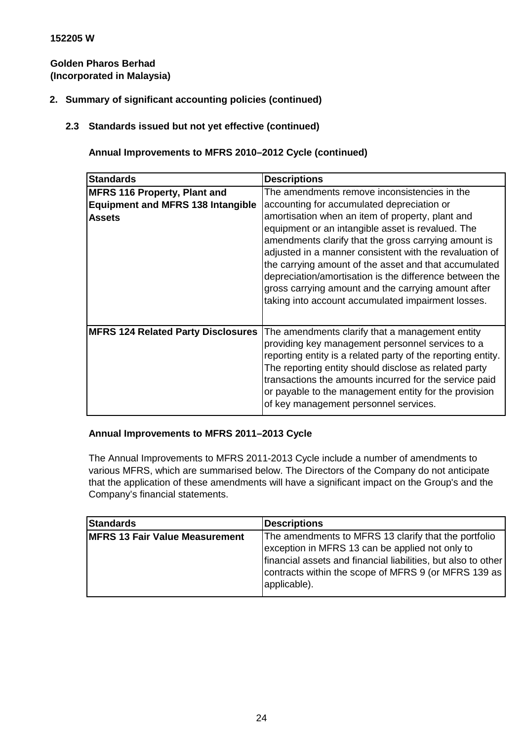## **2. Summary of significant accounting policies (continued)**

## **2.3 Standards issued but not yet effective (continued)**

**Annual Improvements to MFRS 2010–2012 Cycle (continued)**

| <b>Standards</b>                                                                                 | <b>Descriptions</b>                                                                                                                                                                                                                                                                                                                                                                                                                                                                                                                                     |
|--------------------------------------------------------------------------------------------------|---------------------------------------------------------------------------------------------------------------------------------------------------------------------------------------------------------------------------------------------------------------------------------------------------------------------------------------------------------------------------------------------------------------------------------------------------------------------------------------------------------------------------------------------------------|
| <b>MFRS 116 Property, Plant and</b><br><b>Equipment and MFRS 138 Intangible</b><br><b>Assets</b> | The amendments remove inconsistencies in the<br>accounting for accumulated depreciation or<br>amortisation when an item of property, plant and<br>equipment or an intangible asset is revalued. The<br>amendments clarify that the gross carrying amount is<br>adjusted in a manner consistent with the revaluation of<br>the carrying amount of the asset and that accumulated<br>depreciation/amortisation is the difference between the<br>gross carrying amount and the carrying amount after<br>taking into account accumulated impairment losses. |
| <b>MFRS 124 Related Party Disclosures</b>                                                        | The amendments clarify that a management entity<br>providing key management personnel services to a<br>reporting entity is a related party of the reporting entity.<br>The reporting entity should disclose as related party<br>transactions the amounts incurred for the service paid<br>or payable to the management entity for the provision<br>of key management personnel services.                                                                                                                                                                |

## **Annual Improvements to MFRS 2011–2013 Cycle**

The Annual Improvements to MFRS 2011-2013 Cycle include a number of amendments to various MFRS, which are summarised below. The Directors of the Company do not anticipate that the application of these amendments will have a significant impact on the Group's and the Company's financial statements.

| Standards                             | <b>Descriptions</b>                                                                                                                                                                                                                              |
|---------------------------------------|--------------------------------------------------------------------------------------------------------------------------------------------------------------------------------------------------------------------------------------------------|
| <b>MFRS 13 Fair Value Measurement</b> | The amendments to MFRS 13 clarify that the portfolio<br>exception in MFRS 13 can be applied not only to<br>financial assets and financial liabilities, but also to other<br>contracts within the scope of MFRS 9 (or MFRS 139 as<br>applicable). |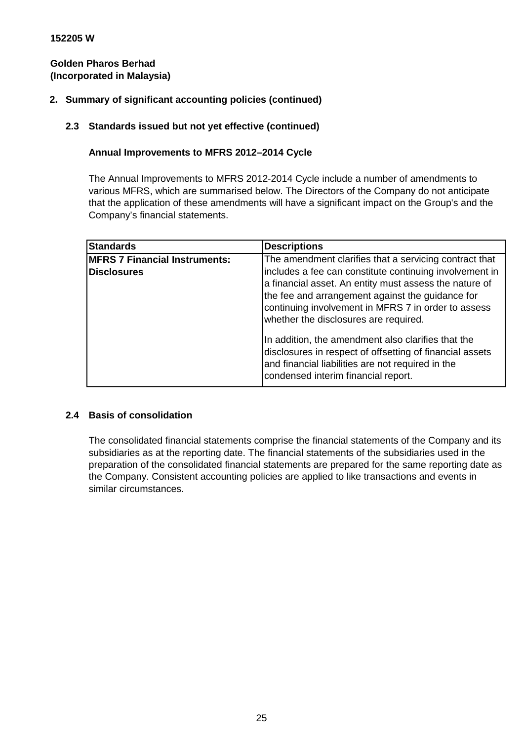## **2. Summary of significant accounting policies (continued)**

## **2.3 Standards issued but not yet effective (continued)**

## **Annual Improvements to MFRS 2012–2014 Cycle**

The Annual Improvements to MFRS 2012-2014 Cycle include a number of amendments to various MFRS, which are summarised below. The Directors of the Company do not anticipate that the application of these amendments will have a significant impact on the Group's and the Company's financial statements.

| <b>Standards</b>                     | <b>Descriptions</b>                                                                                                                                                                                                                                                   |
|--------------------------------------|-----------------------------------------------------------------------------------------------------------------------------------------------------------------------------------------------------------------------------------------------------------------------|
| <b>MFRS 7 Financial Instruments:</b> | The amendment clarifies that a servicing contract that                                                                                                                                                                                                                |
| <b>Disclosures</b>                   | includes a fee can constitute continuing involvement in<br>a financial asset. An entity must assess the nature of<br>the fee and arrangement against the guidance for<br>continuing involvement in MFRS 7 in order to assess<br>whether the disclosures are required. |
|                                      | In addition, the amendment also clarifies that the<br>disclosures in respect of offsetting of financial assets<br>and financial liabilities are not required in the<br>condensed interim financial report.                                                            |

#### **2.4 Basis of consolidation**

The consolidated financial statements comprise the financial statements of the Company and its subsidiaries as at the reporting date. The financial statements of the subsidiaries used in the preparation of the consolidated financial statements are prepared for the same reporting date as the Company. Consistent accounting policies are applied to like transactions and events in similar circumstances.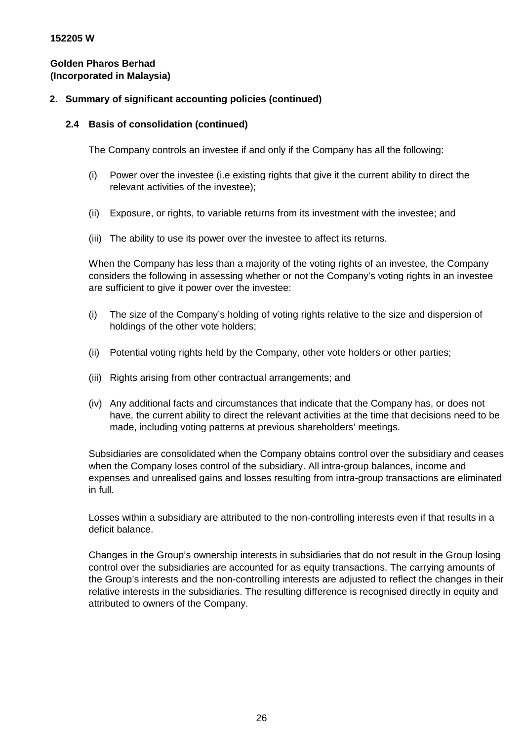### **Golden Pharos Berhad (Incorporated in Malaysia)**

## **2. Summary of significant accounting policies (continued)**

#### **2.4 Basis of consolidation (continued)**

The Company controls an investee if and only if the Company has all the following:

- (i) Power over the investee (i.e existing rights that give it the current ability to direct the relevant activities of the investee);
- (ii) Exposure, or rights, to variable returns from its investment with the investee; and
- (iii) The ability to use its power over the investee to affect its returns.

When the Company has less than a majority of the voting rights of an investee, the Company considers the following in assessing whether or not the Company's voting rights in an investee are sufficient to give it power over the investee:

- (i) The size of the Company's holding of voting rights relative to the size and dispersion of holdings of the other vote holders;
- (ii) Potential voting rights held by the Company, other vote holders or other parties;
- (iii) Rights arising from other contractual arrangements; and
- (iv) Any additional facts and circumstances that indicate that the Company has, or does not have, the current ability to direct the relevant activities at the time that decisions need to be made, including voting patterns at previous shareholders' meetings.

Subsidiaries are consolidated when the Company obtains control over the subsidiary and ceases when the Company loses control of the subsidiary. All intra-group balances, income and expenses and unrealised gains and losses resulting from intra-group transactions are eliminated in full.

Losses within a subsidiary are attributed to the non-controlling interests even if that results in a deficit balance.

Changes in the Group's ownership interests in subsidiaries that do not result in the Group losing control over the subsidiaries are accounted for as equity transactions. The carrying amounts of the Group's interests and the non-controlling interests are adjusted to reflect the changes in their relative interests in the subsidiaries. The resulting difference is recognised directly in equity and attributed to owners of the Company.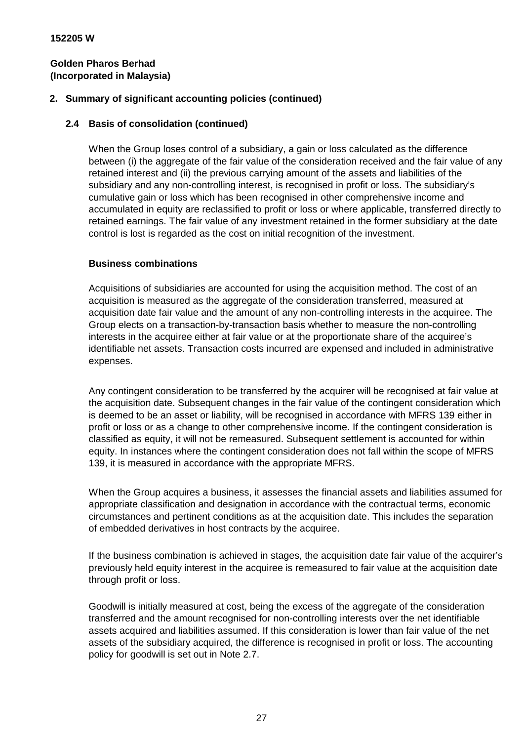## **2. Summary of significant accounting policies (continued)**

## **2.4 Basis of consolidation (continued)**

When the Group loses control of a subsidiary, a gain or loss calculated as the difference between (i) the aggregate of the fair value of the consideration received and the fair value of any retained interest and (ii) the previous carrying amount of the assets and liabilities of the subsidiary and any non-controlling interest, is recognised in profit or loss. The subsidiary's cumulative gain or loss which has been recognised in other comprehensive income and accumulated in equity are reclassified to profit or loss or where applicable, transferred directly to retained earnings. The fair value of any investment retained in the former subsidiary at the date control is lost is regarded as the cost on initial recognition of the investment.

## **Business combinations**

Acquisitions of subsidiaries are accounted for using the acquisition method. The cost of an acquisition is measured as the aggregate of the consideration transferred, measured at acquisition date fair value and the amount of any non-controlling interests in the acquiree. The Group elects on a transaction-by-transaction basis whether to measure the non-controlling interests in the acquiree either at fair value or at the proportionate share of the acquiree's identifiable net assets. Transaction costs incurred are expensed and included in administrative expenses.

Any contingent consideration to be transferred by the acquirer will be recognised at fair value at the acquisition date. Subsequent changes in the fair value of the contingent consideration which is deemed to be an asset or liability, will be recognised in accordance with MFRS 139 either in profit or loss or as a change to other comprehensive income. If the contingent consideration is classified as equity, it will not be remeasured. Subsequent settlement is accounted for within equity. In instances where the contingent consideration does not fall within the scope of MFRS 139, it is measured in accordance with the appropriate MFRS.

When the Group acquires a business, it assesses the financial assets and liabilities assumed for appropriate classification and designation in accordance with the contractual terms, economic circumstances and pertinent conditions as at the acquisition date. This includes the separation of embedded derivatives in host contracts by the acquiree.

If the business combination is achieved in stages, the acquisition date fair value of the acquirer's previously held equity interest in the acquiree is remeasured to fair value at the acquisition date through profit or loss.

Goodwill is initially measured at cost, being the excess of the aggregate of the consideration transferred and the amount recognised for non-controlling interests over the net identifiable assets acquired and liabilities assumed. If this consideration is lower than fair value of the net assets of the subsidiary acquired, the difference is recognised in profit or loss. The accounting policy for goodwill is set out in Note 2.7.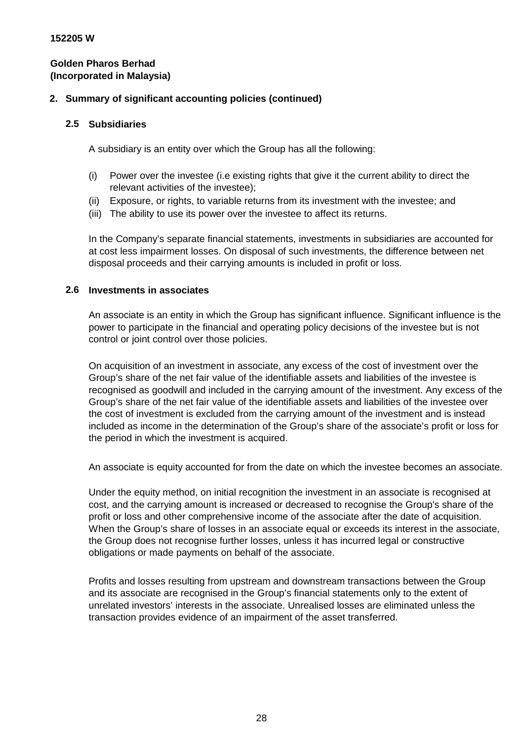## **Golden Pharos Berhad (Incorporated in Malaysia)**

## **2. Summary of significant accounting policies (continued)**

## **2.5 Subsidiaries**

A subsidiary is an entity over which the Group has all the following:

- Power over the investee (i.e existing rights that give it the current ability to direct the relevant activities of the investee); (i)
- (ii) Exposure, or rights, to variable returns from its investment with the investee; and
- (iii) The ability to use its power over the investee to affect its returns.

In the Company's separate financial statements, investments in subsidiaries are accounted for at cost less impairment losses. On disposal of such investments, the difference between net disposal proceeds and their carrying amounts is included in profit or loss.

#### **2.6 Investments in associates**

An associate is an entity in which the Group has significant influence. Significant influence is the power to participate in the financial and operating policy decisions of the investee but is not control or joint control over those policies.

On acquisition of an investment in associate, any excess of the cost of investment over the Group's share of the net fair value of the identifiable assets and liabilities of the investee is recognised as goodwill and included in the carrying amount of the investment. Any excess of the Group's share of the net fair value of the identifiable assets and liabilities of the investee over the cost of investment is excluded from the carrying amount of the investment and is instead included as income in the determination of the Group's share of the associate's profit or loss for the period in which the investment is acquired.

An associate is equity accounted for from the date on which the investee becomes an associate.

Under the equity method, on initial recognition the investment in an associate is recognised at cost, and the carrying amount is increased or decreased to recognise the Group's share of the profit or loss and other comprehensive income of the associate after the date of acquisition. When the Group's share of losses in an associate equal or exceeds its interest in the associate. the Group does not recognise further losses, unless it has incurred legal or constructive obligations or made payments on behalf of the associate.

Profits and losses resulting from upstream and downstream transactions between the Group and its associate are recognised in the Group's financial statements only to the extent of unrelated investors' interests in the associate. Unrealised losses are eliminated unless the transaction provides evidence of an impairment of the asset transferred.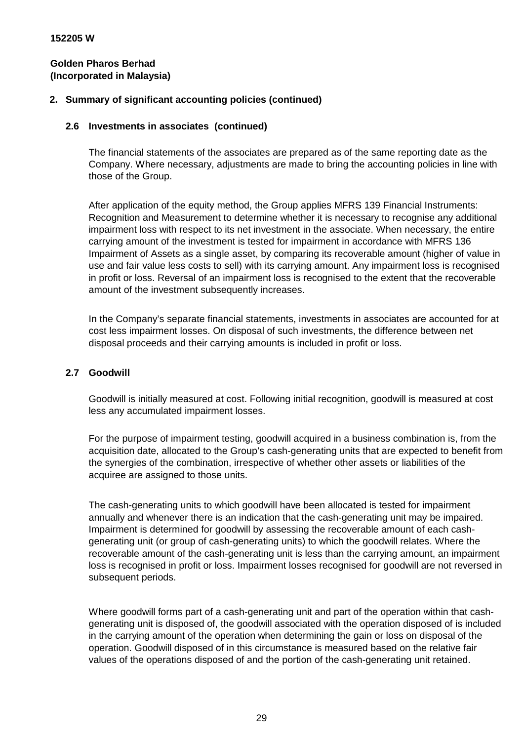## **2. Summary of significant accounting policies (continued)**

#### **2.6 Investments in associates (continued)**

The financial statements of the associates are prepared as of the same reporting date as the Company. Where necessary, adjustments are made to bring the accounting policies in line with those of the Group.

After application of the equity method, the Group applies MFRS 139 Financial Instruments: Recognition and Measurement to determine whether it is necessary to recognise any additional impairment loss with respect to its net investment in the associate. When necessary, the entire carrying amount of the investment is tested for impairment in accordance with MFRS 136 Impairment of Assets as a single asset, by comparing its recoverable amount (higher of value in use and fair value less costs to sell) with its carrying amount. Any impairment loss is recognised in profit or loss. Reversal of an impairment loss is recognised to the extent that the recoverable amount of the investment subsequently increases.

In the Company's separate financial statements, investments in associates are accounted for at cost less impairment losses. On disposal of such investments, the difference between net disposal proceeds and their carrying amounts is included in profit or loss.

#### **2.7 Goodwill**

Goodwill is initially measured at cost. Following initial recognition, goodwill is measured at cost less any accumulated impairment losses.

For the purpose of impairment testing, goodwill acquired in a business combination is, from the acquisition date, allocated to the Group's cash-generating units that are expected to benefit from the synergies of the combination, irrespective of whether other assets or liabilities of the acquiree are assigned to those units.

The cash-generating units to which goodwill have been allocated is tested for impairment annually and whenever there is an indication that the cash-generating unit may be impaired. Impairment is determined for goodwill by assessing the recoverable amount of each cashgenerating unit (or group of cash-generating units) to which the goodwill relates. Where the recoverable amount of the cash-generating unit is less than the carrying amount, an impairment loss is recognised in profit or loss. Impairment losses recognised for goodwill are not reversed in subsequent periods.

Where goodwill forms part of a cash-generating unit and part of the operation within that cashgenerating unit is disposed of, the goodwill associated with the operation disposed of is included in the carrying amount of the operation when determining the gain or loss on disposal of the operation. Goodwill disposed of in this circumstance is measured based on the relative fair values of the operations disposed of and the portion of the cash-generating unit retained.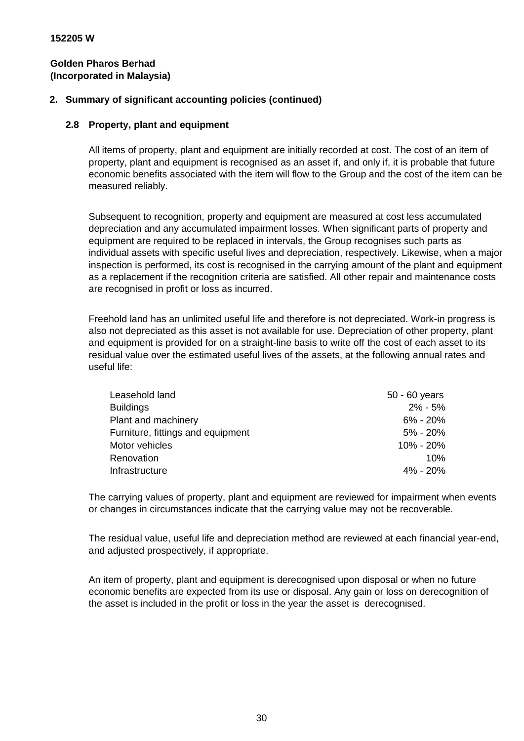## **2. Summary of significant accounting policies (continued)**

#### **2.8 Property, plant and equipment**

All items of property, plant and equipment are initially recorded at cost. The cost of an item of property, plant and equipment is recognised as an asset if, and only if, it is probable that future economic benefits associated with the item will flow to the Group and the cost of the item can be measured reliably.

Subsequent to recognition, property and equipment are measured at cost less accumulated depreciation and any accumulated impairment losses. When significant parts of property and equipment are required to be replaced in intervals, the Group recognises such parts as individual assets with specific useful lives and depreciation, respectively. Likewise, when a major inspection is performed, its cost is recognised in the carrying amount of the plant and equipment as a replacement if the recognition criteria are satisfied. All other repair and maintenance costs are recognised in profit or loss as incurred.

Freehold land has an unlimited useful life and therefore is not depreciated. Work-in progress is also not depreciated as this asset is not available for use. Depreciation of other property, plant and equipment is provided for on a straight-line basis to write off the cost of each asset to its residual value over the estimated useful lives of the assets, at the following annual rates and useful life:

| Leasehold land                    | 50 - 60 years |
|-----------------------------------|---------------|
| <b>Buildings</b>                  | $2\% - 5\%$   |
| Plant and machinery               | $6\% - 20\%$  |
| Furniture, fittings and equipment | $5\% - 20\%$  |
| Motor vehicles                    | 10% - 20%     |
| Renovation                        | 10%           |
| Infrastructure                    | 4% - 20%      |

The carrying values of property, plant and equipment are reviewed for impairment when events or changes in circumstances indicate that the carrying value may not be recoverable.

The residual value, useful life and depreciation method are reviewed at each financial year-end, and adjusted prospectively, if appropriate.

An item of property, plant and equipment is derecognised upon disposal or when no future economic benefits are expected from its use or disposal. Any gain or loss on derecognition of the asset is included in the profit or loss in the year the asset is derecognised.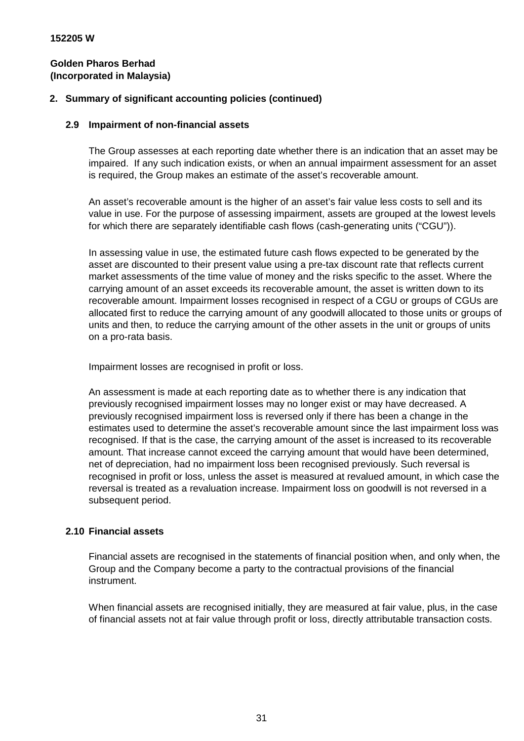## **2. Summary of significant accounting policies (continued)**

#### **2.9 Impairment of non-financial assets**

The Group assesses at each reporting date whether there is an indication that an asset may be impaired. If any such indication exists, or when an annual impairment assessment for an asset is required, the Group makes an estimate of the asset's recoverable amount.

An asset's recoverable amount is the higher of an asset's fair value less costs to sell and its value in use. For the purpose of assessing impairment, assets are grouped at the lowest levels for which there are separately identifiable cash flows (cash-generating units ("CGU")).

In assessing value in use, the estimated future cash flows expected to be generated by the asset are discounted to their present value using a pre-tax discount rate that reflects current market assessments of the time value of money and the risks specific to the asset. Where the carrying amount of an asset exceeds its recoverable amount, the asset is written down to its recoverable amount. Impairment losses recognised in respect of a CGU or groups of CGUs are allocated first to reduce the carrying amount of any goodwill allocated to those units or groups of units and then, to reduce the carrying amount of the other assets in the unit or groups of units on a pro-rata basis.

Impairment losses are recognised in profit or loss.

An assessment is made at each reporting date as to whether there is any indication that previously recognised impairment losses may no longer exist or may have decreased. A previously recognised impairment loss is reversed only if there has been a change in the estimates used to determine the asset's recoverable amount since the last impairment loss was recognised. If that is the case, the carrying amount of the asset is increased to its recoverable amount. That increase cannot exceed the carrying amount that would have been determined, net of depreciation, had no impairment loss been recognised previously. Such reversal is recognised in profit or loss, unless the asset is measured at revalued amount, in which case the reversal is treated as a revaluation increase. Impairment loss on goodwill is not reversed in a subsequent period.

#### **2.10 Financial assets**

Financial assets are recognised in the statements of financial position when, and only when, the Group and the Company become a party to the contractual provisions of the financial instrument.

When financial assets are recognised initially, they are measured at fair value, plus, in the case of financial assets not at fair value through profit or loss, directly attributable transaction costs.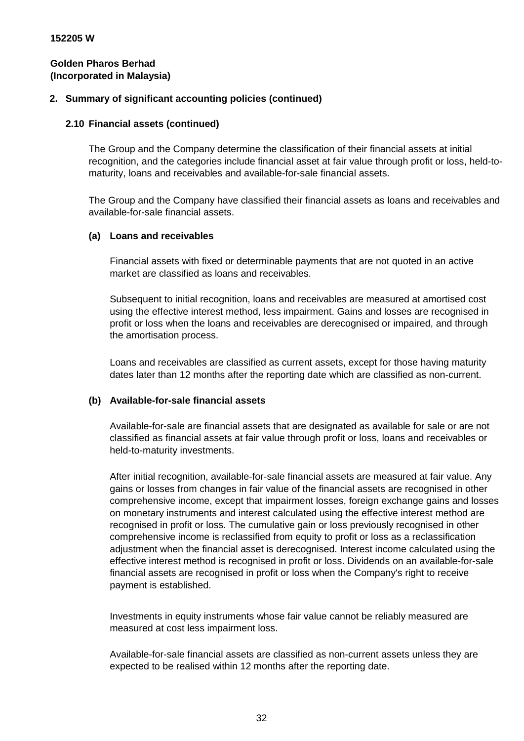## **2. Summary of significant accounting policies (continued)**

#### **2.10 Financial assets (continued)**

The Group and the Company determine the classification of their financial assets at initial recognition, and the categories include financial asset at fair value through profit or loss, held-tomaturity, loans and receivables and available-for-sale financial assets.

The Group and the Company have classified their financial assets as loans and receivables and available-for-sale financial assets.

#### **(a) Loans and receivables**

Financial assets with fixed or determinable payments that are not quoted in an active market are classified as loans and receivables.

Subsequent to initial recognition, loans and receivables are measured at amortised cost using the effective interest method, less impairment. Gains and losses are recognised in profit or loss when the loans and receivables are derecognised or impaired, and through the amortisation process.

Loans and receivables are classified as current assets, except for those having maturity dates later than 12 months after the reporting date which are classified as non-current.

## **(b) Available-for-sale financial assets**

Available-for-sale are financial assets that are designated as available for sale or are not classified as financial assets at fair value through profit or loss, loans and receivables or held-to-maturity investments.

After initial recognition, available-for-sale financial assets are measured at fair value. Any gains or losses from changes in fair value of the financial assets are recognised in other comprehensive income, except that impairment losses, foreign exchange gains and losses on monetary instruments and interest calculated using the effective interest method are recognised in profit or loss. The cumulative gain or loss previously recognised in other comprehensive income is reclassified from equity to profit or loss as a reclassification adjustment when the financial asset is derecognised. Interest income calculated using the effective interest method is recognised in profit or loss. Dividends on an available-for-sale financial assets are recognised in profit or loss when the Company's right to receive payment is established.

Investments in equity instruments whose fair value cannot be reliably measured are measured at cost less impairment loss.

Available-for-sale financial assets are classified as non-current assets unless they are expected to be realised within 12 months after the reporting date.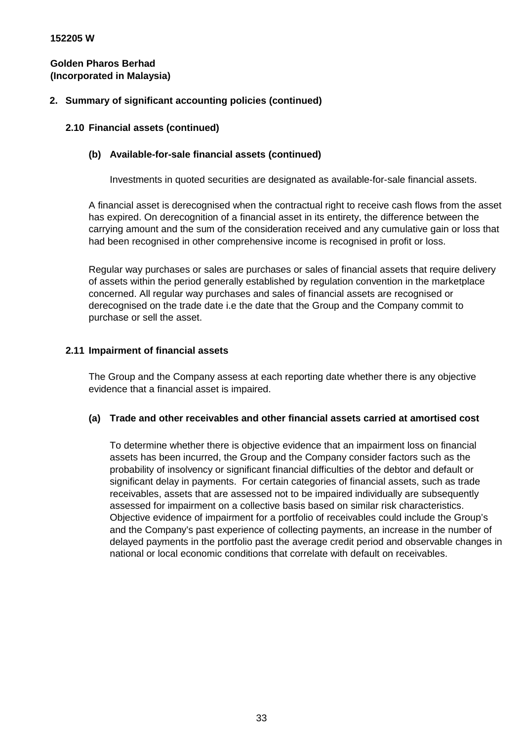## **2. Summary of significant accounting policies (continued)**

## **2.10 Financial assets (continued)**

## **(b) Available-for-sale financial assets (continued)**

Investments in quoted securities are designated as available-for-sale financial assets.

A financial asset is derecognised when the contractual right to receive cash flows from the asset has expired. On derecognition of a financial asset in its entirety, the difference between the carrying amount and the sum of the consideration received and any cumulative gain or loss that had been recognised in other comprehensive income is recognised in profit or loss.

Regular way purchases or sales are purchases or sales of financial assets that require delivery of assets within the period generally established by regulation convention in the marketplace concerned. All regular way purchases and sales of financial assets are recognised or derecognised on the trade date i.e the date that the Group and the Company commit to purchase or sell the asset.

## **2.11 Impairment of financial assets**

The Group and the Company assess at each reporting date whether there is any objective evidence that a financial asset is impaired.

#### **(a) Trade and other receivables and other financial assets carried at amortised cost**

To determine whether there is objective evidence that an impairment loss on financial assets has been incurred, the Group and the Company consider factors such as the probability of insolvency or significant financial difficulties of the debtor and default or significant delay in payments. For certain categories of financial assets, such as trade receivables, assets that are assessed not to be impaired individually are subsequently assessed for impairment on a collective basis based on similar risk characteristics. Objective evidence of impairment for a portfolio of receivables could include the Group's and the Company's past experience of collecting payments, an increase in the number of delayed payments in the portfolio past the average credit period and observable changes in national or local economic conditions that correlate with default on receivables.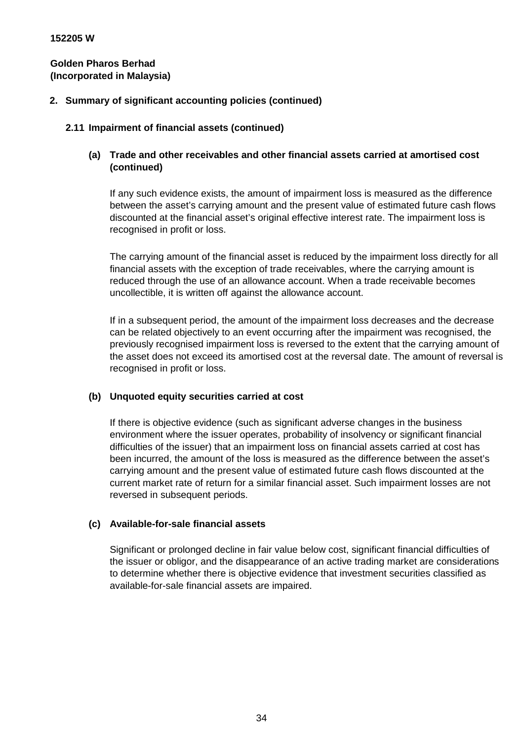## **2. Summary of significant accounting policies (continued)**

#### **2.11 Impairment of financial assets (continued)**

## **(a) Trade and other receivables and other financial assets carried at amortised cost (continued)**

If any such evidence exists, the amount of impairment loss is measured as the difference between the asset's carrying amount and the present value of estimated future cash flows discounted at the financial asset's original effective interest rate. The impairment loss is recognised in profit or loss.

The carrying amount of the financial asset is reduced by the impairment loss directly for all financial assets with the exception of trade receivables, where the carrying amount is reduced through the use of an allowance account. When a trade receivable becomes uncollectible, it is written off against the allowance account.

If in a subsequent period, the amount of the impairment loss decreases and the decrease can be related objectively to an event occurring after the impairment was recognised, the previously recognised impairment loss is reversed to the extent that the carrying amount of the asset does not exceed its amortised cost at the reversal date. The amount of reversal is recognised in profit or loss.

#### **(b) Unquoted equity securities carried at cost**

If there is objective evidence (such as significant adverse changes in the business environment where the issuer operates, probability of insolvency or significant financial difficulties of the issuer) that an impairment loss on financial assets carried at cost has been incurred, the amount of the loss is measured as the difference between the asset's carrying amount and the present value of estimated future cash flows discounted at the current market rate of return for a similar financial asset. Such impairment losses are not reversed in subsequent periods.

## **(c) Available-for-sale financial assets**

Significant or prolonged decline in fair value below cost, significant financial difficulties of the issuer or obligor, and the disappearance of an active trading market are considerations to determine whether there is objective evidence that investment securities classified as available-for-sale financial assets are impaired.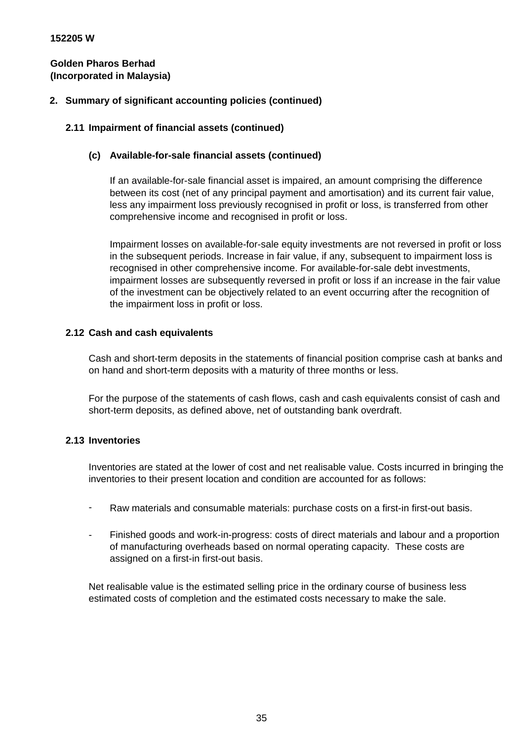# **2. Summary of significant accounting policies (continued)**

# **2.11 Impairment of financial assets (continued)**

# **(c) Available-for-sale financial assets (continued)**

If an available-for-sale financial asset is impaired, an amount comprising the difference between its cost (net of any principal payment and amortisation) and its current fair value, less any impairment loss previously recognised in profit or loss, is transferred from other comprehensive income and recognised in profit or loss.

Impairment losses on available-for-sale equity investments are not reversed in profit or loss in the subsequent periods. Increase in fair value, if any, subsequent to impairment loss is recognised in other comprehensive income. For available-for-sale debt investments, impairment losses are subsequently reversed in profit or loss if an increase in the fair value of the investment can be objectively related to an event occurring after the recognition of the impairment loss in profit or loss.

# **2.12 Cash and cash equivalents**

Cash and short-term deposits in the statements of financial position comprise cash at banks and on hand and short-term deposits with a maturity of three months or less.

For the purpose of the statements of cash flows, cash and cash equivalents consist of cash and short-term deposits, as defined above, net of outstanding bank overdraft.

### **2.13 Inventories**

Inventories are stated at the lower of cost and net realisable value. Costs incurred in bringing the inventories to their present location and condition are accounted for as follows:

- Raw materials and consumable materials: purchase costs on a first-in first-out basis.
- Finished goods and work-in-progress: costs of direct materials and labour and a proportion of manufacturing overheads based on normal operating capacity. These costs are assigned on a first-in first-out basis.

Net realisable value is the estimated selling price in the ordinary course of business less estimated costs of completion and the estimated costs necessary to make the sale.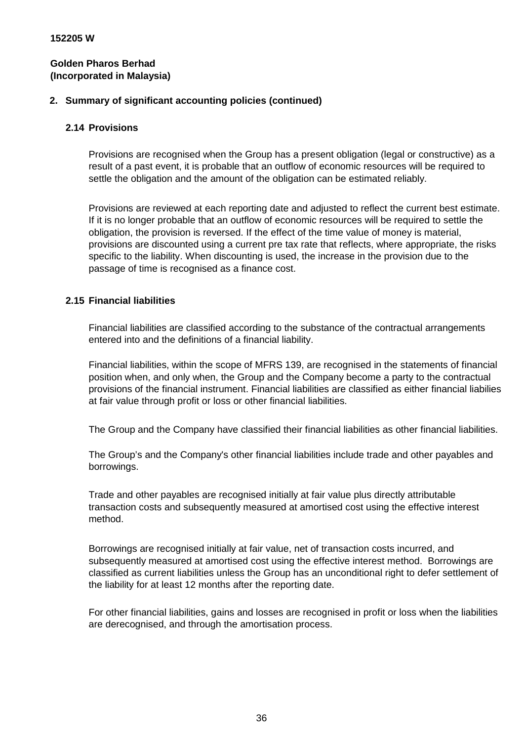# **2. Summary of significant accounting policies (continued)**

### **2.14 Provisions**

Provisions are recognised when the Group has a present obligation (legal or constructive) as a result of a past event, it is probable that an outflow of economic resources will be required to settle the obligation and the amount of the obligation can be estimated reliably.

Provisions are reviewed at each reporting date and adjusted to reflect the current best estimate. If it is no longer probable that an outflow of economic resources will be required to settle the obligation, the provision is reversed. If the effect of the time value of money is material, provisions are discounted using a current pre tax rate that reflects, where appropriate, the risks specific to the liability. When discounting is used, the increase in the provision due to the passage of time is recognised as a finance cost.

# **2.15 Financial liabilities**

Financial liabilities are classified according to the substance of the contractual arrangements entered into and the definitions of a financial liability.

Financial liabilities, within the scope of MFRS 139, are recognised in the statements of financial position when, and only when, the Group and the Company become a party to the contractual provisions of the financial instrument. Financial liabilities are classified as either financial liabilies at fair value through profit or loss or other financial liabilities.

The Group and the Company have classified their financial liabilities as other financial liabilities.

The Group's and the Company's other financial liabilities include trade and other payables and borrowings.

Trade and other payables are recognised initially at fair value plus directly attributable transaction costs and subsequently measured at amortised cost using the effective interest method.

Borrowings are recognised initially at fair value, net of transaction costs incurred, and subsequently measured at amortised cost using the effective interest method. Borrowings are classified as current liabilities unless the Group has an unconditional right to defer settlement of the liability for at least 12 months after the reporting date.

For other financial liabilities, gains and losses are recognised in profit or loss when the liabilities are derecognised, and through the amortisation process.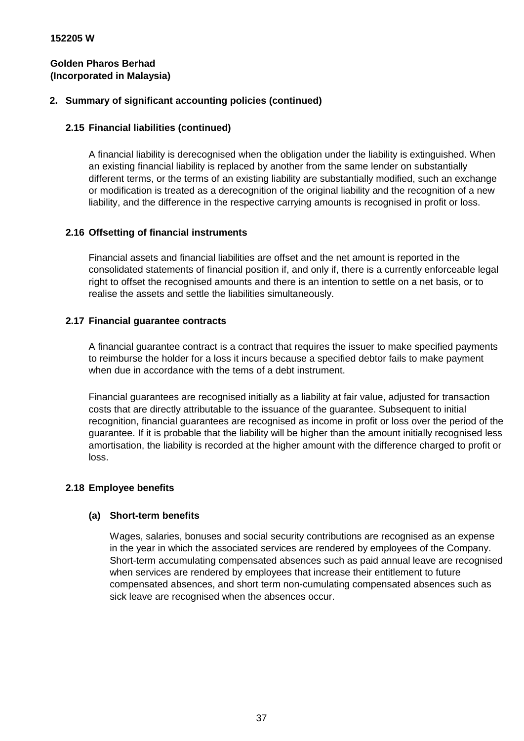# **2. Summary of significant accounting policies (continued)**

# **2.15 Financial liabilities (continued)**

A financial liability is derecognised when the obligation under the liability is extinguished. When an existing financial liability is replaced by another from the same lender on substantially different terms, or the terms of an existing liability are substantially modified, such an exchange or modification is treated as a derecognition of the original liability and the recognition of a new liability, and the difference in the respective carrying amounts is recognised in profit or loss.

# **2.16 Offsetting of financial instruments**

Financial assets and financial liabilities are offset and the net amount is reported in the consolidated statements of financial position if, and only if, there is a currently enforceable legal right to offset the recognised amounts and there is an intention to settle on a net basis, or to realise the assets and settle the liabilities simultaneously.

# **2.17 Financial guarantee contracts**

A financial guarantee contract is a contract that requires the issuer to make specified payments to reimburse the holder for a loss it incurs because a specified debtor fails to make payment when due in accordance with the tems of a debt instrument.

Financial guarantees are recognised initially as a liability at fair value, adjusted for transaction costs that are directly attributable to the issuance of the guarantee. Subsequent to initial recognition, financial guarantees are recognised as income in profit or loss over the period of the guarantee. If it is probable that the liability will be higher than the amount initially recognised less amortisation, the liability is recorded at the higher amount with the difference charged to profit or loss.

### **2.18 Employee benefits**

### **(a) Short-term benefits**

Wages, salaries, bonuses and social security contributions are recognised as an expense in the year in which the associated services are rendered by employees of the Company. Short-term accumulating compensated absences such as paid annual leave are recognised when services are rendered by employees that increase their entitlement to future compensated absences, and short term non-cumulating compensated absences such as sick leave are recognised when the absences occur.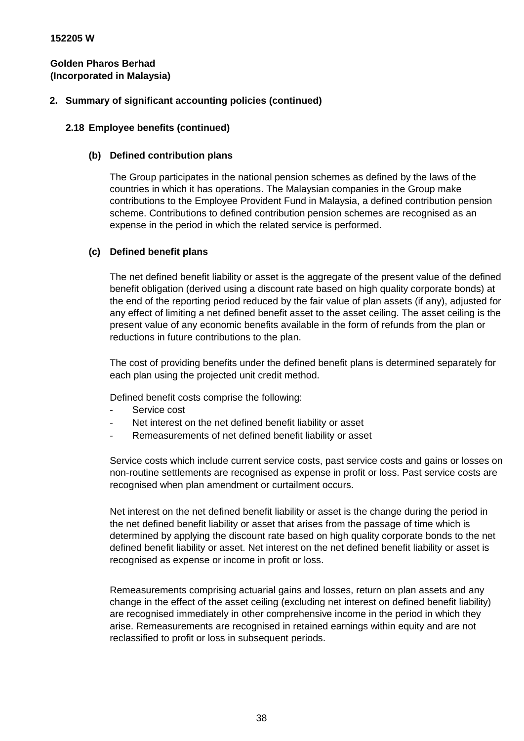# **2. Summary of significant accounting policies (continued)**

### **2.18 Employee benefits (continued)**

### **(b) Defined contribution plans**

The Group participates in the national pension schemes as defined by the laws of the countries in which it has operations. The Malaysian companies in the Group make contributions to the Employee Provident Fund in Malaysia, a defined contribution pension scheme. Contributions to defined contribution pension schemes are recognised as an expense in the period in which the related service is performed.

# **(c) Defined benefit plans**

The net defined benefit liability or asset is the aggregate of the present value of the defined benefit obligation (derived using a discount rate based on high quality corporate bonds) at the end of the reporting period reduced by the fair value of plan assets (if any), adjusted for any effect of limiting a net defined benefit asset to the asset ceiling. The asset ceiling is the present value of any economic benefits available in the form of refunds from the plan or reductions in future contributions to the plan.

The cost of providing benefits under the defined benefit plans is determined separately for each plan using the projected unit credit method.

Defined benefit costs comprise the following:

- Service cost
- Net interest on the net defined benefit liability or asset
- Remeasurements of net defined benefit liability or asset

Service costs which include current service costs, past service costs and gains or losses on non-routine settlements are recognised as expense in profit or loss. Past service costs are recognised when plan amendment or curtailment occurs.

Net interest on the net defined benefit liability or asset is the change during the period in the net defined benefit liability or asset that arises from the passage of time which is determined by applying the discount rate based on high quality corporate bonds to the net defined benefit liability or asset. Net interest on the net defined benefit liability or asset is recognised as expense or income in profit or loss.

Remeasurements comprising actuarial gains and losses, return on plan assets and any change in the effect of the asset ceiling (excluding net interest on defined benefit liability) are recognised immediately in other comprehensive income in the period in which they arise. Remeasurements are recognised in retained earnings within equity and are not reclassified to profit or loss in subsequent periods.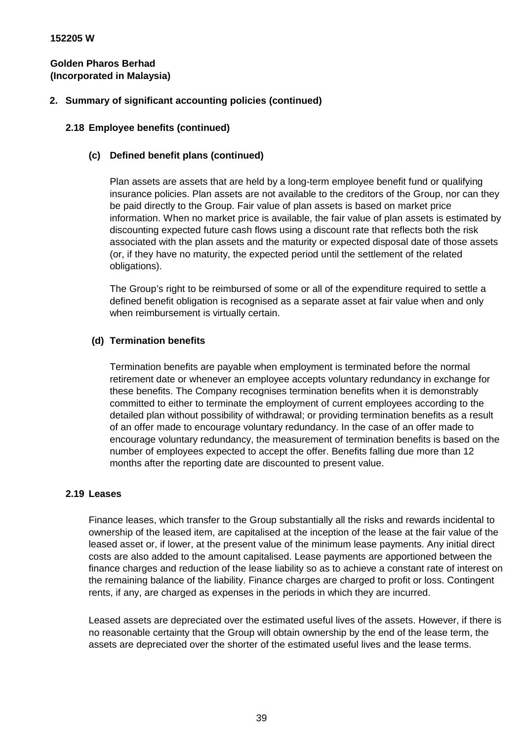# **2. Summary of significant accounting policies (continued)**

### **2.18 Employee benefits (continued)**

### **(c) Defined benefit plans (continued)**

Plan assets are assets that are held by a long-term employee benefit fund or qualifying insurance policies. Plan assets are not available to the creditors of the Group, nor can they be paid directly to the Group. Fair value of plan assets is based on market price information. When no market price is available, the fair value of plan assets is estimated by discounting expected future cash flows using a discount rate that reflects both the risk associated with the plan assets and the maturity or expected disposal date of those assets (or, if they have no maturity, the expected period until the settlement of the related obligations).

The Group's right to be reimbursed of some or all of the expenditure required to settle a defined benefit obligation is recognised as a separate asset at fair value when and only when reimbursement is virtually certain.

# **(d) Termination benefits**

Termination benefits are payable when employment is terminated before the normal retirement date or whenever an employee accepts voluntary redundancy in exchange for these benefits. The Company recognises termination benefits when it is demonstrably committed to either to terminate the employment of current employees according to the detailed plan without possibility of withdrawal; or providing termination benefits as a result of an offer made to encourage voluntary redundancy. In the case of an offer made to encourage voluntary redundancy, the measurement of termination benefits is based on the number of employees expected to accept the offer. Benefits falling due more than 12 months after the reporting date are discounted to present value.

### **2.19 Leases**

Finance leases, which transfer to the Group substantially all the risks and rewards incidental to ownership of the leased item, are capitalised at the inception of the lease at the fair value of the leased asset or, if lower, at the present value of the minimum lease payments. Any initial direct costs are also added to the amount capitalised. Lease payments are apportioned between the finance charges and reduction of the lease liability so as to achieve a constant rate of interest on the remaining balance of the liability. Finance charges are charged to profit or loss. Contingent rents, if any, are charged as expenses in the periods in which they are incurred.

Leased assets are depreciated over the estimated useful lives of the assets. However, if there is no reasonable certainty that the Group will obtain ownership by the end of the lease term, the assets are depreciated over the shorter of the estimated useful lives and the lease terms.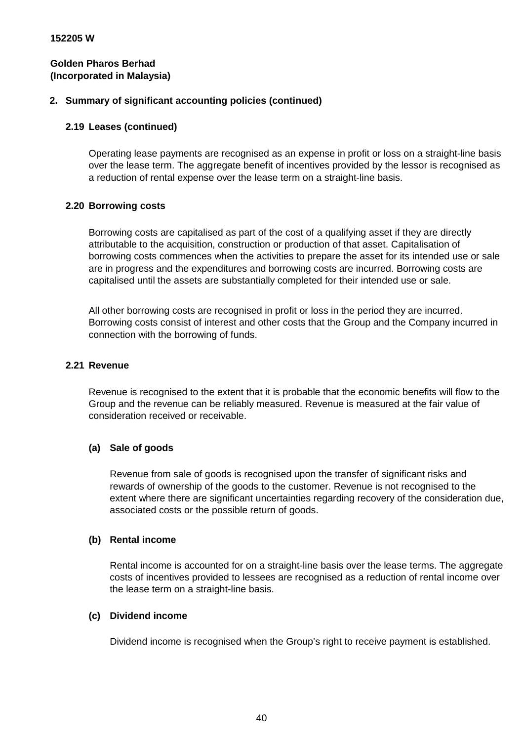### **2. Summary of significant accounting policies (continued)**

### **2.19 Leases (continued)**

Operating lease payments are recognised as an expense in profit or loss on a straight-line basis over the lease term. The aggregate benefit of incentives provided by the lessor is recognised as a reduction of rental expense over the lease term on a straight-line basis.

# **2.20 Borrowing costs**

Borrowing costs are capitalised as part of the cost of a qualifying asset if they are directly attributable to the acquisition, construction or production of that asset. Capitalisation of borrowing costs commences when the activities to prepare the asset for its intended use or sale are in progress and the expenditures and borrowing costs are incurred. Borrowing costs are capitalised until the assets are substantially completed for their intended use or sale.

All other borrowing costs are recognised in profit or loss in the period they are incurred. Borrowing costs consist of interest and other costs that the Group and the Company incurred in connection with the borrowing of funds.

# **2.21 Revenue**

Revenue is recognised to the extent that it is probable that the economic benefits will flow to the Group and the revenue can be reliably measured. Revenue is measured at the fair value of consideration received or receivable.

### **(a) Sale of goods**

Revenue from sale of goods is recognised upon the transfer of significant risks and rewards of ownership of the goods to the customer. Revenue is not recognised to the extent where there are significant uncertainties regarding recovery of the consideration due, associated costs or the possible return of goods.

### **(b) Rental income**

Rental income is accounted for on a straight-line basis over the lease terms. The aggregate costs of incentives provided to lessees are recognised as a reduction of rental income over the lease term on a straight-line basis.

### **(c) Dividend income**

Dividend income is recognised when the Group's right to receive payment is established.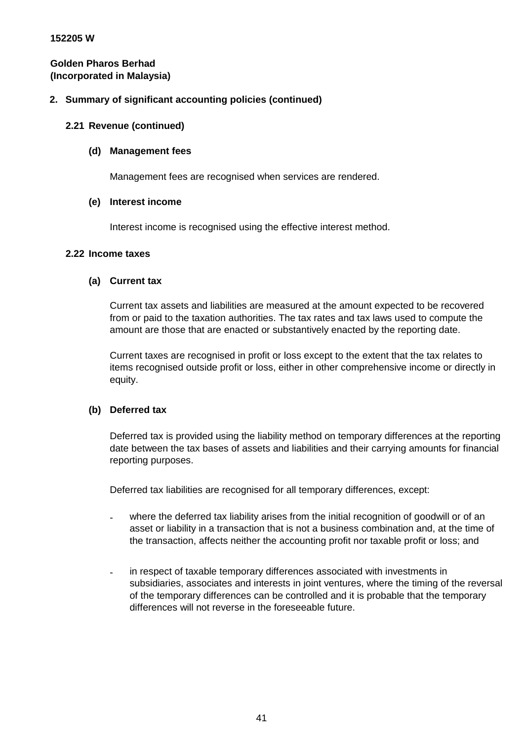### **Golden Pharos Berhad (Incorporated in Malaysia)**

### **2. Summary of significant accounting policies (continued)**

### **2.21 Revenue (continued)**

#### **(d) Management fees**

Management fees are recognised when services are rendered.

#### **(e) Interest income**

Interest income is recognised using the effective interest method.

#### **2.22 Income taxes**

#### **(a) Current tax**

Current tax assets and liabilities are measured at the amount expected to be recovered from or paid to the taxation authorities. The tax rates and tax laws used to compute the amount are those that are enacted or substantively enacted by the reporting date.

Current taxes are recognised in profit or loss except to the extent that the tax relates to items recognised outside profit or loss, either in other comprehensive income or directly in equity.

### **(b) Deferred tax**

Deferred tax is provided using the liability method on temporary differences at the reporting date between the tax bases of assets and liabilities and their carrying amounts for financial reporting purposes.

Deferred tax liabilities are recognised for all temporary differences, except:

- where the deferred tax liability arises from the initial recognition of goodwill or of an asset or liability in a transaction that is not a business combination and, at the time of the transaction, affects neither the accounting profit nor taxable profit or loss; and
- in respect of taxable temporary differences associated with investments in subsidiaries, associates and interests in joint ventures, where the timing of the reversal of the temporary differences can be controlled and it is probable that the temporary differences will not reverse in the foreseeable future.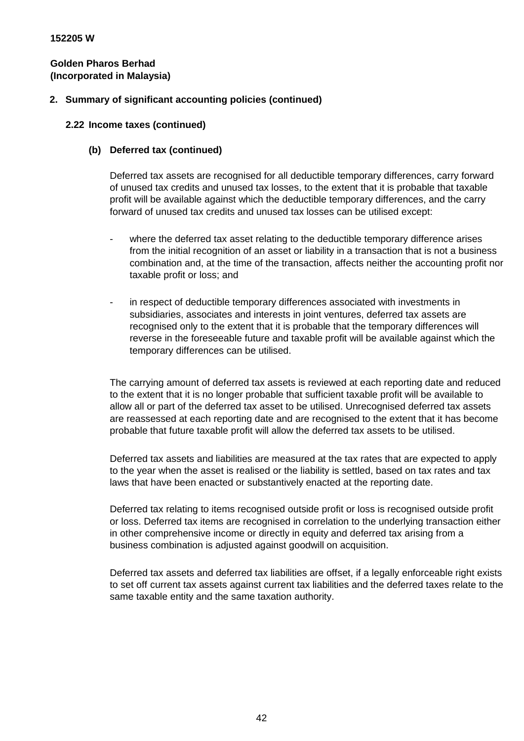# **2. Summary of significant accounting policies (continued)**

### **2.22 Income taxes (continued)**

### **(b) Deferred tax (continued)**

Deferred tax assets are recognised for all deductible temporary differences, carry forward of unused tax credits and unused tax losses, to the extent that it is probable that taxable profit will be available against which the deductible temporary differences, and the carry forward of unused tax credits and unused tax losses can be utilised except:

- where the deferred tax asset relating to the deductible temporary difference arises from the initial recognition of an asset or liability in a transaction that is not a business combination and, at the time of the transaction, affects neither the accounting profit nor taxable profit or loss; and
- in respect of deductible temporary differences associated with investments in subsidiaries, associates and interests in joint ventures, deferred tax assets are recognised only to the extent that it is probable that the temporary differences will reverse in the foreseeable future and taxable profit will be available against which the temporary differences can be utilised.

The carrying amount of deferred tax assets is reviewed at each reporting date and reduced to the extent that it is no longer probable that sufficient taxable profit will be available to allow all or part of the deferred tax asset to be utilised. Unrecognised deferred tax assets are reassessed at each reporting date and are recognised to the extent that it has become probable that future taxable profit will allow the deferred tax assets to be utilised.

Deferred tax assets and liabilities are measured at the tax rates that are expected to apply to the year when the asset is realised or the liability is settled, based on tax rates and tax laws that have been enacted or substantively enacted at the reporting date.

Deferred tax relating to items recognised outside profit or loss is recognised outside profit or loss. Deferred tax items are recognised in correlation to the underlying transaction either in other comprehensive income or directly in equity and deferred tax arising from a business combination is adjusted against goodwill on acquisition.

Deferred tax assets and deferred tax liabilities are offset, if a legally enforceable right exists to set off current tax assets against current tax liabilities and the deferred taxes relate to the same taxable entity and the same taxation authority.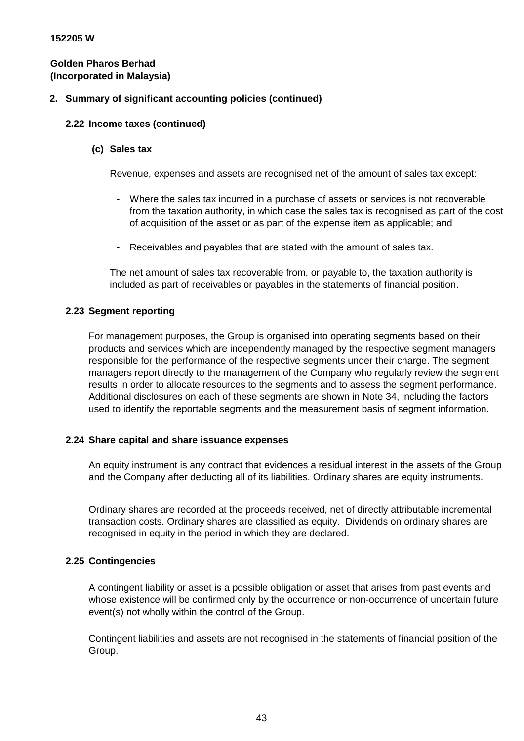### **Golden Pharos Berhad (Incorporated in Malaysia)**

# **2. Summary of significant accounting policies (continued)**

### **2.22 Income taxes (continued)**

### **(c) Sales tax**

Revenue, expenses and assets are recognised net of the amount of sales tax except:

- Where the sales tax incurred in a purchase of assets or services is not recoverable from the taxation authority, in which case the sales tax is recognised as part of the cost of acquisition of the asset or as part of the expense item as applicable; and
- Receivables and payables that are stated with the amount of sales tax.

The net amount of sales tax recoverable from, or payable to, the taxation authority is included as part of receivables or payables in the statements of financial position.

### **2.23 Segment reporting**

For management purposes, the Group is organised into operating segments based on their products and services which are independently managed by the respective segment managers responsible for the performance of the respective segments under their charge. The segment managers report directly to the management of the Company who regularly review the segment results in order to allocate resources to the segments and to assess the segment performance. Additional disclosures on each of these segments are shown in Note 34, including the factors used to identify the reportable segments and the measurement basis of segment information.

### **2.24 Share capital and share issuance expenses**

An equity instrument is any contract that evidences a residual interest in the assets of the Group and the Company after deducting all of its liabilities. Ordinary shares are equity instruments.

Ordinary shares are recorded at the proceeds received, net of directly attributable incremental transaction costs. Ordinary shares are classified as equity. Dividends on ordinary shares are recognised in equity in the period in which they are declared.

### **2.25 Contingencies**

A contingent liability or asset is a possible obligation or asset that arises from past events and whose existence will be confirmed only by the occurrence or non-occurrence of uncertain future event(s) not wholly within the control of the Group.

Contingent liabilities and assets are not recognised in the statements of financial position of the Group.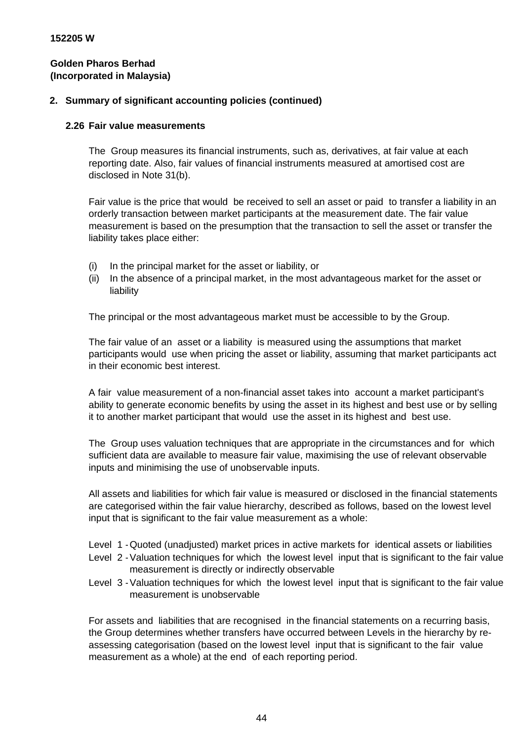# **2. Summary of significant accounting policies (continued)**

### **2.26 Fair value measurements**

The Group measures its financial instruments, such as, derivatives, at fair value at each reporting date. Also, fair values of financial instruments measured at amortised cost are disclosed in Note 31(b).

Fair value is the price that would be received to sell an asset or paid to transfer a liability in an orderly transaction between market participants at the measurement date. The fair value measurement is based on the presumption that the transaction to sell the asset or transfer the liability takes place either:

- (i) In the principal market for the asset or liability, or
- (ii) In the absence of a principal market, in the most advantageous market for the asset or liability

The principal or the most advantageous market must be accessible to by the Group.

The fair value of an asset or a liability is measured using the assumptions that market participants would use when pricing the asset or liability, assuming that market participants act in their economic best interest.

A fair value measurement of a non-financial asset takes into account a market participant's ability to generate economic benefits by using the asset in its highest and best use or by selling it to another market participant that would use the asset in its highest and best use.

The Group uses valuation techniques that are appropriate in the circumstances and for which sufficient data are available to measure fair value, maximising the use of relevant observable inputs and minimising the use of unobservable inputs.

All assets and liabilities for which fair value is measured or disclosed in the financial statements are categorised within the fair value hierarchy, described as follows, based on the lowest level input that is significant to the fair value measurement as a whole:

Level 1 - Quoted (unadjusted) market prices in active markets for identical assets or liabilities

- Level 2 Valuation techniques for which the lowest level input that is significant to the fair value measurement is directly or indirectly observable
- Level 3 Valuation techniques for which the lowest level input that is significant to the fair value measurement is unobservable

For assets and liabilities that are recognised in the financial statements on a recurring basis, the Group determines whether transfers have occurred between Levels in the hierarchy by reassessing categorisation (based on the lowest level input that is significant to the fair value measurement as a whole) at the end of each reporting period.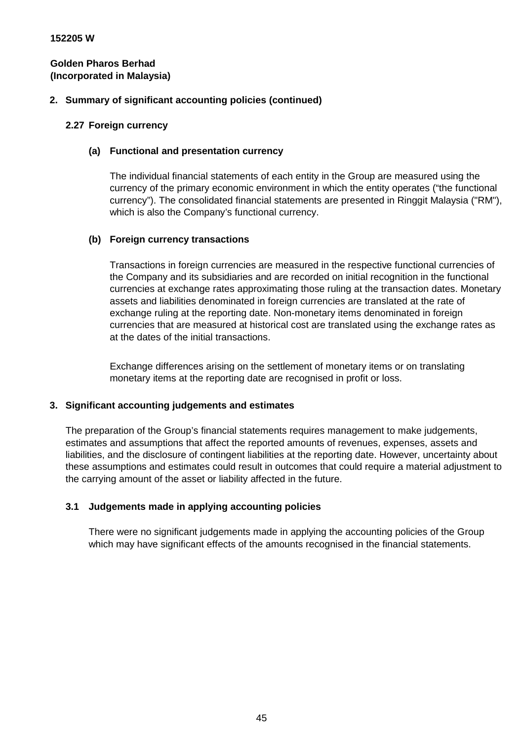# **2. Summary of significant accounting policies (continued)**

# **2.27 Foreign currency**

# **(a) Functional and presentation currency**

The individual financial statements of each entity in the Group are measured using the currency of the primary economic environment in which the entity operates ("the functional currency"). The consolidated financial statements are presented in Ringgit Malaysia ("RM"), which is also the Company's functional currency.

# **(b) Foreign currency transactions**

Transactions in foreign currencies are measured in the respective functional currencies of the Company and its subsidiaries and are recorded on initial recognition in the functional currencies at exchange rates approximating those ruling at the transaction dates. Monetary assets and liabilities denominated in foreign currencies are translated at the rate of exchange ruling at the reporting date. Non-monetary items denominated in foreign currencies that are measured at historical cost are translated using the exchange rates as at the dates of the initial transactions.

Exchange differences arising on the settlement of monetary items or on translating monetary items at the reporting date are recognised in profit or loss.

### **3. Significant accounting judgements and estimates**

The preparation of the Group's financial statements requires management to make judgements, estimates and assumptions that affect the reported amounts of revenues, expenses, assets and liabilities, and the disclosure of contingent liabilities at the reporting date. However, uncertainty about these assumptions and estimates could result in outcomes that could require a material adjustment to the carrying amount of the asset or liability affected in the future.

# **3.1 Judgements made in applying accounting policies**

There were no significant judgements made in applying the accounting policies of the Group which may have significant effects of the amounts recognised in the financial statements.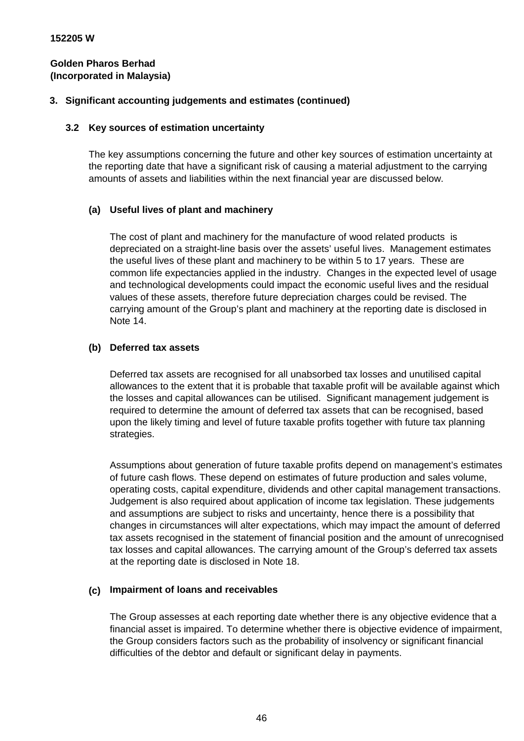### **3. Significant accounting judgements and estimates (continued)**

### **3.2 Key sources of estimation uncertainty**

The key assumptions concerning the future and other key sources of estimation uncertainty at the reporting date that have a significant risk of causing a material adjustment to the carrying amounts of assets and liabilities within the next financial year are discussed below.

### **(a) Useful lives of plant and machinery**

The cost of plant and machinery for the manufacture of wood related products is depreciated on a straight-line basis over the assets' useful lives. Management estimates the useful lives of these plant and machinery to be within 5 to 17 years. These are common life expectancies applied in the industry. Changes in the expected level of usage and technological developments could impact the economic useful lives and the residual values of these assets, therefore future depreciation charges could be revised. The carrying amount of the Group's plant and machinery at the reporting date is disclosed in Note 14.

# **(b) Deferred tax assets**

Deferred tax assets are recognised for all unabsorbed tax losses and unutilised capital allowances to the extent that it is probable that taxable profit will be available against which the losses and capital allowances can be utilised. Significant management judgement is required to determine the amount of deferred tax assets that can be recognised, based upon the likely timing and level of future taxable profits together with future tax planning strategies.

Assumptions about generation of future taxable profits depend on management's estimates of future cash flows. These depend on estimates of future production and sales volume, operating costs, capital expenditure, dividends and other capital management transactions. Judgement is also required about application of income tax legislation. These judgements and assumptions are subject to risks and uncertainty, hence there is a possibility that changes in circumstances will alter expectations, which may impact the amount of deferred tax assets recognised in the statement of financial position and the amount of unrecognised tax losses and capital allowances. The carrying amount of the Group's deferred tax assets at the reporting date is disclosed in Note 18.

### **(c) Impairment of loans and receivables**

The Group assesses at each reporting date whether there is any objective evidence that a financial asset is impaired. To determine whether there is objective evidence of impairment, the Group considers factors such as the probability of insolvency or significant financial difficulties of the debtor and default or significant delay in payments.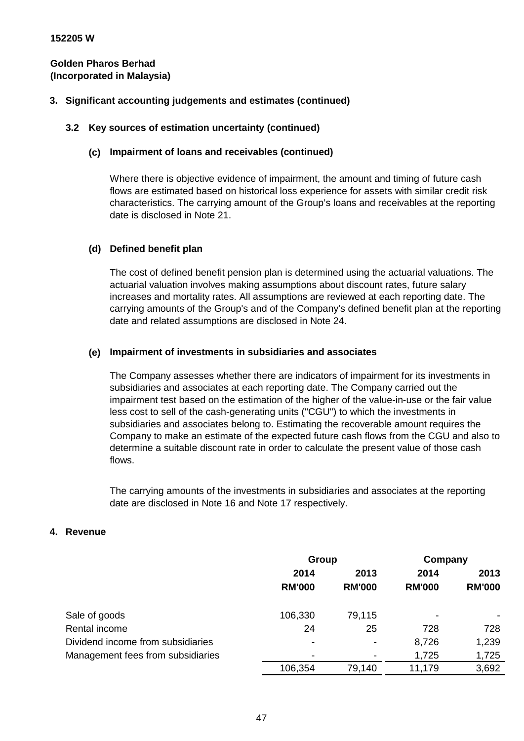### **3. Significant accounting judgements and estimates (continued)**

### **3.2 Key sources of estimation uncertainty (continued)**

#### **(c) Impairment of loans and receivables (continued)**

Where there is objective evidence of impairment, the amount and timing of future cash flows are estimated based on historical loss experience for assets with similar credit risk characteristics. The carrying amount of the Group's loans and receivables at the reporting date is disclosed in Note 21.

#### **(d) Defined benefit plan**

The cost of defined benefit pension plan is determined using the actuarial valuations. The actuarial valuation involves making assumptions about discount rates, future salary increases and mortality rates. All assumptions are reviewed at each reporting date. The carrying amounts of the Group's and of the Company's defined benefit plan at the reporting date and related assumptions are disclosed in Note 24.

#### **(e) Impairment of investments in subsidiaries and associates**

The Company assesses whether there are indicators of impairment for its investments in subsidiaries and associates at each reporting date. The Company carried out the impairment test based on the estimation of the higher of the value-in-use or the fair value less cost to sell of the cash-generating units ("CGU") to which the investments in subsidiaries and associates belong to. Estimating the recoverable amount requires the Company to make an estimate of the expected future cash flows from the CGU and also to determine a suitable discount rate in order to calculate the present value of those cash flows.

The carrying amounts of the investments in subsidiaries and associates at the reporting date are disclosed in Note 16 and Note 17 respectively.

#### **4. Revenue**

|                                   | Group         |               | Company       |               |      |      |  |      |
|-----------------------------------|---------------|---------------|---------------|---------------|------|------|--|------|
|                                   | 2014          |               |               |               | 2013 | 2014 |  | 2013 |
|                                   | <b>RM'000</b> | <b>RM'000</b> | <b>RM'000</b> | <b>RM'000</b> |      |      |  |      |
| Sale of goods                     | 106,330       | 79,115        |               |               |      |      |  |      |
| Rental income                     | 24            | 25            | 728           | 728           |      |      |  |      |
| Dividend income from subsidiaries |               |               | 8,726         | 1,239         |      |      |  |      |
| Management fees from subsidiaries |               |               | 1,725         | 1,725         |      |      |  |      |
|                                   | 106,354       | 79,140        | 11,179        | 3,692         |      |      |  |      |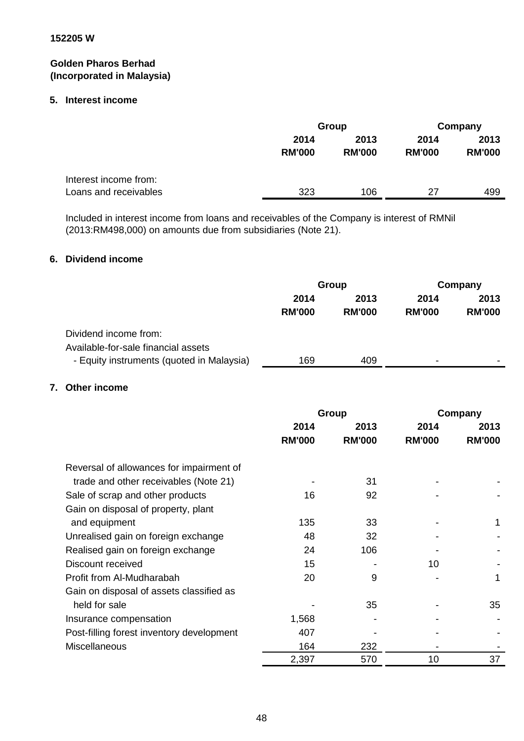### **5. Interest income**

|                       | Group                 |                       | Company               |                       |
|-----------------------|-----------------------|-----------------------|-----------------------|-----------------------|
|                       | 2014<br><b>RM'000</b> | 2013<br><b>RM'000</b> | 2014<br><b>RM'000</b> | 2013<br><b>RM'000</b> |
| Interest income from: |                       |                       |                       |                       |
| Loans and receivables | 323                   | 106                   | 27                    | 499                   |

Included in interest income from loans and receivables of the Company is interest of RMNil (2013:RM498,000) on amounts due from subsidiaries (Note 21).

# **6. Dividend income**

|                                           | Group         |               | Company       |               |
|-------------------------------------------|---------------|---------------|---------------|---------------|
|                                           | 2014          | 2013<br>2014  |               | 2013          |
|                                           | <b>RM'000</b> | <b>RM'000</b> | <b>RM'000</b> | <b>RM'000</b> |
| Dividend income from:                     |               |               |               |               |
| Available-for-sale financial assets       |               |               |               |               |
| - Equity instruments (quoted in Malaysia) | 169           | 409           | -             |               |

# **7. Other income**

|                                                                                   | Group                 |                       |                       | Company               |
|-----------------------------------------------------------------------------------|-----------------------|-----------------------|-----------------------|-----------------------|
|                                                                                   | 2014<br><b>RM'000</b> | 2013<br><b>RM'000</b> | 2014<br><b>RM'000</b> | 2013<br><b>RM'000</b> |
| Reversal of allowances for impairment of<br>trade and other receivables (Note 21) |                       | 31                    |                       |                       |
| Sale of scrap and other products                                                  | 16                    | 92                    |                       |                       |
| Gain on disposal of property, plant                                               |                       |                       |                       |                       |
| and equipment                                                                     | 135                   | 33                    |                       | 1                     |
| Unrealised gain on foreign exchange                                               | 48                    | 32                    |                       |                       |
| Realised gain on foreign exchange                                                 | 24                    | 106                   |                       |                       |
| Discount received                                                                 | 15                    |                       | 10                    |                       |
| Profit from Al-Mudharabah                                                         | 20                    | 9                     |                       |                       |
| Gain on disposal of assets classified as                                          |                       |                       |                       |                       |
| held for sale                                                                     |                       | 35                    |                       | 35                    |
| Insurance compensation                                                            | 1,568                 |                       |                       |                       |
| Post-filling forest inventory development                                         | 407                   |                       |                       |                       |
| <b>Miscellaneous</b>                                                              | 164                   | 232                   |                       |                       |
|                                                                                   | 2,397                 | 570                   | 10                    | 37                    |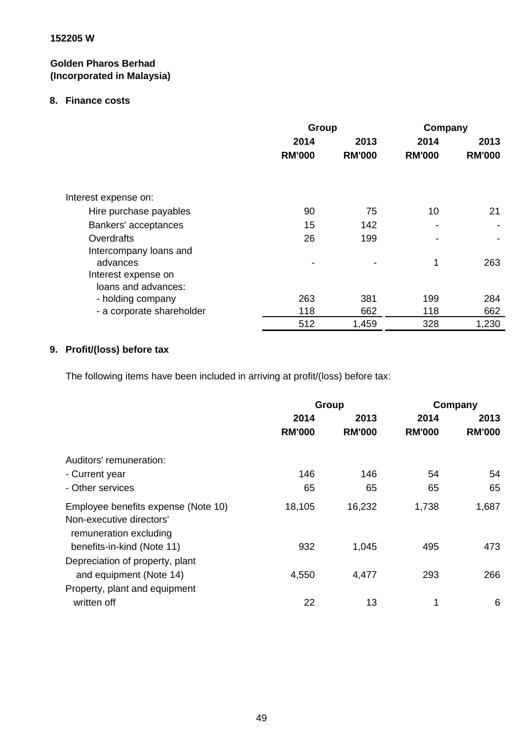### **8. Finance costs**

|                                                        | Group                 |                       | Company               |                       |
|--------------------------------------------------------|-----------------------|-----------------------|-----------------------|-----------------------|
|                                                        | 2014<br><b>RM'000</b> | 2013<br><b>RM'000</b> | 2014<br><b>RM'000</b> | 2013<br><b>RM'000</b> |
| Interest expense on:                                   |                       |                       |                       |                       |
| Hire purchase payables                                 | 90                    | 75                    | 10                    | 21                    |
| Bankers' acceptances                                   | 15                    | 142                   |                       |                       |
| Overdrafts<br>Intercompany loans and                   | 26                    | 199                   |                       |                       |
| advances<br>Interest expense on<br>loans and advances: | -                     |                       | 1                     | 263                   |
| - holding company                                      | 263                   | 381                   | 199                   | 284                   |
| - a corporate shareholder                              | 118                   | 662                   | 118                   | 662                   |
|                                                        | 512                   | 1,459                 | 328                   | 1,230                 |

# **9. Profit/(loss) before tax**

The following items have been included in arriving at profit/(loss) before tax:

|                                                                                           | Group                 |                       | Company               |                       |
|-------------------------------------------------------------------------------------------|-----------------------|-----------------------|-----------------------|-----------------------|
|                                                                                           | 2014<br><b>RM'000</b> | 2013<br><b>RM'000</b> | 2014<br><b>RM'000</b> | 2013<br><b>RM'000</b> |
| Auditors' remuneration:                                                                   |                       |                       |                       |                       |
| - Current year                                                                            | 146                   | 146                   | 54                    | 54                    |
| - Other services                                                                          | 65                    | 65                    | 65                    | 65                    |
| Employee benefits expense (Note 10)<br>Non-executive directors'<br>remuneration excluding | 18,105                | 16,232                | 1,738                 | 1,687                 |
| benefits-in-kind (Note 11)                                                                | 932                   | 1,045                 | 495                   | 473                   |
| Depreciation of property, plant<br>and equipment (Note 14)                                | 4,550                 | 4,477                 | 293                   | 266                   |
| Property, plant and equipment                                                             |                       |                       |                       |                       |
| written off                                                                               | 22                    | 13                    | 1                     | 6                     |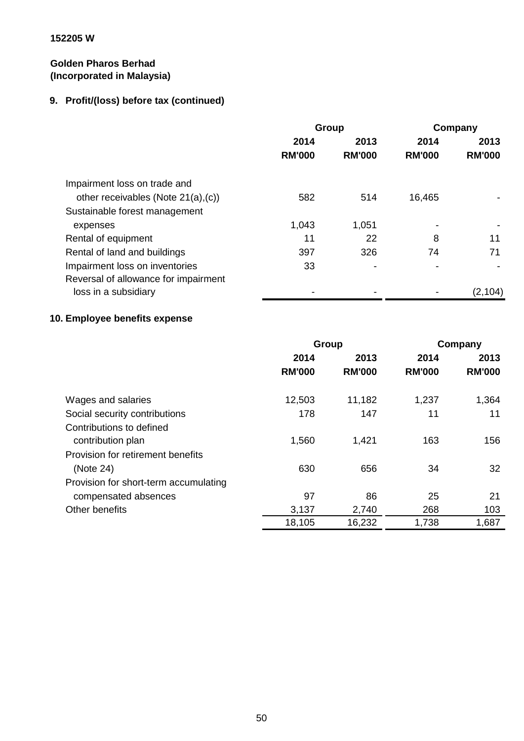# **Golden Pharos Berhad (Incorporated in Malaysia)**

# **9. Profit/(loss) before tax (continued)**

|                                      | Group         |               | Company       |               |      |      |
|--------------------------------------|---------------|---------------|---------------|---------------|------|------|
|                                      | 2014          |               |               | 2013          | 2014 | 2013 |
|                                      | <b>RM'000</b> | <b>RM'000</b> | <b>RM'000</b> | <b>RM'000</b> |      |      |
| Impairment loss on trade and         |               |               |               |               |      |      |
| other receivables (Note 21(a), (c))  | 582           | 514           | 16,465        |               |      |      |
| Sustainable forest management        |               |               |               |               |      |      |
| expenses                             | 1,043         | 1,051         |               |               |      |      |
| Rental of equipment                  | 11            | 22            | 8             | 11            |      |      |
| Rental of land and buildings         | 397           | 326           | 74            | 71            |      |      |
| Impairment loss on inventories       | 33            |               |               |               |      |      |
| Reversal of allowance for impairment |               |               |               |               |      |      |
| loss in a subsidiary                 |               |               |               | (2, 104)      |      |      |

# **10. Employee benefits expense**

|                                       | Group         |               | Company       |               |
|---------------------------------------|---------------|---------------|---------------|---------------|
|                                       | 2014          | 2013          | 2014          | 2013          |
|                                       | <b>RM'000</b> | <b>RM'000</b> | <b>RM'000</b> | <b>RM'000</b> |
| Wages and salaries                    | 12,503        | 11,182        | 1,237         | 1,364         |
| Social security contributions         | 178           | 147           | 11            | 11            |
| Contributions to defined              |               |               |               |               |
| contribution plan                     | 1,560         | 1,421         | 163           | 156           |
| Provision for retirement benefits     |               |               |               |               |
| (Note 24)                             | 630           | 656           | 34            | 32            |
| Provision for short-term accumulating |               |               |               |               |
| compensated absences                  | 97            | 86            | 25            | 21            |
| Other benefits                        | 3,137         | 2,740         | 268           | 103           |
|                                       | 18,105        | 16,232        | 1,738         | 1,687         |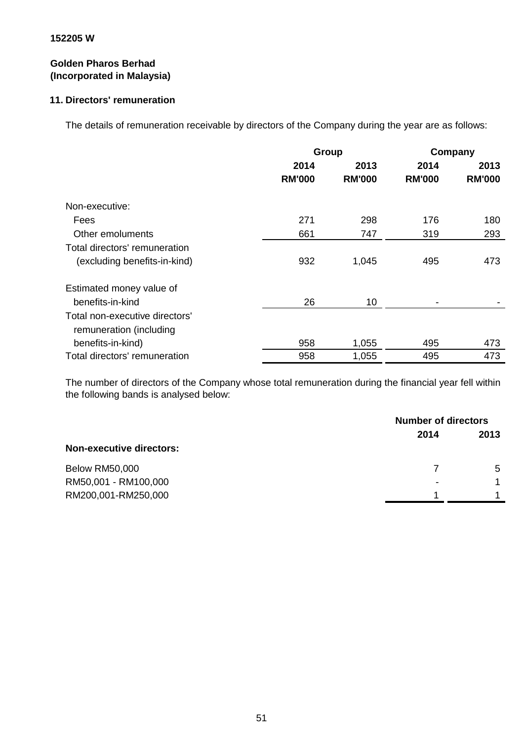# **11. Directors' remuneration**

The details of remuneration receivable by directors of the Company during the year are as follows:

|                                                           | Group         |               | Company       |               |
|-----------------------------------------------------------|---------------|---------------|---------------|---------------|
|                                                           | 2014          | 2013          | 2014          | 2013          |
|                                                           | <b>RM'000</b> | <b>RM'000</b> | <b>RM'000</b> | <b>RM'000</b> |
| Non-executive:                                            |               |               |               |               |
| Fees                                                      | 271           | 298           | 176           | 180           |
| Other emoluments                                          | 661           | 747           | 319           | 293           |
| Total directors' remuneration                             |               |               |               |               |
| (excluding benefits-in-kind)                              | 932           | 1,045         | 495           | 473           |
| Estimated money value of                                  |               |               |               |               |
| benefits-in-kind                                          | 26            | 10            |               |               |
| Total non-executive directors'<br>remuneration (including |               |               |               |               |
| benefits-in-kind)                                         | 958           | 1,055         | 495           | 473           |
| Total directors' remuneration                             | 958           | 1,055         | 495           | 473           |

The number of directors of the Company whose total remuneration during the financial year fell within the following bands is analysed below:

|                                 | <b>Number of directors</b> |      |
|---------------------------------|----------------------------|------|
|                                 | 2014                       | 2013 |
| <b>Non-executive directors:</b> |                            |      |
| <b>Below RM50,000</b>           |                            | 5    |
| RM50,001 - RM100,000            | -                          | -1   |
| RM200,001-RM250,000             |                            | 4    |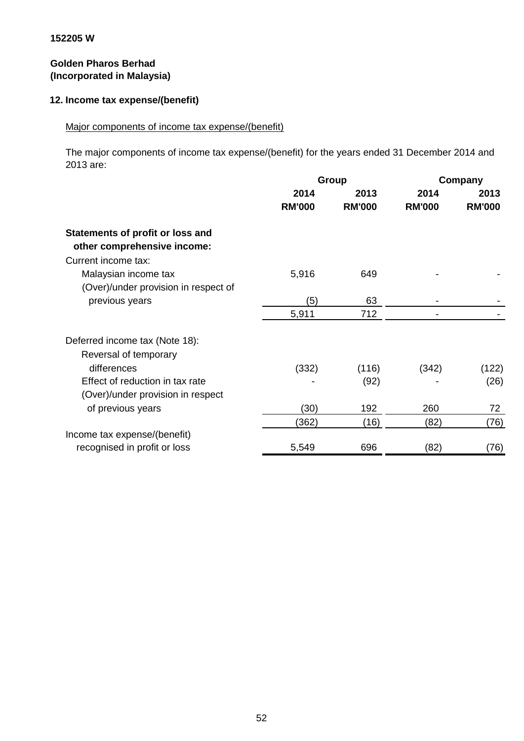# **12. Income tax expense/(benefit)**

# Major components of income tax expense/(benefit)

The major components of income tax expense/(benefit) for the years ended 31 December 2014 and 2013 are:

|                                                                 |               | Group         | Company       |               |
|-----------------------------------------------------------------|---------------|---------------|---------------|---------------|
|                                                                 | 2014          | 2013          | 2014          | 2013          |
|                                                                 | <b>RM'000</b> | <b>RM'000</b> | <b>RM'000</b> | <b>RM'000</b> |
| Statements of profit or loss and<br>other comprehensive income: |               |               |               |               |
| Current income tax:                                             |               |               |               |               |
| Malaysian income tax                                            | 5,916         | 649           |               |               |
| (Over)/under provision in respect of                            |               |               |               |               |
| previous years                                                  | (5)           | 63            |               |               |
|                                                                 | 5,911         | 712           |               |               |
| Deferred income tax (Note 18):                                  |               |               |               |               |
| Reversal of temporary                                           |               |               |               |               |
| differences                                                     | (332)         | (116)         | (342)         | (122)         |
| Effect of reduction in tax rate                                 |               | (92)          |               | (26)          |
| (Over)/under provision in respect                               |               |               |               |               |
| of previous years                                               | (30)          | 192           | 260           | 72            |
|                                                                 | (362)         | (16)          | (82)          | (76)          |
| Income tax expense/(benefit)                                    |               |               |               |               |
| recognised in profit or loss                                    | 5,549         | 696           | (82)          | (76)          |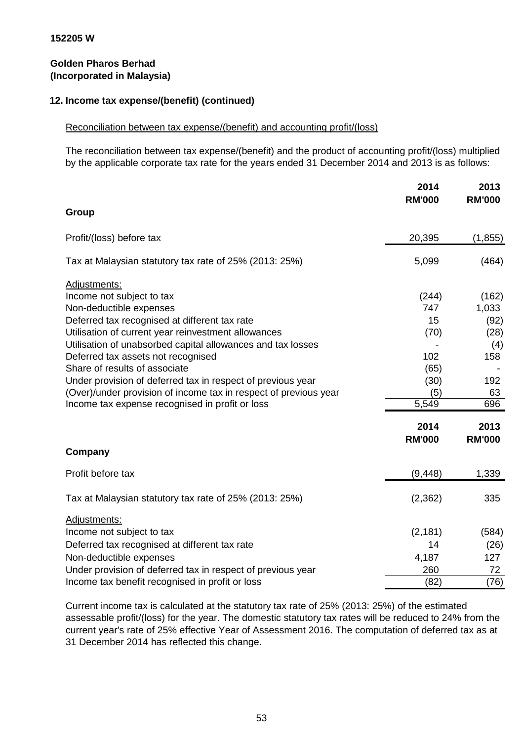# **12. Income tax expense/(benefit) (continued)**

#### Reconciliation between tax expense/(benefit) and accounting profit/(loss)

The reconciliation between tax expense/(benefit) and the product of accounting profit/(loss) multiplied by the applicable corporate tax rate for the years ended 31 December 2014 and 2013 is as follows:

|                                                                     | 2014<br><b>RM'000</b> | 2013<br><b>RM'000</b> |
|---------------------------------------------------------------------|-----------------------|-----------------------|
| <b>Group</b>                                                        |                       |                       |
| Profit/(loss) before tax                                            | 20,395                | (1, 855)              |
| Tax at Malaysian statutory tax rate of 25% (2013: 25%)              | 5,099                 | (464)                 |
| Adjustments:                                                        |                       |                       |
| Income not subject to tax                                           | (244)                 | (162)                 |
| Non-deductible expenses                                             | 747                   | 1,033                 |
| Deferred tax recognised at different tax rate                       | 15                    | (92)                  |
| Utilisation of current year reinvestment allowances                 | (70)                  | (28)                  |
| Utilisation of unabsorbed capital allowances and tax losses         | 102                   | (4)<br>158            |
| Deferred tax assets not recognised<br>Share of results of associate | (65)                  |                       |
| Under provision of deferred tax in respect of previous year         | (30)                  | 192                   |
| (Over)/under provision of income tax in respect of previous year    | (5)                   | 63                    |
| Income tax expense recognised in profit or loss                     | 5,549                 | 696                   |
|                                                                     | 2014                  | 2013                  |
|                                                                     | <b>RM'000</b>         | <b>RM'000</b>         |
| Company                                                             |                       |                       |
| Profit before tax                                                   | (9, 448)              | 1,339                 |
| Tax at Malaysian statutory tax rate of 25% (2013: 25%)              | (2, 362)              | 335                   |
| Adjustments:                                                        |                       |                       |
| Income not subject to tax                                           | (2, 181)              | (584)                 |
| Deferred tax recognised at different tax rate                       | 14                    | (26)                  |
| Non-deductible expenses                                             | 4,187                 | 127                   |
| Under provision of deferred tax in respect of previous year         | 260                   | 72                    |
| Income tax benefit recognised in profit or loss                     | (82)                  | (76)                  |

Current income tax is calculated at the statutory tax rate of 25% (2013: 25%) of the estimated assessable profit/(loss) for the year. The domestic statutory tax rates will be reduced to 24% from the current year's rate of 25% effective Year of Assessment 2016. The computation of deferred tax as at 31 December 2014 has reflected this change.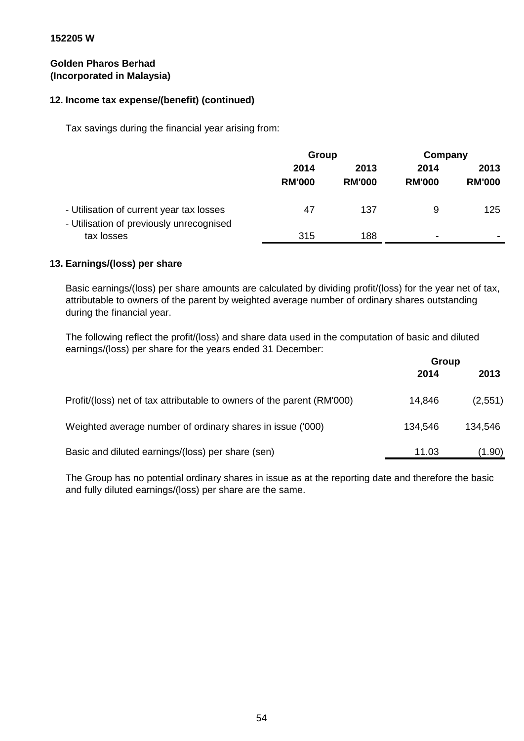# **Golden Pharos Berhad (Incorporated in Malaysia)**

# **12. Income tax expense/(benefit) (continued)**

Tax savings during the financial year arising from:

|                                                                                      | Group                 |                       | Company               |                       |
|--------------------------------------------------------------------------------------|-----------------------|-----------------------|-----------------------|-----------------------|
|                                                                                      | 2014<br><b>RM'000</b> | 2013<br><b>RM'000</b> | 2014<br><b>RM'000</b> | 2013<br><b>RM'000</b> |
| - Utilisation of current year tax losses<br>- Utilisation of previously unrecognised | 47                    | 137                   | 9                     | 125                   |
| tax losses                                                                           | 315                   | 188                   | -                     |                       |

# **13. Earnings/(loss) per share**

Basic earnings/(loss) per share amounts are calculated by dividing profit/(loss) for the year net of tax, attributable to owners of the parent by weighted average number of ordinary shares outstanding during the financial year.

The following reflect the profit/(loss) and share data used in the computation of basic and diluted earnings/(loss) per share for the years ended 31 December:

|                                                                        | Group   |         |
|------------------------------------------------------------------------|---------|---------|
|                                                                        | 2014    | 2013    |
| Profit/(loss) net of tax attributable to owners of the parent (RM'000) | 14,846  | (2,551) |
| Weighted average number of ordinary shares in issue ('000)             | 134,546 | 134,546 |
| Basic and diluted earnings/(loss) per share (sen)                      | 11.03   | (1.90)  |

The Group has no potential ordinary shares in issue as at the reporting date and therefore the basic and fully diluted earnings/(loss) per share are the same.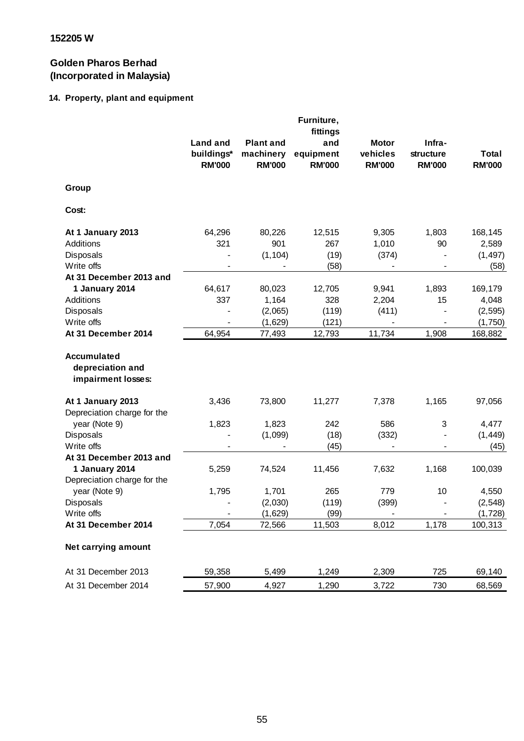# **14. Property, plant and equipment**

|                                                              |                 |                  | Furniture,<br>fittings |               |               |               |
|--------------------------------------------------------------|-----------------|------------------|------------------------|---------------|---------------|---------------|
|                                                              | <b>Land and</b> | <b>Plant and</b> | and                    | <b>Motor</b>  | Infra-        |               |
|                                                              | buildings*      | machinery        | equipment              | vehicles      | structure     | Total         |
|                                                              | <b>RM'000</b>   | <b>RM'000</b>    | <b>RM'000</b>          | <b>RM'000</b> | <b>RM'000</b> | <b>RM'000</b> |
| Group                                                        |                 |                  |                        |               |               |               |
| Cost:                                                        |                 |                  |                        |               |               |               |
| At 1 January 2013                                            | 64,296          | 80,226           | 12,515                 | 9,305         | 1,803         | 168,145       |
| Additions                                                    | 321             | 901              | 267                    | 1,010         | 90            | 2,589         |
| Disposals                                                    |                 | (1, 104)         | (19)                   | (374)         |               | (1, 497)      |
| Write offs                                                   |                 |                  | (58)                   |               |               | (58)          |
| At 31 December 2013 and                                      |                 |                  |                        |               |               |               |
| 1 January 2014                                               | 64,617          | 80,023           | 12,705                 | 9,941         | 1,893         | 169,179       |
| Additions                                                    | 337             | 1,164            | 328                    | 2,204         | 15            | 4,048         |
| Disposals                                                    |                 | (2,065)          | (119)                  | (411)         |               | (2, 595)      |
| Write offs                                                   |                 | (1,629)          | (121)                  |               |               | (1,750)       |
| At 31 December 2014                                          | 64,954          | 77,493           | 12,793                 | 11,734        | 1,908         | 168,882       |
| <b>Accumulated</b><br>depreciation and<br>impairment losses: |                 |                  |                        |               |               |               |
| At 1 January 2013                                            | 3,436           | 73,800           | 11,277                 | 7,378         | 1,165         | 97,056        |
| Depreciation charge for the                                  |                 |                  |                        |               |               |               |
| year (Note 9)                                                | 1,823           | 1,823            | 242                    | 586           | 3             | 4,477         |
| Disposals                                                    |                 | (1,099)          | (18)                   | (332)         |               | (1, 449)      |
| Write offs                                                   |                 |                  | (45)                   |               |               | (45)          |
| At 31 December 2013 and                                      |                 |                  |                        |               |               |               |
| 1 January 2014                                               | 5,259           | 74,524           | 11,456                 | 7,632         | 1,168         | 100,039       |
| Depreciation charge for the                                  |                 |                  |                        |               |               |               |
| year (Note 9)                                                | 1,795           | 1,701            | 265                    | 779           | 10            | 4,550         |
| Disposals                                                    |                 | (2,030)          | (119)                  | (399)         |               | (2, 548)      |
| Write offs                                                   |                 | (1,629)          | (99)                   |               |               | (1,728)       |
| At 31 December 2014                                          | 7,054           | 72,566           | 11,503                 | 8,012         | 1,178         | 100,313       |
| Net carrying amount                                          |                 |                  |                        |               |               |               |
| At 31 December 2013                                          | 59,358          | 5,499            | 1,249                  | 2,309         | 725           | 69,140        |
| At 31 December 2014                                          | 57,900          | 4,927            | 1,290                  | 3,722         | 730           | 68,569        |
|                                                              |                 |                  |                        |               |               |               |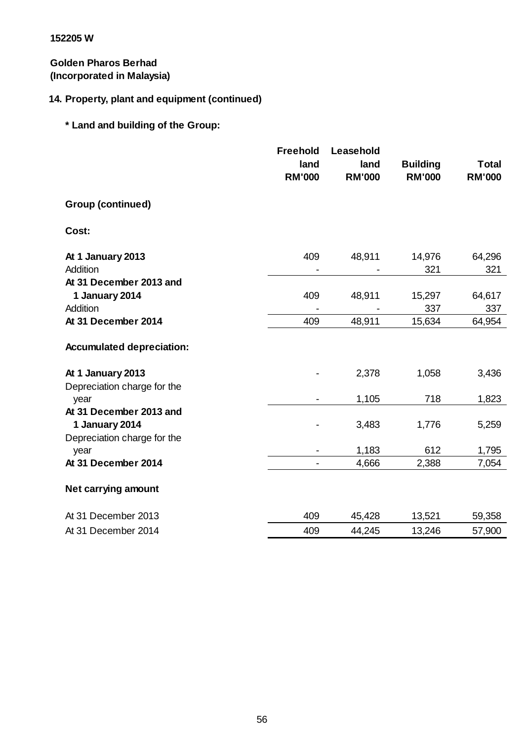# **Golden Pharos Berhad (Incorporated in Malaysia)**

# **14. Property, plant and equipment (continued)**

# **\* Land and building of the Group:**

|                                  | <b>Freehold</b><br>land<br><b>RM'000</b> | Leasehold<br>land<br><b>RM'000</b> | <b>Building</b><br><b>RM'000</b> | <b>Total</b><br><b>RM'000</b> |
|----------------------------------|------------------------------------------|------------------------------------|----------------------------------|-------------------------------|
| <b>Group (continued)</b>         |                                          |                                    |                                  |                               |
| Cost:                            |                                          |                                    |                                  |                               |
| At 1 January 2013                | 409                                      | 48,911                             | 14,976                           | 64,296                        |
| Addition                         |                                          |                                    | 321                              | 321                           |
| At 31 December 2013 and          |                                          |                                    |                                  |                               |
| 1 January 2014                   | 409                                      | 48,911                             | 15,297                           | 64,617                        |
| Addition                         |                                          |                                    | 337                              | 337                           |
| At 31 December 2014              | 409                                      | 48,911                             | 15,634                           | 64,954                        |
| <b>Accumulated depreciation:</b> |                                          |                                    |                                  |                               |
| At 1 January 2013                |                                          | 2,378                              | 1,058                            | 3,436                         |
| Depreciation charge for the      |                                          |                                    |                                  |                               |
| year                             |                                          | 1,105                              | 718                              | 1,823                         |
| At 31 December 2013 and          |                                          |                                    |                                  |                               |
| 1 January 2014                   |                                          | 3,483                              | 1,776                            | 5,259                         |
| Depreciation charge for the      |                                          |                                    |                                  |                               |
| year                             |                                          | 1,183                              | 612                              | 1,795                         |
| At 31 December 2014              |                                          | 4,666                              | 2,388                            | 7,054                         |
| Net carrying amount              |                                          |                                    |                                  |                               |
| At 31 December 2013              | 409                                      | 45,428                             | 13,521                           | 59,358                        |
| At 31 December 2014              | 409                                      | 44,245                             | 13,246                           | 57,900                        |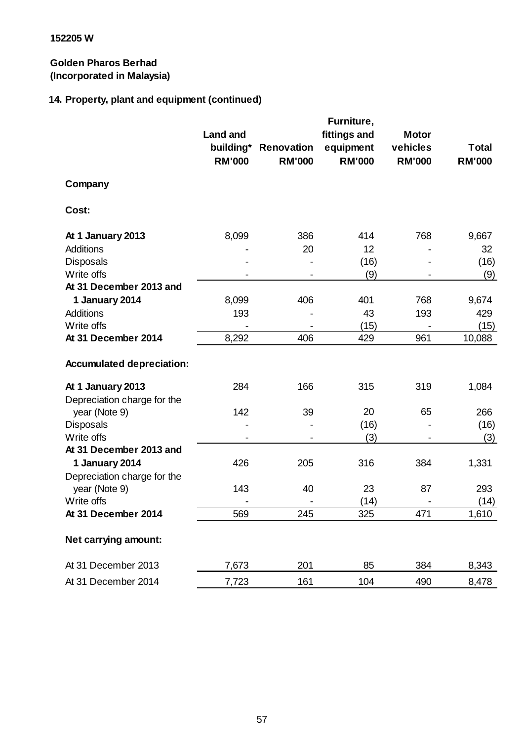# **14. Property, plant and equipment (continued)**

| <b>Total</b><br><b>RM'000</b> |
|-------------------------------|
|                               |
|                               |
| 9,667                         |
| 32                            |
| (16)                          |
| (9)                           |
|                               |
| 9,674                         |
| 429                           |
| (15)                          |
| 10,088                        |
|                               |
| 1,084                         |
|                               |
| 266                           |
| (16)                          |
| (3)                           |
|                               |
| 1,331                         |
|                               |
| 293                           |
| (14)                          |
| 1,610                         |
|                               |
|                               |
| 8,343                         |
|                               |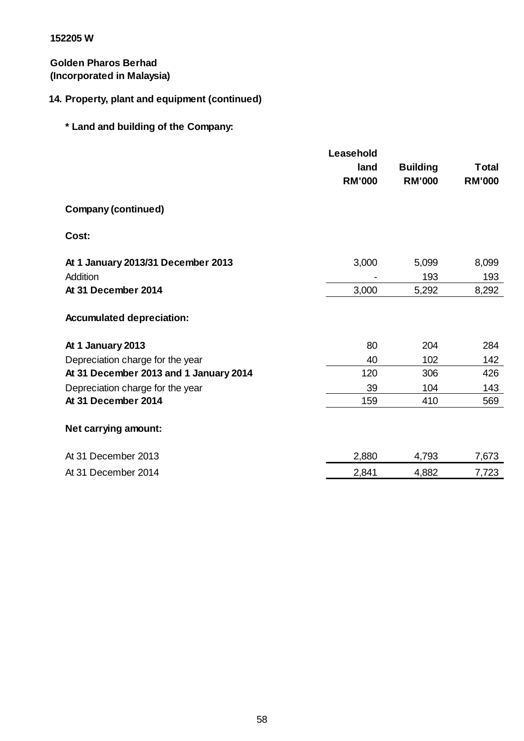# **Golden Pharos Berhad (Incorporated in Malaysia)**

# **14. Property, plant and equipment (continued)**

# **\* Land and building of the Company:**

|                                        | Leasehold<br>land<br><b>RM'000</b> | <b>Building</b><br><b>RM'000</b> | <b>Total</b><br><b>RM'000</b> |
|----------------------------------------|------------------------------------|----------------------------------|-------------------------------|
| <b>Company (continued)</b>             |                                    |                                  |                               |
| Cost:                                  |                                    |                                  |                               |
| At 1 January 2013/31 December 2013     | 3,000                              | 5,099                            | 8,099                         |
| Addition                               |                                    | 193                              | 193                           |
| At 31 December 2014                    | 3,000                              | 5,292                            | 8,292                         |
| <b>Accumulated depreciation:</b>       |                                    |                                  |                               |
| At 1 January 2013                      | 80                                 | 204                              | 284                           |
| Depreciation charge for the year       | 40                                 | 102                              | 142                           |
| At 31 December 2013 and 1 January 2014 | 120                                | 306                              | 426                           |
| Depreciation charge for the year       | 39                                 | 104                              | 143                           |
| At 31 December 2014                    | 159                                | 410                              | 569                           |
| Net carrying amount:                   |                                    |                                  |                               |
| At 31 December 2013                    | 2,880                              | 4,793                            | 7,673                         |
| At 31 December 2014                    | 2,841                              | 4,882                            | 7,723                         |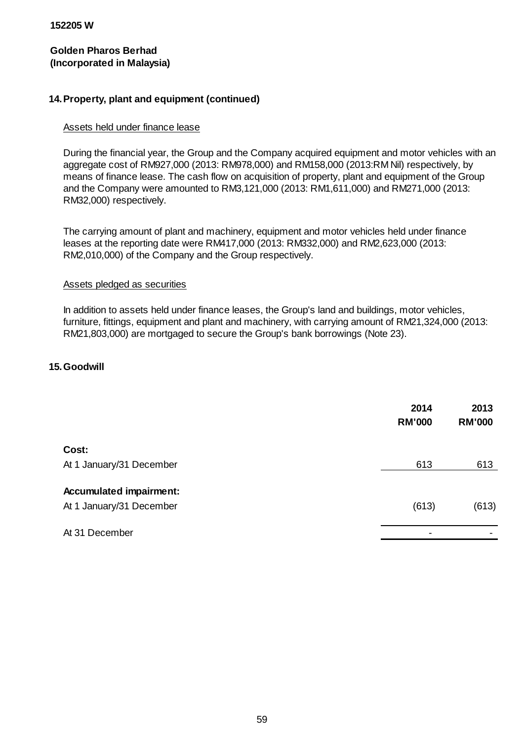# **Golden Pharos Berhad (Incorporated in Malaysia)**

# **14.Property, plant and equipment (continued)**

#### Assets held under finance lease

During the financial year, the Group and the Company acquired equipment and motor vehicles with an aggregate cost of RM927,000 (2013: RM978,000) and RM158,000 (2013:RM Nil) respectively, by means of finance lease. The cash flow on acquisition of property, plant and equipment of the Group and the Company were amounted to RM3,121,000 (2013: RM1,611,000) and RM271,000 (2013: RM32,000) respectively.

The carrying amount of plant and machinery, equipment and motor vehicles held under finance leases at the reporting date were RM417,000 (2013: RM332,000) and RM2,623,000 (2013: RM2,010,000) of the Company and the Group respectively.

#### Assets pledged as securities

In addition to assets held under finance leases, the Group's land and buildings, motor vehicles, furniture, fittings, equipment and plant and machinery, with carrying amount of RM21,324,000 (2013: RM21,803,000) are mortgaged to secure the Group's bank borrowings (Note 23).

#### **15.Goodwill**

|                                | 2014<br><b>RM'000</b> | 2013<br><b>RM'000</b> |
|--------------------------------|-----------------------|-----------------------|
| Cost:                          |                       |                       |
| At 1 January/31 December       | 613                   | 613                   |
| <b>Accumulated impairment:</b> |                       |                       |
| At 1 January/31 December       | (613)                 | (613)                 |
| At 31 December                 | ۰                     |                       |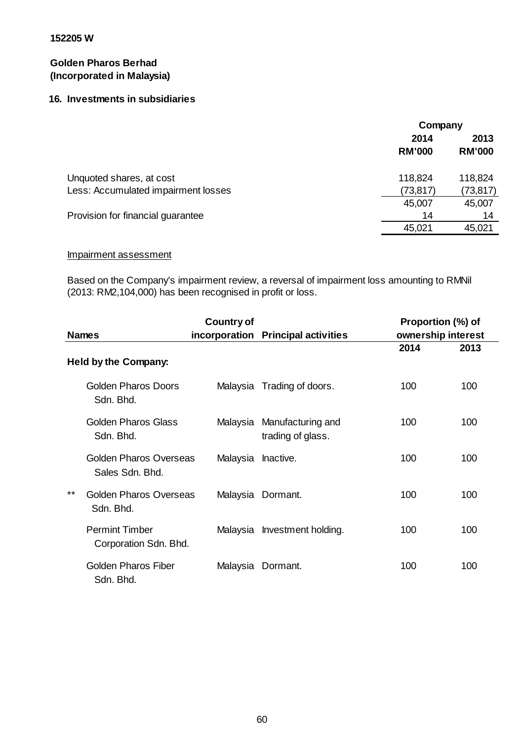# **16. Investments in subsidiaries**

|                                     | Company       |               |
|-------------------------------------|---------------|---------------|
|                                     | 2014          | 2013          |
|                                     | <b>RM'000</b> | <b>RM'000</b> |
| Unquoted shares, at cost            | 118,824       | 118,824       |
| Less: Accumulated impairment losses | (73, 817)     | (73, 817)     |
|                                     | 45,007        | 45,007        |
| Provision for financial guarantee   | 14            | 14            |
|                                     | 45,021        | 45,021        |

#### Impairment assessment

Based on the Company's impairment review, a reversal of impairment loss amounting to RMNil (2013: RM2,104,000) has been recognised in profit or loss.

|       |                                                  | <b>Country of</b>                  |                                        | Proportion (%) of  |      |
|-------|--------------------------------------------------|------------------------------------|----------------------------------------|--------------------|------|
|       | <b>Names</b>                                     | incorporation Principal activities |                                        | ownership interest |      |
|       | Held by the Company:                             |                                    |                                        | 2014               | 2013 |
|       | Golden Pharos Doors<br>Sdn. Bhd.                 |                                    | Malaysia Trading of doors.             | 100                | 100  |
|       | <b>Golden Pharos Glass</b><br>Sdn. Bhd.          | Malaysia                           | Manufacturing and<br>trading of glass. | 100                | 100  |
|       | <b>Golden Pharos Overseas</b><br>Sales Sdn. Bhd. | Malaysia                           | Inactive.                              | 100                | 100  |
| $***$ | <b>Golden Pharos Overseas</b><br>Sdn. Bhd.       | Malaysia                           | Dormant.                               | 100                | 100  |
|       | <b>Permint Timber</b><br>Corporation Sdn. Bhd.   | Malaysia                           | Investment holding.                    | 100                | 100  |
|       | <b>Golden Pharos Fiber</b><br>Sdn. Bhd.          | Malaysia                           | Dormant.                               | 100                | 100  |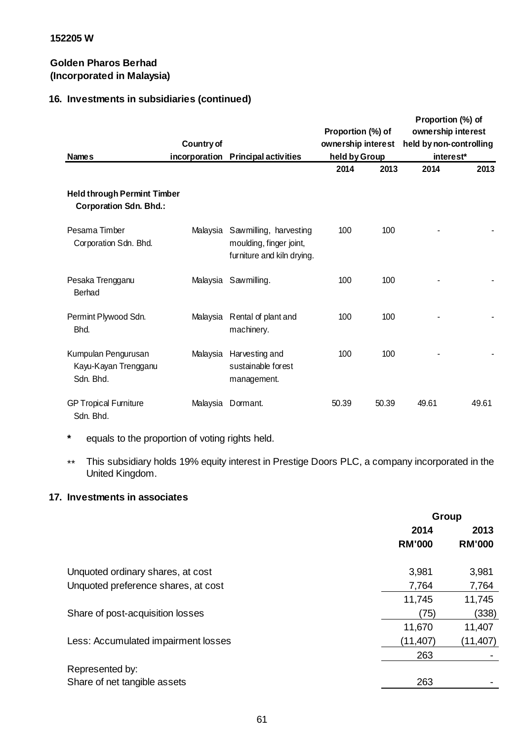# **16. Investments in subsidiaries (continued)**

|                                                                     |               |                                                                                          | Proportion (%) of  |       | Proportion (%) of<br>ownership interest |       |
|---------------------------------------------------------------------|---------------|------------------------------------------------------------------------------------------|--------------------|-------|-----------------------------------------|-------|
|                                                                     | Country of    |                                                                                          | ownership interest |       | held by non-controlling                 |       |
| <b>Names</b>                                                        | incorporation | <b>Principal activities</b>                                                              | held by Group      |       | interest*                               |       |
|                                                                     |               |                                                                                          | 2014               | 2013  | 2014                                    | 2013  |
| <b>Held through Permint Timber</b><br><b>Corporation Sdn. Bhd.:</b> |               |                                                                                          |                    |       |                                         |       |
| Pesama Timber<br>Corporation Sdn. Bhd.                              |               | Malaysia Sawmilling, harvesting<br>moulding, finger joint,<br>furniture and kiln drying. | 100                | 100   |                                         |       |
| Pesaka Trengganu<br>Berhad                                          |               | Malaysia Sawmilling.                                                                     | 100                | 100   |                                         |       |
| Permint Plywood Sdn.<br>Bhd.                                        | Malaysia      | Rental of plant and<br>machinery.                                                        | 100                | 100   |                                         |       |
| Kumpulan Pengurusan<br>Kayu-Kayan Trengganu<br>Sdn. Bhd.            | Malaysia      | Harvesting and<br>sustainable forest<br>management.                                      | 100                | 100   |                                         |       |
| <b>GP Tropical Furniture</b><br>Sdn. Bhd.                           | Malaysia      | Dormant.                                                                                 | 50.39              | 50.39 | 49.61                                   | 49.61 |

- **\*** equals to the proportion of voting rights held.
- \*\* This subsidiary holds 19% equity interest in Prestige Doors PLC, a company incorporated in the United Kingdom.

# **17. Investments in associates**

|                                     | Group         |               |
|-------------------------------------|---------------|---------------|
|                                     | 2014          | 2013          |
|                                     | <b>RM'000</b> | <b>RM'000</b> |
| Unquoted ordinary shares, at cost   | 3,981         | 3,981         |
| Unquoted preference shares, at cost | 7,764         | 7,764         |
|                                     | 11,745        | 11,745        |
| Share of post-acquisition losses    | (75)          | (338)         |
|                                     | 11,670        | 11,407        |
| Less: Accumulated impairment losses | (11, 407)     | (11, 407)     |
|                                     | 263           |               |
| Represented by:                     |               |               |
| Share of net tangible assets        | 263           |               |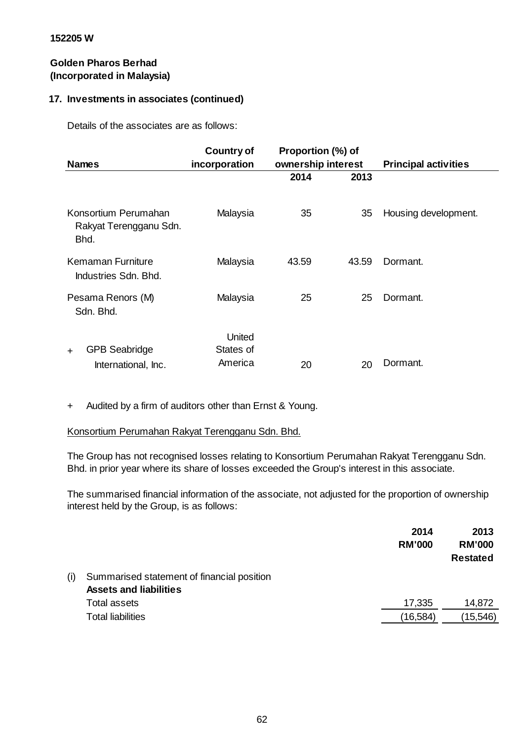# **17. Investments in associates (continued)**

Details of the associates are as follows:

| <b>Names</b>                                           | <b>Country of</b><br>incorporation | Proportion (%) of<br>ownership interest |       | <b>Principal activities</b> |
|--------------------------------------------------------|------------------------------------|-----------------------------------------|-------|-----------------------------|
|                                                        |                                    | 2014                                    | 2013  |                             |
| Konsortium Perumahan<br>Rakyat Terengganu Sdn.<br>Bhd. | Malaysia                           | 35                                      | 35    | Housing development.        |
| Kemaman Furniture<br>Industries Sdn. Bhd.              | Malaysia                           | 43.59                                   | 43.59 | Dormant.                    |
| Pesama Renors (M)<br>Sdn. Bhd.                         | Malaysia                           | 25                                      | 25    | Dormant.                    |
| <b>GPB Seabridge</b><br>$\div$<br>International, Inc.  | United<br>States of<br>America     | 20                                      | 20    | Dormant.                    |

+ Audited by a firm of auditors other than Ernst & Young.

### Konsortium Perumahan Rakyat Terengganu Sdn. Bhd.

The Group has not recognised losses relating to Konsortium Perumahan Rakyat Terengganu Sdn. Bhd. in prior year where its share of losses exceeded the Group's interest in this associate.

The summarised financial information of the associate, not adjusted for the proportion of ownership interest held by the Group, is as follows:

|     |                                                                             | 2014<br><b>RM'000</b> | 2013<br><b>RM'000</b><br><b>Restated</b> |
|-----|-----------------------------------------------------------------------------|-----------------------|------------------------------------------|
| (i) | Summarised statement of financial position<br><b>Assets and liabilities</b> |                       |                                          |
|     | Total assets                                                                | 17,335                | 14,872                                   |
|     | <b>Total liabilities</b>                                                    | (16,584)              | (15,546)                                 |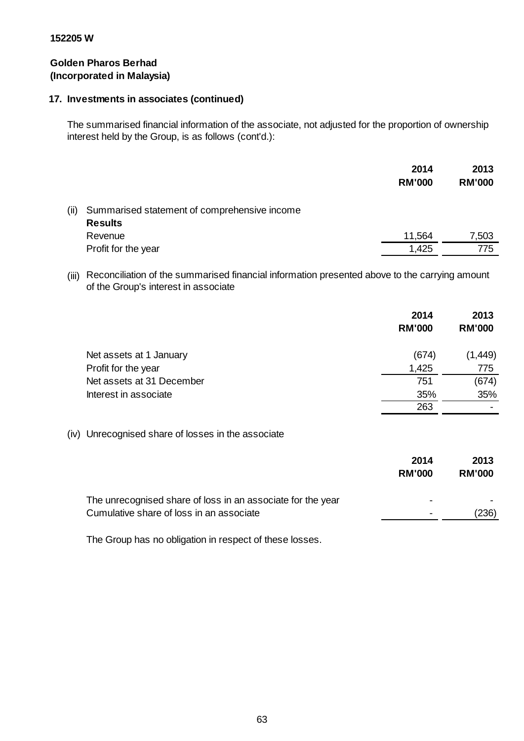### **Golden Pharos Berhad (Incorporated in Malaysia)**

### **17. Investments in associates (continued)**

The summarised financial information of the associate, not adjusted for the proportion of ownership interest held by the Group, is as follows (cont'd.):

|      |                                              | 2014          | 2013          |
|------|----------------------------------------------|---------------|---------------|
|      |                                              | <b>RM'000</b> | <b>RM'000</b> |
| (ii) | Summarised statement of comprehensive income |               |               |
|      | <b>Results</b>                               |               |               |
|      | Revenue                                      | 11,564        | 7,503         |
|      | Profit for the year                          | 1,425         | 775           |

(iii) Reconciliation of the summarised financial information presented above to the carrying amount of the Group's interest in associate

|                           | 2014<br><b>RM'000</b> | 2013<br><b>RM'000</b> |
|---------------------------|-----------------------|-----------------------|
| Net assets at 1 January   | (674)                 | (1,449)               |
| Profit for the year       | 1,425                 | 775                   |
| Net assets at 31 December | 751                   | (674)                 |
| Interest in associate     | 35%                   | 35%                   |
|                           | 263                   |                       |

### (iv) Unrecognised share of losses in the associate

|                                                             | 2014<br><b>RM'000</b> | 2013<br><b>RM'000</b> |
|-------------------------------------------------------------|-----------------------|-----------------------|
| The unrecognised share of loss in an associate for the year |                       |                       |
| Cumulative share of loss in an associate                    | ۰                     | (236)                 |

The Group has no obligation in respect of these losses.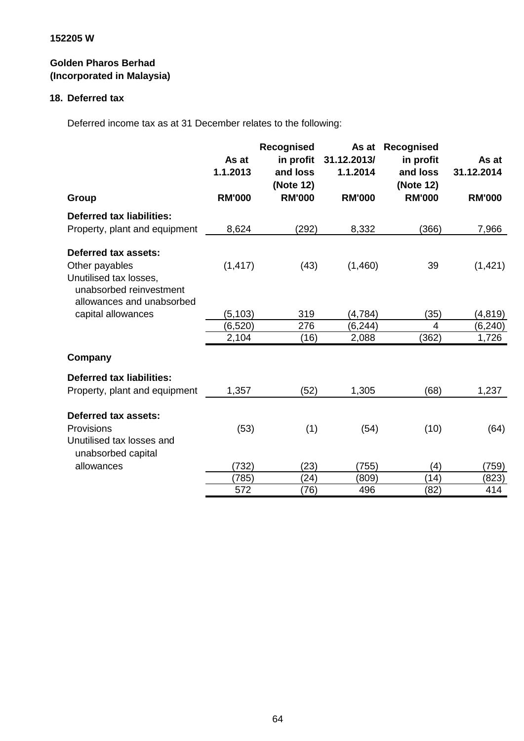# **Golden Pharos Berhad (Incorporated in Malaysia)**

# **18. Deferred tax**

Deferred income tax as at 31 December relates to the following:

|                                                   | As at<br>1.1.2013 | <b>Recognised</b><br>in profit<br>and loss | As at<br>31.12.2013/<br>1.1.2014 | Recognised<br>in profit<br>and loss | As at<br>31.12.2014 |
|---------------------------------------------------|-------------------|--------------------------------------------|----------------------------------|-------------------------------------|---------------------|
| Group                                             | <b>RM'000</b>     | (Note 12)<br><b>RM'000</b>                 | <b>RM'000</b>                    | (Note 12)<br><b>RM'000</b>          | <b>RM'000</b>       |
| <b>Deferred tax liabilities:</b>                  |                   |                                            |                                  |                                     |                     |
| Property, plant and equipment                     | 8,624             | (292)                                      | 8,332                            | (366)                               | 7,966               |
| <b>Deferred tax assets:</b>                       |                   |                                            |                                  |                                     |                     |
| Other payables                                    | (1, 417)          | (43)                                       | (1,460)                          | 39                                  | (1, 421)            |
| Unutilised tax losses,<br>unabsorbed reinvestment |                   |                                            |                                  |                                     |                     |
| allowances and unabsorbed<br>capital allowances   | (5, 103)          | 319                                        | (4, 784)                         | (35)                                | (4, 819)            |
|                                                   | (6, 520)          | 276                                        | (6, 244)                         | 4                                   | (6, 240)            |
|                                                   | 2,104             | (16)                                       | 2,088                            | (362)                               | 1,726               |
| Company                                           |                   |                                            |                                  |                                     |                     |
| <b>Deferred tax liabilities:</b>                  |                   |                                            |                                  |                                     |                     |
| Property, plant and equipment                     | 1,357             | (52)                                       | 1,305                            | (68)                                | 1,237               |
| <b>Deferred tax assets:</b>                       |                   |                                            |                                  |                                     |                     |
| Provisions                                        | (53)              | (1)                                        | (54)                             | (10)                                | (64)                |
| Unutilised tax losses and<br>unabsorbed capital   |                   |                                            |                                  |                                     |                     |
| allowances                                        | (732)             | (23)                                       | (755)                            | (4)                                 | (759)               |
|                                                   | (785)             | (24)                                       | (809)                            | (14)                                | (823)               |
|                                                   | 572               | (76)                                       | 496                              | (82)                                | 414                 |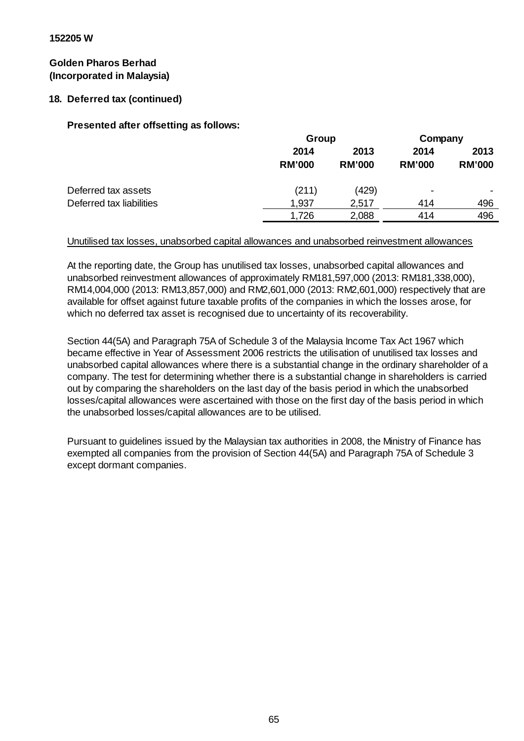# **18. Deferred tax (continued)**

### **Presented after offsetting as follows:**

|                          |                       | Group                 |                          | Company               |  |
|--------------------------|-----------------------|-----------------------|--------------------------|-----------------------|--|
|                          | 2014<br><b>RM'000</b> | 2013<br><b>RM'000</b> | 2014<br><b>RM'000</b>    | 2013<br><b>RM'000</b> |  |
| Deferred tax assets      | (211)                 | (429)                 | $\overline{\phantom{a}}$ | ۰                     |  |
| Deferred tax liabilities | 1,937                 | 2,517                 | 414                      | 496                   |  |
|                          | 1,726                 | 2,088                 | 414                      | 496                   |  |
|                          |                       |                       |                          |                       |  |

### Unutilised tax losses, unabsorbed capital allowances and unabsorbed reinvestment allowances

At the reporting date, the Group has unutilised tax losses, unabsorbed capital allowances and unabsorbed reinvestment allowances of approximately RM181,597,000 (2013: RM181,338,000), RM14,004,000 (2013: RM13,857,000) and RM2,601,000 (2013: RM2,601,000) respectively that are available for offset against future taxable profits of the companies in which the losses arose, for which no deferred tax asset is recognised due to uncertainty of its recoverability.

Section 44(5A) and Paragraph 75A of Schedule 3 of the Malaysia Income Tax Act 1967 which became effective in Year of Assessment 2006 restricts the utilisation of unutilised tax losses and unabsorbed capital allowances where there is a substantial change in the ordinary shareholder of a company. The test for determining whether there is a substantial change in shareholders is carried out by comparing the shareholders on the last day of the basis period in which the unabsorbed losses/capital allowances were ascertained with those on the first day of the basis period in which the unabsorbed losses/capital allowances are to be utilised.

Pursuant to guidelines issued by the Malaysian tax authorities in 2008, the Ministry of Finance has exempted all companies from the provision of Section 44(5A) and Paragraph 75A of Schedule 3 except dormant companies.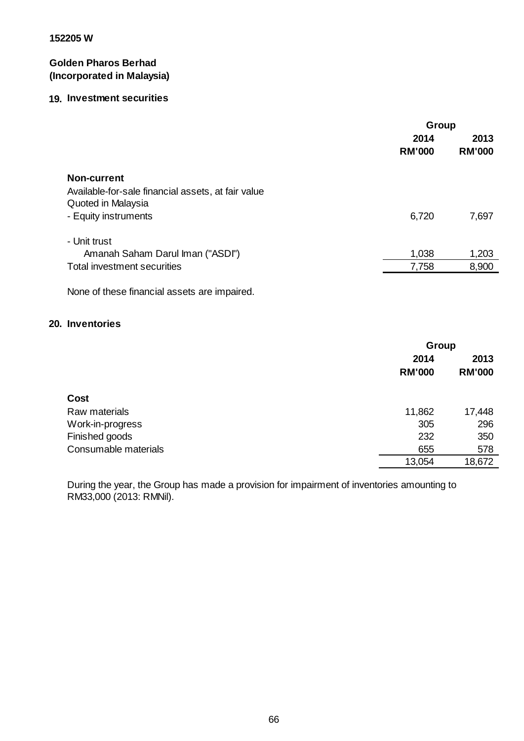# **19. Investment securities**

|                                                                                         | Group                 |                       |
|-----------------------------------------------------------------------------------------|-----------------------|-----------------------|
|                                                                                         | 2014<br><b>RM'000</b> | 2013<br><b>RM'000</b> |
| Non-current<br>Available-for-sale financial assets, at fair value<br>Quoted in Malaysia |                       |                       |
| - Equity instruments<br>- Unit trust                                                    | 6,720                 | 7,697                 |
| Amanah Saham Darul Iman ("ASDI")                                                        | 1,038                 | 1,203                 |
| Total investment securities                                                             | 7,758                 | 8,900                 |

None of these financial assets are impaired.

# **20. Inventories**

|                      |               | Group         |  |
|----------------------|---------------|---------------|--|
|                      | 2014          | 2013          |  |
|                      | <b>RM'000</b> | <b>RM'000</b> |  |
| <b>Cost</b>          |               |               |  |
| Raw materials        | 11,862        | 17,448        |  |
| Work-in-progress     | 305           | 296           |  |
| Finished goods       | 232           | 350           |  |
| Consumable materials | 655           | 578           |  |
|                      | 13,054        | 18,672        |  |

During the year, the Group has made a provision for impairment of inventories amounting to RM33,000 (2013: RMNil).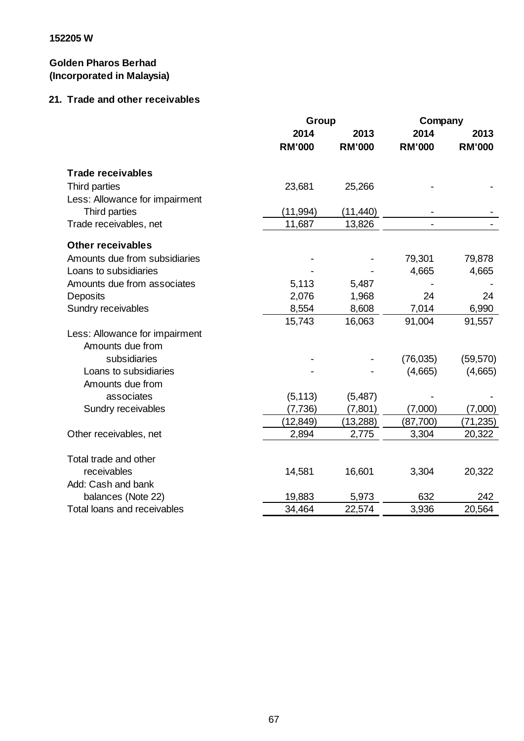# **21. Trade and other receivables**

|                                    | Group                 |                       | Company               |                       |
|------------------------------------|-----------------------|-----------------------|-----------------------|-----------------------|
|                                    | 2014<br><b>RM'000</b> | 2013<br><b>RM'000</b> | 2014<br><b>RM'000</b> | 2013<br><b>RM'000</b> |
| <b>Trade receivables</b>           |                       |                       |                       |                       |
| Third parties                      | 23,681                | 25,266                |                       |                       |
| Less: Allowance for impairment     |                       |                       |                       |                       |
| Third parties                      | (11, 994)             | (11, 440)             |                       |                       |
| Trade receivables, net             | 11,687                | 13,826                |                       |                       |
| <b>Other receivables</b>           |                       |                       |                       |                       |
| Amounts due from subsidiaries      |                       |                       | 79,301                | 79,878                |
| Loans to subsidiaries              |                       |                       | 4,665                 | 4,665                 |
| Amounts due from associates        | 5,113                 | 5,487                 |                       |                       |
| Deposits                           | 2,076                 | 1,968                 | 24                    | 24                    |
| Sundry receivables                 | 8,554                 | 8,608                 | 7,014                 | 6,990                 |
|                                    | 15,743                | 16,063                | 91,004                | 91,557                |
| Less: Allowance for impairment     |                       |                       |                       |                       |
| Amounts due from                   |                       |                       |                       |                       |
| subsidiaries                       |                       |                       | (76, 035)             | (59, 570)             |
| Loans to subsidiaries              |                       |                       | (4,665)               | (4,665)               |
| Amounts due from                   |                       |                       |                       |                       |
| associates                         | (5, 113)              | (5, 487)              |                       |                       |
| Sundry receivables                 | (7,736)               | (7, 801)              | (7,000)               | (7,000)               |
|                                    | (12, 849)             | (13, 288)             | (87,700)              | (71, 235)             |
| Other receivables, net             | 2,894                 | 2,775                 | 3,304                 | 20,322                |
| Total trade and other              |                       |                       |                       |                       |
| receivables                        | 14,581                | 16,601                | 3,304                 | 20,322                |
| Add: Cash and bank                 |                       |                       |                       |                       |
| balances (Note 22)                 | 19,883                | 5,973                 | 632                   | 242                   |
| <b>Total loans and receivables</b> | 34,464                | 22,574                | 3,936                 | 20,564                |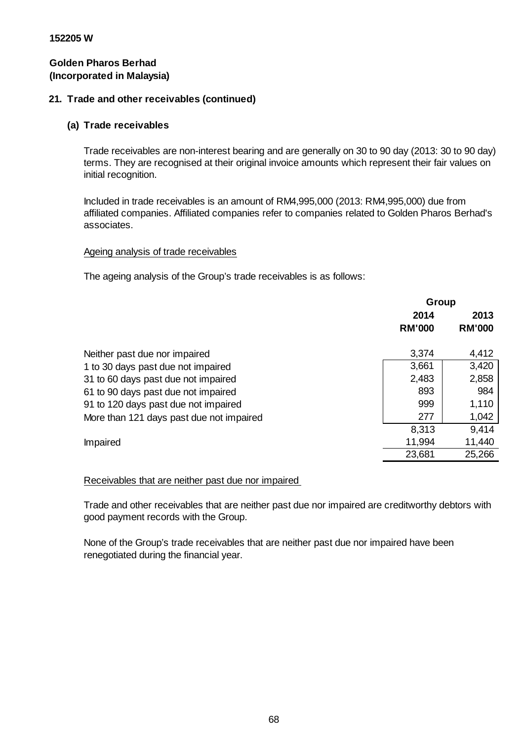# **21. Trade and other receivables (continued)**

### **(a) Trade receivables**

Trade receivables are non-interest bearing and are generally on 30 to 90 day (2013: 30 to 90 day) terms. They are recognised at their original invoice amounts which represent their fair values on initial recognition.

Included in trade receivables is an amount of RM4,995,000 (2013: RM4,995,000) due from affiliated companies. Affiliated companies refer to companies related to Golden Pharos Berhad's associates.

### Ageing analysis of trade receivables

The ageing analysis of the Group's trade receivables is as follows:

|                                          | Group         |               |
|------------------------------------------|---------------|---------------|
|                                          | 2014          | 2013          |
|                                          | <b>RM'000</b> | <b>RM'000</b> |
| Neither past due nor impaired            | 3,374         | 4,412         |
| 1 to 30 days past due not impaired       | 3,661         | 3,420         |
| 31 to 60 days past due not impaired      | 2,483         | 2,858         |
| 61 to 90 days past due not impaired      | 893           | 984           |
| 91 to 120 days past due not impaired     | 999           | 1,110         |
| More than 121 days past due not impaired | 277           | 1,042         |
|                                          | 8,313         | 9,414         |
| Impaired                                 | 11,994        | 11,440        |
|                                          | 23,681        | 25,266        |

Receivables that are neither past due nor impaired

Trade and other receivables that are neither past due nor impaired are creditworthy debtors with good payment records with the Group.

None of the Group's trade receivables that are neither past due nor impaired have been renegotiated during the financial year.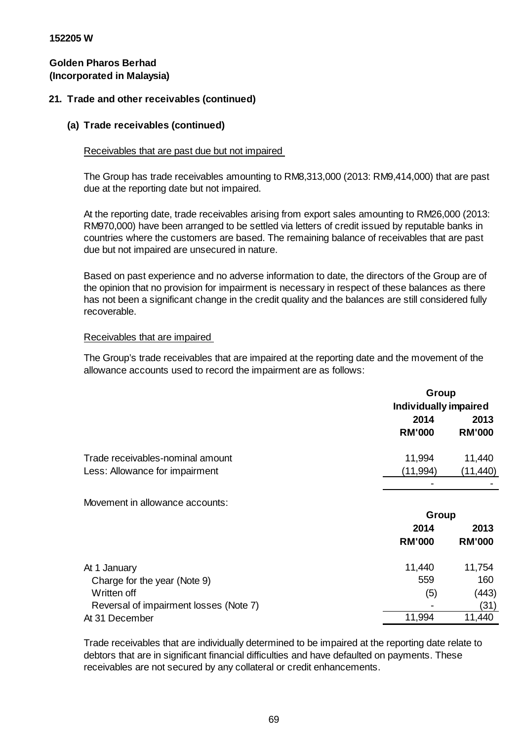# **21. Trade and other receivables (continued)**

# **(a) Trade receivables (continued)**

### Receivables that are past due but not impaired

The Group has trade receivables amounting to RM8,313,000 (2013: RM9,414,000) that are past due at the reporting date but not impaired.

At the reporting date, trade receivables arising from export sales amounting to RM26,000 (2013: RM970,000) have been arranged to be settled via letters of credit issued by reputable banks in countries where the customers are based. The remaining balance of receivables that are past due but not impaired are unsecured in nature.

Based on past experience and no adverse information to date, the directors of the Group are of the opinion that no provision for impairment is necessary in respect of these balances as there has not been a significant change in the credit quality and the balances are still considered fully recoverable.

### Receivables that are impaired

The Group's trade receivables that are impaired at the reporting date and the movement of the allowance accounts used to record the impairment are as follows:

|                                                                    | Group<br>Individually impaired |                       |
|--------------------------------------------------------------------|--------------------------------|-----------------------|
|                                                                    | 2014<br><b>RM'000</b>          | 2013<br><b>RM'000</b> |
| Trade receivables-nominal amount<br>Less: Allowance for impairment | 11,994<br>(11, 994)            | 11,440<br>(11, 440)   |
|                                                                    |                                |                       |

Movement in allowance accounts:

|                                        | Group         |               |
|----------------------------------------|---------------|---------------|
|                                        | 2014          | 2013          |
|                                        | <b>RM'000</b> | <b>RM'000</b> |
| At 1 January                           | 11,440        | 11,754        |
| Charge for the year (Note 9)           | 559           | 160           |
| Written off                            | (5)           | (443)         |
| Reversal of impairment losses (Note 7) |               | (31)          |
| At 31 December                         | 11,994        | 11,440        |

Trade receivables that are individually determined to be impaired at the reporting date relate to debtors that are in significant financial difficulties and have defaulted on payments. These receivables are not secured by any collateral or credit enhancements.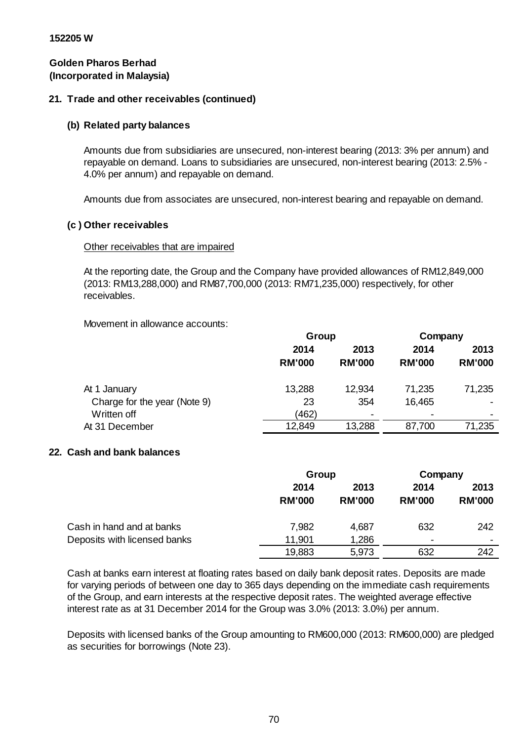# **21. Trade and other receivables (continued)**

### **(b) Related party balances**

Amounts due from subsidiaries are unsecured, non-interest bearing (2013: 3% per annum) and repayable on demand. Loans to subsidiaries are unsecured, non-interest bearing (2013: 2.5% - 4.0% per annum) and repayable on demand.

Amounts due from associates are unsecured, non-interest bearing and repayable on demand.

# **(c ) Other receivables**

### Other receivables that are impaired

At the reporting date, the Group and the Company have provided allowances of RM12,849,000 (2013: RM13,288,000) and RM87,700,000 (2013: RM71,235,000) respectively, for other receivables.

Movement in allowance accounts:

|                              | Group         |               | Company       |               |
|------------------------------|---------------|---------------|---------------|---------------|
|                              | 2014          | 2013          | 2014          | 2013          |
|                              | <b>RM'000</b> | <b>RM'000</b> | <b>RM'000</b> | <b>RM'000</b> |
| At 1 January                 | 13,288        | 12,934        | 71,235        | 71,235        |
| Charge for the year (Note 9) | 23            | 354           | 16,465        |               |
| Written off                  | (462)         | ٠             | ۰             |               |
| At 31 December               | 12,849        | 13,288        | 87,700        | 71,235        |

### **22. Cash and bank balances**

|                              | Group                 |                       | Company               |                       |
|------------------------------|-----------------------|-----------------------|-----------------------|-----------------------|
|                              | 2014<br><b>RM'000</b> | 2013<br><b>RM'000</b> | 2014<br><b>RM'000</b> | 2013<br><b>RM'000</b> |
|                              |                       |                       |                       |                       |
| Cash in hand and at banks    | 7,982                 | 4,687                 | 632                   | 242                   |
| Deposits with licensed banks | 11,901                | 1,286                 | ۰                     |                       |
|                              | 19,883                | 5,973                 | 632                   | 242                   |

Cash at banks earn interest at floating rates based on daily bank deposit rates. Deposits are made for varying periods of between one day to 365 days depending on the immediate cash requirements of the Group, and earn interests at the respective deposit rates. The weighted average effective interest rate as at 31 December 2014 for the Group was 3.0% (2013: 3.0%) per annum.

Deposits with licensed banks of the Group amounting to RM600,000 (2013: RM600,000) are pledged as securities for borrowings (Note 23).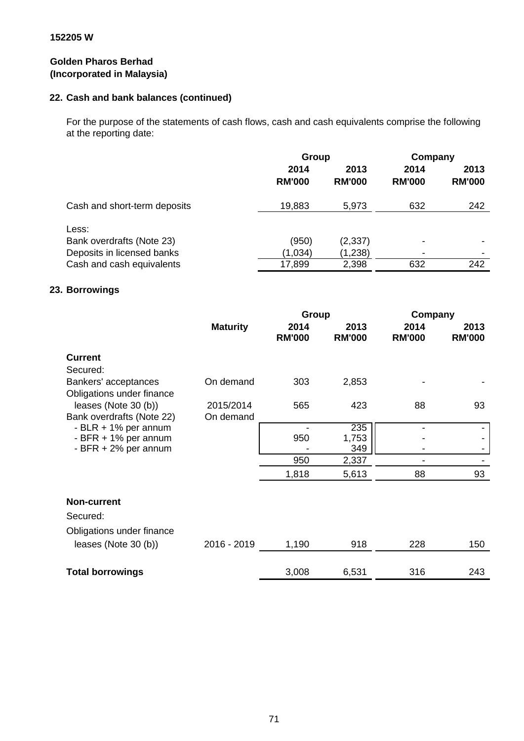# **22. Cash and bank balances (continued)**

For the purpose of the statements of cash flows, cash and cash equivalents comprise the following at the reporting date:

|                                                                  | Group                 |                       | Company                  |                       |
|------------------------------------------------------------------|-----------------------|-----------------------|--------------------------|-----------------------|
|                                                                  | 2014<br><b>RM'000</b> | 2013<br><b>RM'000</b> | 2014<br><b>RM'000</b>    | 2013<br><b>RM'000</b> |
| Cash and short-term deposits                                     | 19,883                | 5,973                 | 632                      | 242                   |
| Less:<br>Bank overdrafts (Note 23)<br>Deposits in licensed banks | (950)<br>(1,034)      | (2, 337)<br>(1,238)   | $\overline{\phantom{0}}$ |                       |
| Cash and cash equivalents                                        | 17,899                | 2,398                 | 632                      | 242                   |

## **23. Borrowings**

|                                                                      |                        | Group                 |                       | Company               |                       |
|----------------------------------------------------------------------|------------------------|-----------------------|-----------------------|-----------------------|-----------------------|
|                                                                      | <b>Maturity</b>        | 2014<br><b>RM'000</b> | 2013<br><b>RM'000</b> | 2014<br><b>RM'000</b> | 2013<br><b>RM'000</b> |
| <b>Current</b><br>Secured:                                           |                        |                       |                       |                       |                       |
| Bankers' acceptances<br>Obligations under finance                    | On demand              | 303                   | 2,853                 |                       |                       |
| leases (Note 30 (b))<br>Bank overdrafts (Note 22)                    | 2015/2014<br>On demand | 565                   | 423                   | 88                    | 93                    |
| - BLR + 1% per annum<br>- BFR + 1% per annum<br>- BFR + 2% per annum |                        | 950                   | 235<br>1,753<br>349   |                       |                       |
|                                                                      |                        | 950                   | 2,337                 |                       |                       |
|                                                                      |                        | 1,818                 | 5,613                 | 88                    | 93                    |
| <b>Non-current</b><br>Secured:                                       |                        |                       |                       |                       |                       |
| Obligations under finance<br>leases (Note 30 (b))                    | 2016 - 2019            | 1,190                 | 918                   | 228                   | 150                   |
| <b>Total borrowings</b>                                              |                        | 3,008                 | 6,531                 | 316                   | 243                   |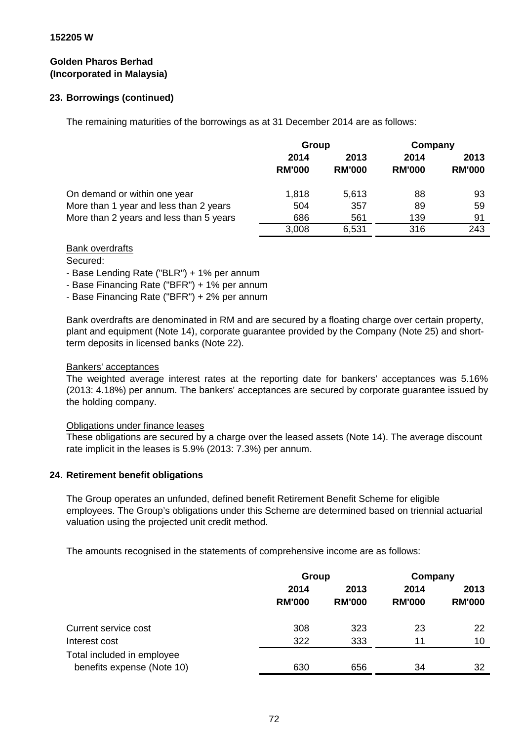## **23. Borrowings (continued)**

The remaining maturities of the borrowings as at 31 December 2014 are as follows:

|                                         | Group                 |                       | Company               |                       |
|-----------------------------------------|-----------------------|-----------------------|-----------------------|-----------------------|
|                                         | 2014<br><b>RM'000</b> | 2013<br><b>RM'000</b> | 2014<br><b>RM'000</b> | 2013<br><b>RM'000</b> |
| On demand or within one year            | 1,818                 | 5,613                 | 88                    | 93                    |
| More than 1 year and less than 2 years  | 504                   | 357                   | 89                    | 59                    |
| More than 2 years and less than 5 years | 686                   | 561                   | 139                   | 91                    |
|                                         | 3,008                 | 6,531                 | 316                   | 243                   |

## Bank overdrafts

Secured:

- Base Lending Rate ("BLR") + 1% per annum

- Base Financing Rate ("BFR") + 1% per annum

- Base Financing Rate ("BFR") + 2% per annum

Bank overdrafts are denominated in RM and are secured by a floating charge over certain property, plant and equipment (Note 14), corporate guarantee provided by the Company (Note 25) and shortterm deposits in licensed banks (Note 22).

#### Bankers' acceptances

The weighted average interest rates at the reporting date for bankers' acceptances was 5.16% (2013: 4.18%) per annum. The bankers' acceptances are secured by corporate guarantee issued by the holding company.

#### Obligations under finance leases

These obligations are secured by a charge over the leased assets (Note 14). The average discount rate implicit in the leases is 5.9% (2013: 7.3%) per annum.

#### **24. Retirement benefit obligations**

The Group operates an unfunded, defined benefit Retirement Benefit Scheme for eligible employees. The Group's obligations under this Scheme are determined based on triennial actuarial valuation using the projected unit credit method.

The amounts recognised in the statements of comprehensive income are as follows:

|                                                          | Group         |               | Company       |               |      |
|----------------------------------------------------------|---------------|---------------|---------------|---------------|------|
|                                                          | 2014          | 2014<br>2013  |               |               | 2013 |
|                                                          | <b>RM'000</b> | <b>RM'000</b> | <b>RM'000</b> | <b>RM'000</b> |      |
| Current service cost                                     | 308           | 323           | 23            | 22            |      |
| Interest cost                                            | 322           | 333           | 11            | 10            |      |
| Total included in employee<br>benefits expense (Note 10) | 630           | 656           | 34            | 32            |      |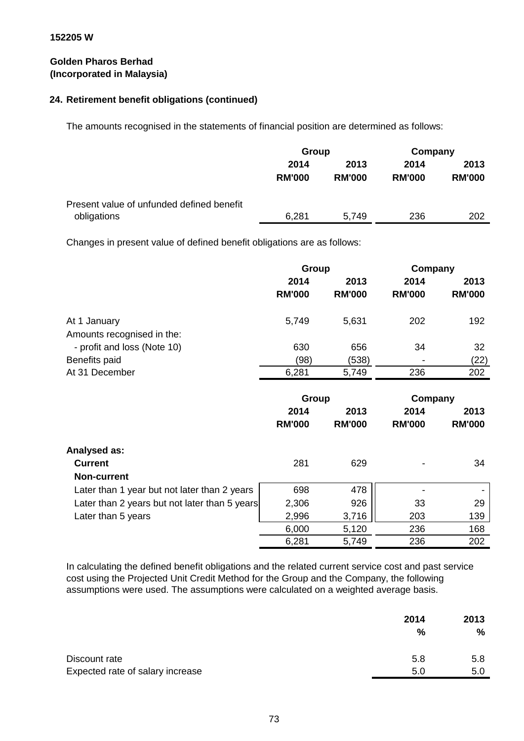# **24. Retirement benefit obligations (continued)**

The amounts recognised in the statements of financial position are determined as follows:

|                                           | Group         |               | Company       |               |
|-------------------------------------------|---------------|---------------|---------------|---------------|
|                                           | 2014          | 2014<br>2013  |               | 2013          |
|                                           | <b>RM'000</b> | <b>RM'000</b> | <b>RM'000</b> | <b>RM'000</b> |
| Present value of unfunded defined benefit |               |               |               |               |
| obligations                               | 6,281         | 5.749         | 236           | 202           |

Changes in present value of defined benefit obligations are as follows:

|                             | Group         |               | Company       |               |      |
|-----------------------------|---------------|---------------|---------------|---------------|------|
|                             | 2014          | 2013          | 2014          |               | 2013 |
|                             | <b>RM'000</b> | <b>RM'000</b> | <b>RM'000</b> | <b>RM'000</b> |      |
| At 1 January                | 5,749         | 5,631         | 202           | 192           |      |
| Amounts recognised in the:  |               |               |               |               |      |
| - profit and loss (Note 10) | 630           | 656           | 34            | 32            |      |
| Benefits paid               | (98)          | (538)         |               | (22)          |      |
| At 31 December              | 6,281         | 5,749         | 236           | 202           |      |

|                                               | Group                 |                       | Company               |                       |
|-----------------------------------------------|-----------------------|-----------------------|-----------------------|-----------------------|
|                                               | 2014<br><b>RM'000</b> | 2013<br><b>RM'000</b> | 2014<br><b>RM'000</b> | 2013<br><b>RM'000</b> |
| Analysed as:                                  |                       |                       |                       |                       |
| <b>Current</b>                                | 281                   | 629                   |                       | 34                    |
| <b>Non-current</b>                            |                       |                       |                       |                       |
| Later than 1 year but not later than 2 years  | 698                   | 478                   |                       |                       |
| Later than 2 years but not later than 5 years | 2,306                 | 926                   | 33                    | 29                    |
| Later than 5 years                            | 2,996                 | 3,716                 | 203                   | 139                   |
|                                               | 6,000                 | 5,120                 | 236                   | 168                   |
|                                               | 6,281                 | 5,749                 | 236                   | 202                   |

In calculating the defined benefit obligations and the related current service cost and past service cost using the Projected Unit Credit Method for the Group and the Company, the following assumptions were used. The assumptions were calculated on a weighted average basis.

|                                  | 2014 | 2013 |
|----------------------------------|------|------|
|                                  | %    | %    |
| Discount rate                    | 5.8  | 5.8  |
| Expected rate of salary increase | 5.0  | 5.0  |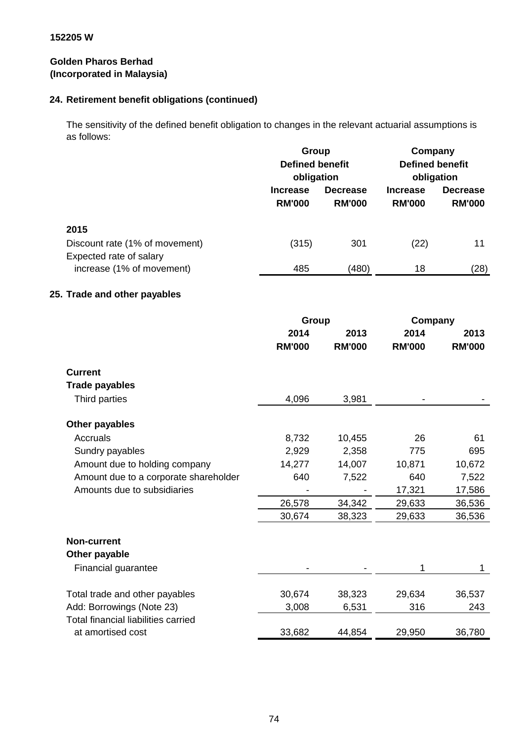# **24. Retirement benefit obligations (continued)**

The sensitivity of the defined benefit obligation to changes in the relevant actuarial assumptions is as follows:

|                                                                   | Group<br><b>Defined benefit</b><br>obligation |                                  | Company<br><b>Defined benefit</b><br>obligation |                                  |
|-------------------------------------------------------------------|-----------------------------------------------|----------------------------------|-------------------------------------------------|----------------------------------|
|                                                                   | <b>Increase</b><br><b>RM'000</b>              | <b>Decrease</b><br><b>RM'000</b> | <b>Increase</b><br><b>RM'000</b>                | <b>Decrease</b><br><b>RM'000</b> |
| 2015<br>Discount rate (1% of movement)<br>Expected rate of salary | (315)                                         | 301                              | (22)                                            | 11                               |
| increase (1% of movement)                                         | 485                                           | (480)                            | 18                                              | (28)                             |

# **25. Trade and other payables**

|                                            | Group                 |                       | Company               |                       |
|--------------------------------------------|-----------------------|-----------------------|-----------------------|-----------------------|
|                                            | 2014<br><b>RM'000</b> | 2013<br><b>RM'000</b> | 2014<br><b>RM'000</b> | 2013<br><b>RM'000</b> |
| <b>Current</b>                             |                       |                       |                       |                       |
| <b>Trade payables</b>                      |                       |                       |                       |                       |
| Third parties                              | 4,096                 | 3,981                 |                       |                       |
| Other payables                             |                       |                       |                       |                       |
| Accruals                                   | 8,732                 | 10,455                | 26                    | 61                    |
| Sundry payables                            | 2,929                 | 2,358                 | 775                   | 695                   |
| Amount due to holding company              | 14,277                | 14,007                | 10,871                | 10,672                |
| Amount due to a corporate shareholder      | 640                   | 7,522                 | 640                   | 7,522                 |
| Amounts due to subsidiaries                |                       |                       | 17,321                | 17,586                |
|                                            | 26,578                | 34,342                | 29,633                | 36,536                |
|                                            | 30,674                | 38,323                | 29,633                | 36,536                |
| <b>Non-current</b>                         |                       |                       |                       |                       |
| Other payable                              |                       |                       |                       |                       |
| Financial guarantee                        |                       |                       |                       | 1                     |
| Total trade and other payables             | 30,674                | 38,323                | 29,634                | 36,537                |
| Add: Borrowings (Note 23)                  | 3,008                 | 6,531                 | 316                   | 243                   |
| <b>Total financial liabilities carried</b> |                       |                       |                       |                       |
| at amortised cost                          | 33,682                | 44,854                | 29,950                | 36,780                |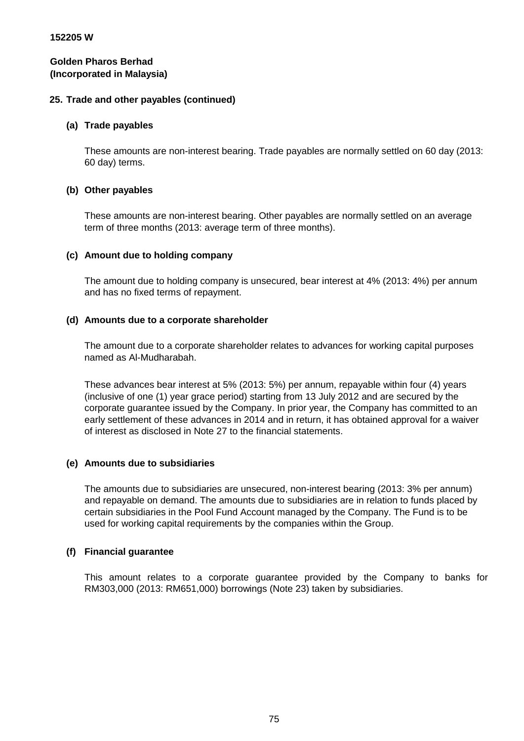## **25. Trade and other payables (continued)**

#### **(a) Trade payables**

These amounts are non-interest bearing. Trade payables are normally settled on 60 day (2013: 60 day) terms.

## **(b) Other payables**

These amounts are non-interest bearing. Other payables are normally settled on an average term of three months (2013: average term of three months).

## **(c) Amount due to holding company**

The amount due to holding company is unsecured, bear interest at 4% (2013: 4%) per annum and has no fixed terms of repayment.

## **(d) Amounts due to a corporate shareholder**

The amount due to a corporate shareholder relates to advances for working capital purposes named as Al-Mudharabah.

These advances bear interest at 5% (2013: 5%) per annum, repayable within four (4) years (inclusive of one (1) year grace period) starting from 13 July 2012 and are secured by the corporate guarantee issued by the Company. In prior year, the Company has committed to an early settlement of these advances in 2014 and in return, it has obtained approval for a waiver of interest as disclosed in Note 27 to the financial statements.

#### **(e) Amounts due to subsidiaries**

The amounts due to subsidiaries are unsecured, non-interest bearing (2013: 3% per annum) and repayable on demand. The amounts due to subsidiaries are in relation to funds placed by certain subsidiaries in the Pool Fund Account managed by the Company. The Fund is to be used for working capital requirements by the companies within the Group.

#### **(f) Financial guarantee**

This amount relates to a corporate guarantee provided by the Company to banks for RM303,000 (2013: RM651,000) borrowings (Note 23) taken by subsidiaries.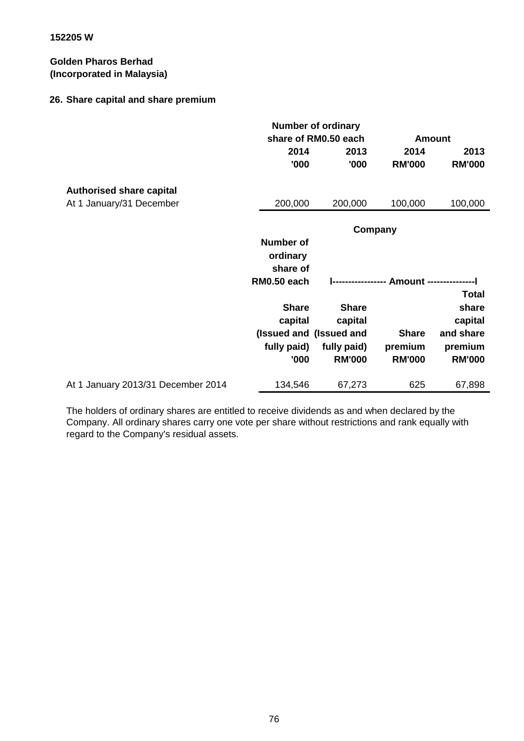## **26. Share capital and share premium**

|                                    |                  | <b>Number of ordinary</b> |               |               |
|------------------------------------|------------------|---------------------------|---------------|---------------|
|                                    |                  | share of RM0.50 each      |               | <b>Amount</b> |
|                                    | 2014             | 2013                      | 2014          | 2013          |
|                                    | '000             | '000                      | <b>RM'000</b> | <b>RM'000</b> |
| <b>Authorised share capital</b>    |                  |                           |               |               |
| At 1 January/31 December           | 200,000          | 200,000                   | 100,000       | 100,000       |
|                                    |                  |                           | Company       |               |
|                                    | <b>Number of</b> |                           |               |               |
|                                    | ordinary         |                           |               |               |
|                                    | share of         |                           |               |               |
|                                    | RM0.50 each      |                           |               |               |
|                                    |                  |                           |               | <b>Total</b>  |
|                                    | <b>Share</b>     | <b>Share</b>              |               | share         |
|                                    |                  |                           |               |               |
|                                    | capital          | capital                   |               | capital       |
|                                    |                  | (Issued and (Issued and   | <b>Share</b>  | and share     |
|                                    | fully paid)      | fully paid)               | premium       | premium       |
|                                    | '000             | <b>RM'000</b>             | <b>RM'000</b> | <b>RM'000</b> |
| At 1 January 2013/31 December 2014 | 134,546          | 67,273                    | 625           | 67,898        |

The holders of ordinary shares are entitled to receive dividends as and when declared by the Company. All ordinary shares carry one vote per share without restrictions and rank equally with regard to the Company's residual assets.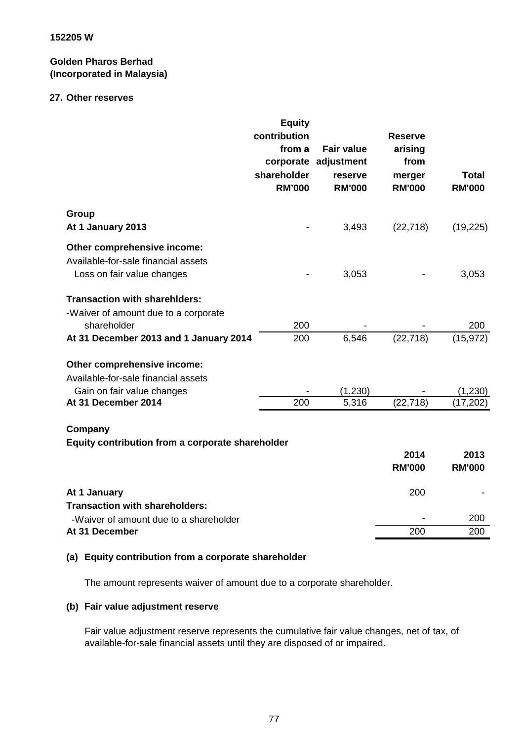#### **27. Other reserves**

|                                                                                                  | <b>Equity</b><br>contribution<br>from a<br>shareholder<br><b>RM'000</b> | <b>Fair value</b><br>corporate adjustment<br>reserve<br><b>RM'000</b> | <b>Reserve</b><br>arising<br>from<br>merger<br><b>RM'000</b> | <b>Total</b><br><b>RM'000</b>      |
|--------------------------------------------------------------------------------------------------|-------------------------------------------------------------------------|-----------------------------------------------------------------------|--------------------------------------------------------------|------------------------------------|
| Group<br>At 1 January 2013                                                                       |                                                                         | 3,493                                                                 | (22, 718)                                                    | (19, 225)                          |
| Other comprehensive income:<br>Available-for-sale financial assets<br>Loss on fair value changes |                                                                         | 3,053                                                                 |                                                              | 3,053                              |
| <b>Transaction with sharehlders:</b><br>-Waiver of amount due to a corporate                     |                                                                         |                                                                       |                                                              |                                    |
| shareholder                                                                                      | 200                                                                     |                                                                       |                                                              | 200                                |
| At 31 December 2013 and 1 January 2014                                                           | 200                                                                     | 6,546                                                                 | (22, 718)                                                    | (15, 972)                          |
| Other comprehensive income:<br>Available-for-sale financial assets                               |                                                                         |                                                                       |                                                              |                                    |
| Gain on fair value changes<br>At 31 December 2014                                                | 200                                                                     | (1, 230)                                                              |                                                              | (1, 230)                           |
| Company<br>Equity contribution from a corporate shareholder                                      |                                                                         | 5,316                                                                 | (22, 718)<br>2014<br><b>RM'000</b>                           | (17, 202)<br>2013<br><b>RM'000</b> |
| At 1 January                                                                                     |                                                                         |                                                                       | 200                                                          |                                    |
| <b>Transaction with shareholders:</b><br>-Waiver of amount due to a shareholder                  |                                                                         |                                                                       |                                                              | 200                                |
| At 31 December                                                                                   |                                                                         |                                                                       | 200                                                          | 200                                |

## **(a) Equity contribution from a corporate shareholder**

The amount represents waiver of amount due to a corporate shareholder.

#### **(b) Fair value adjustment reserve**

Fair value adjustment reserve represents the cumulative fair value changes, net of tax, of available-for-sale financial assets until they are disposed of or impaired.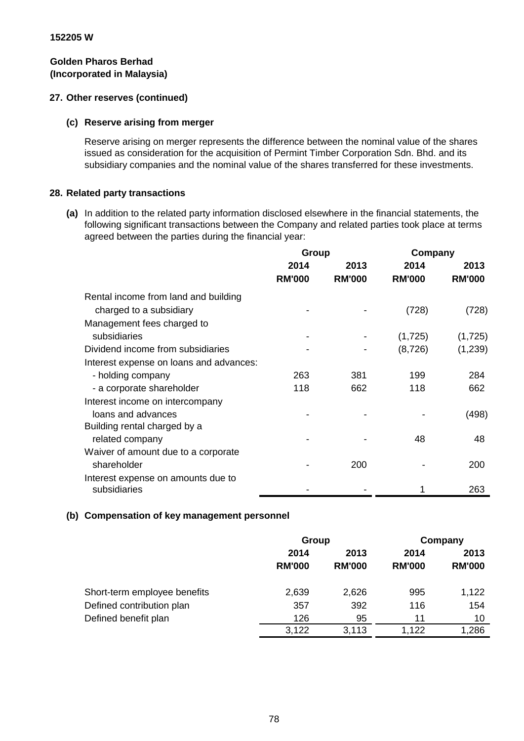## **27. Other reserves (continued)**

## **(c) Reserve arising from merger**

Reserve arising on merger represents the difference between the nominal value of the shares issued as consideration for the acquisition of Permint Timber Corporation Sdn. Bhd. and its subsidiary companies and the nominal value of the shares transferred for these investments.

#### **28. Related party transactions**

(a) In addition to the related party information disclosed elsewhere in the financial statements, the following significant transactions between the Company and related parties took place at terms agreed between the parties during the financial year:

|                                         | Group                 |                       | Company               |                       |
|-----------------------------------------|-----------------------|-----------------------|-----------------------|-----------------------|
|                                         | 2014<br><b>RM'000</b> | 2013<br><b>RM'000</b> | 2014<br><b>RM'000</b> | 2013<br><b>RM'000</b> |
| Rental income from land and building    |                       |                       |                       |                       |
| charged to a subsidiary                 |                       |                       | (728)                 | (728)                 |
| Management fees charged to              |                       |                       |                       |                       |
| subsidiaries                            |                       |                       | (1,725)               | (1,725)               |
| Dividend income from subsidiaries       |                       |                       | (8, 726)              | (1,239)               |
| Interest expense on loans and advances: |                       |                       |                       |                       |
| - holding company                       | 263                   | 381                   | 199                   | 284                   |
| - a corporate shareholder               | 118                   | 662                   | 118                   | 662                   |
| Interest income on intercompany         |                       |                       |                       |                       |
| loans and advances                      |                       |                       |                       | (498)                 |
| Building rental charged by a            |                       |                       |                       |                       |
| related company                         |                       |                       | 48                    | 48                    |
| Waiver of amount due to a corporate     |                       |                       |                       |                       |
| shareholder                             |                       | 200                   |                       | 200                   |
| Interest expense on amounts due to      |                       |                       |                       |                       |
| subsidiaries                            |                       |                       |                       | 263                   |

#### **(b) Compensation of key management personnel**

|                              | Group                 |                       | Company               |                       |
|------------------------------|-----------------------|-----------------------|-----------------------|-----------------------|
|                              | 2014<br><b>RM'000</b> | 2013<br><b>RM'000</b> | 2014<br><b>RM'000</b> | 2013<br><b>RM'000</b> |
| Short-term employee benefits | 2,639                 | 2,626                 | 995                   | 1,122                 |
| Defined contribution plan    | 357                   | 392                   | 116                   | 154                   |
| Defined benefit plan         | 126                   | 95                    | 11                    | 10                    |
|                              | 3,122                 | 3,113                 | 1.122                 | 1,286                 |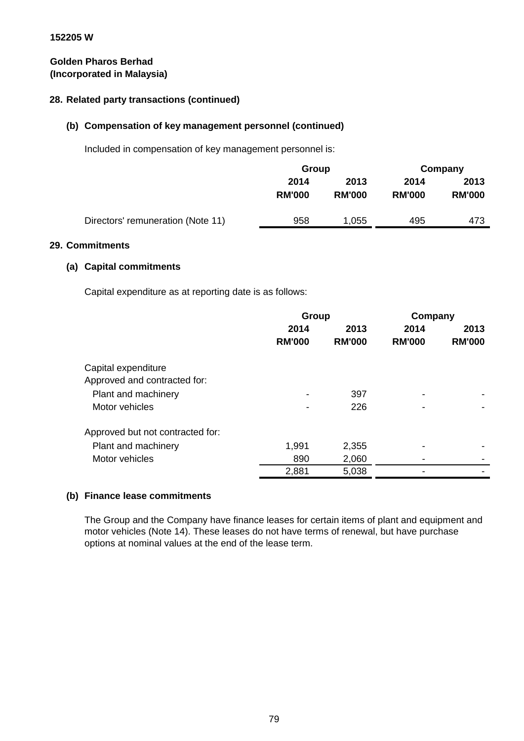#### **152205 W**

#### **Golden Pharos Berhad (Incorporated in Malaysia)**

## **28. Related party transactions (continued)**

## **(b) Compensation of key management personnel (continued)**

Included in compensation of key management personnel is:

|                                   | Group         |               | Company       |               |      |
|-----------------------------------|---------------|---------------|---------------|---------------|------|
|                                   | 2014          | 2013          | 2014          |               | 2013 |
|                                   | <b>RM'000</b> | <b>RM'000</b> | <b>RM'000</b> | <b>RM'000</b> |      |
|                                   |               |               |               |               |      |
| Directors' remuneration (Note 11) | 958           | 1,055         | 495           | 473           |      |

## **29. Commitments**

## **(a) Capital commitments**

Capital expenditure as at reporting date is as follows:

|                                  | Group         |               | Company       |               |
|----------------------------------|---------------|---------------|---------------|---------------|
|                                  | 2014          | 2013          | 2014          | 2013          |
|                                  | <b>RM'000</b> | <b>RM'000</b> | <b>RM'000</b> | <b>RM'000</b> |
| Capital expenditure              |               |               |               |               |
| Approved and contracted for:     |               |               |               |               |
| Plant and machinery              |               | 397           |               |               |
| Motor vehicles                   |               | 226           |               |               |
| Approved but not contracted for: |               |               |               |               |
| Plant and machinery              | 1,991         | 2,355         |               |               |
| Motor vehicles                   | 890           | 2,060         |               |               |
|                                  | 2,881         | 5,038         |               |               |

## **(b) Finance lease commitments**

The Group and the Company have finance leases for certain items of plant and equipment and motor vehicles (Note 14). These leases do not have terms of renewal, but have purchase options at nominal values at the end of the lease term.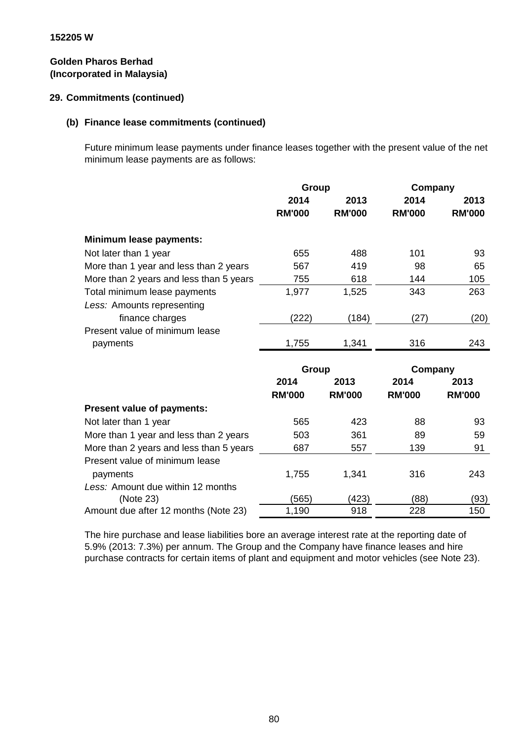## **29. Commitments (continued)**

## **(b) Finance lease commitments (continued)**

*Less:* Amount due within 12 months

Future minimum lease payments under finance leases together with the present value of the net minimum lease payments are as follows:

|                                         | Group                 |                       |                       | Company               |  |
|-----------------------------------------|-----------------------|-----------------------|-----------------------|-----------------------|--|
|                                         | 2014                  | 2013                  | 2014                  | 2013                  |  |
|                                         | <b>RM'000</b>         | <b>RM'000</b>         | <b>RM'000</b>         | <b>RM'000</b>         |  |
| Minimum lease payments:                 |                       |                       |                       |                       |  |
| Not later than 1 year                   | 655                   | 488                   | 101                   | 93                    |  |
| More than 1 year and less than 2 years  | 567                   | 419                   | 98                    | 65                    |  |
| More than 2 years and less than 5 years | 755                   | 618                   | 144                   | 105                   |  |
| Total minimum lease payments            | 1,977                 | 1,525                 | 343                   | 263                   |  |
| Less: Amounts representing              |                       |                       |                       |                       |  |
| finance charges                         | (222)                 | (184)                 | (27)                  | (20)                  |  |
| Present value of minimum lease          |                       |                       |                       |                       |  |
| payments                                | 1,755                 | 1,341                 | 316                   | 243                   |  |
|                                         | Group                 |                       | Company               |                       |  |
|                                         | 2014<br><b>RM'000</b> | 2013<br><b>RM'000</b> | 2014<br><b>RM'000</b> | 2013<br><b>RM'000</b> |  |
| <b>Present value of payments:</b>       |                       |                       |                       |                       |  |
| Not later than 1 year                   | 565                   | 423                   | 88                    | 93                    |  |
| More than 1 year and less than 2 years  | 503                   | 361                   | 89                    | 59                    |  |
| More than 2 years and less than 5 years | 687                   | 557                   | 139                   | 91                    |  |
| Present value of minimum lease          |                       |                       |                       |                       |  |
| payments                                | 1,755                 | 1,341                 | 316                   | 243                   |  |

The hire purchase and lease liabilities bore an average interest rate at the reporting date of 5.9% (2013: 7.3%) per annum. The Group and the Company have finance leases and hire purchase contracts for certain items of plant and equipment and motor vehicles (see Note 23).

Amount due after 12 months (Note 23)  $\overline{1,190}$  918 228 150

(Note 23) (565) (423) (88) (93)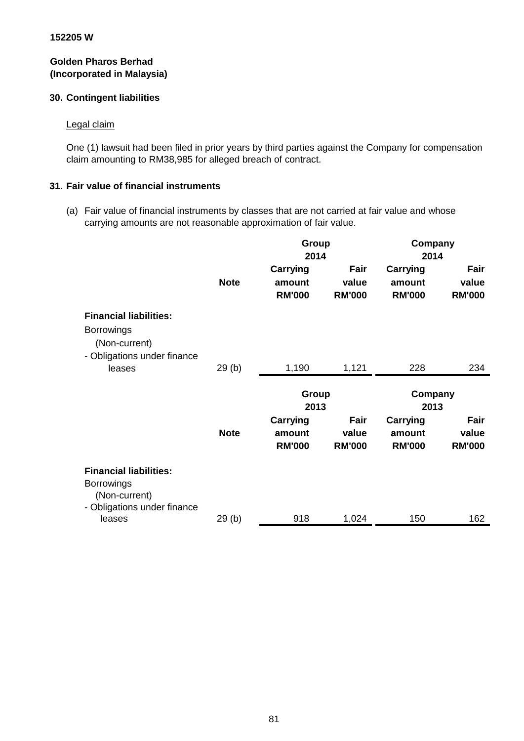## **30. Contingent liabilities**

#### Legal claim

One (1) lawsuit had been filed in prior years by third parties against the Company for compensation claim amounting to RM38,985 for alleged breach of contract.

# **31. Fair value of financial instruments**

Fair value of financial instruments by classes that are not carried at fair value and whose (a) carrying amounts are not reasonable approximation of fair value.

|                                                                                                    |             | Group                                              |                                | Company                                            |                                |
|----------------------------------------------------------------------------------------------------|-------------|----------------------------------------------------|--------------------------------|----------------------------------------------------|--------------------------------|
|                                                                                                    | <b>Note</b> | 2014<br><b>Carrying</b><br>amount<br><b>RM'000</b> | Fair<br>value<br><b>RM'000</b> | 2014<br><b>Carrying</b><br>amount<br><b>RM'000</b> | Fair<br>value<br><b>RM'000</b> |
| <b>Financial liabilities:</b><br><b>Borrowings</b><br>(Non-current)<br>- Obligations under finance |             |                                                    |                                |                                                    |                                |
| leases                                                                                             | 29(b)       | 1,190                                              | 1,121                          | 228                                                | 234                            |
|                                                                                                    |             | Group<br>2013                                      |                                | Company<br>2013                                    |                                |
|                                                                                                    | <b>Note</b> | <b>Carrying</b><br>amount<br><b>RM'000</b>         | Fair<br>value<br><b>RM'000</b> | <b>Carrying</b><br>amount<br><b>RM'000</b>         | Fair<br>value<br><b>RM'000</b> |
| <b>Financial liabilities:</b><br><b>Borrowings</b><br>(Non-current)<br>- Obligations under finance |             |                                                    |                                |                                                    |                                |
| leases                                                                                             | 29(b)       | 918                                                | 1,024                          | 150                                                | 162                            |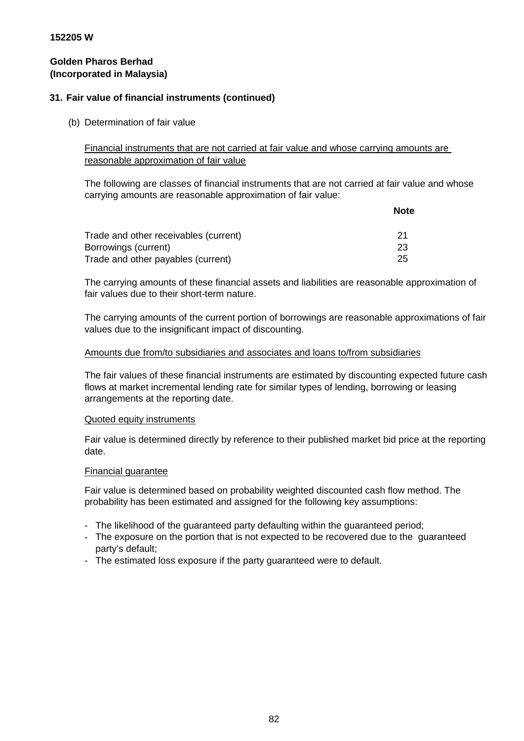## **31. Fair value of financial instruments (continued)**

(b) Determination of fair value

## Financial instruments that are not carried at fair value and whose carrying amounts are reasonable approximation of fair value

The following are classes of financial instruments that are not carried at fair value and whose carrying amounts are reasonable approximation of fair value:

 **Note**

|                                       | .  |
|---------------------------------------|----|
| Trade and other receivables (current) |    |
| Borrowings (current)                  | 23 |
| Trade and other payables (current)    | 25 |

The carrying amounts of these financial assets and liabilities are reasonable approximation of fair values due to their short-term nature.

The carrying amounts of the current portion of borrowings are reasonable approximations of fair values due to the insignificant impact of discounting.

#### Amounts due from/to subsidiaries and associates and loans to/from subsidiaries

The fair values of these financial instruments are estimated by discounting expected future cash flows at market incremental lending rate for similar types of lending, borrowing or leasing arrangements at the reporting date.

#### Quoted equity instruments

Fair value is determined directly by reference to their published market bid price at the reporting date.

#### Financial guarantee

Fair value is determined based on probability weighted discounted cash flow method. The probability has been estimated and assigned for the following key assumptions:

- The likelihood of the guaranteed party defaulting within the guaranteed period;
- The exposure on the portion that is not expected to be recovered due to the guaranteed party's default;
- The estimated loss exposure if the party guaranteed were to default.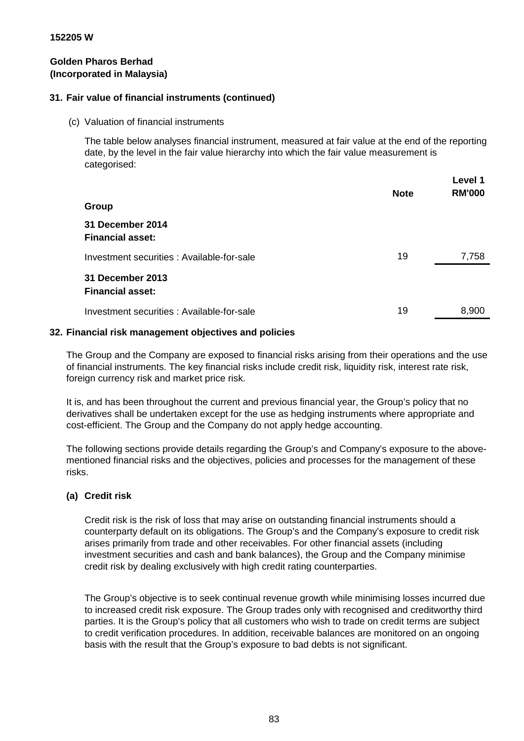## **31. Fair value of financial instruments (continued)**

(c) Valuation of financial instruments

The table below analyses financial instrument, measured at fair value at the end of the reporting date, by the level in the fair value hierarchy into which the fair value measurement is categorised:

|                                             | <b>Note</b> | Level 1<br><b>RM'000</b> |
|---------------------------------------------|-------------|--------------------------|
| Group                                       |             |                          |
| 31 December 2014<br><b>Financial asset:</b> |             |                          |
| Investment securities: Available-for-sale   | 19          | 7,758                    |
| 31 December 2013<br><b>Financial asset:</b> |             |                          |
| Investment securities: Available-for-sale   | 19          | 8,900                    |

## **32. Financial risk management objectives and policies**

The Group and the Company are exposed to financial risks arising from their operations and the use of financial instruments. The key financial risks include credit risk, liquidity risk, interest rate risk, foreign currency risk and market price risk.

It is, and has been throughout the current and previous financial year, the Group's policy that no derivatives shall be undertaken except for the use as hedging instruments where appropriate and cost-efficient. The Group and the Company do not apply hedge accounting.

The following sections provide details regarding the Group's and Company's exposure to the abovementioned financial risks and the objectives, policies and processes for the management of these risks.

#### **(a) Credit risk**

Credit risk is the risk of loss that may arise on outstanding financial instruments should a counterparty default on its obligations. The Group's and the Company's exposure to credit risk arises primarily from trade and other receivables. For other financial assets (including investment securities and cash and bank balances), the Group and the Company minimise credit risk by dealing exclusively with high credit rating counterparties.

The Group's objective is to seek continual revenue growth while minimising losses incurred due to increased credit risk exposure. The Group trades only with recognised and creditworthy third parties. It is the Group's policy that all customers who wish to trade on credit terms are subject to credit verification procedures. In addition, receivable balances are monitored on an ongoing basis with the result that the Group's exposure to bad debts is not significant.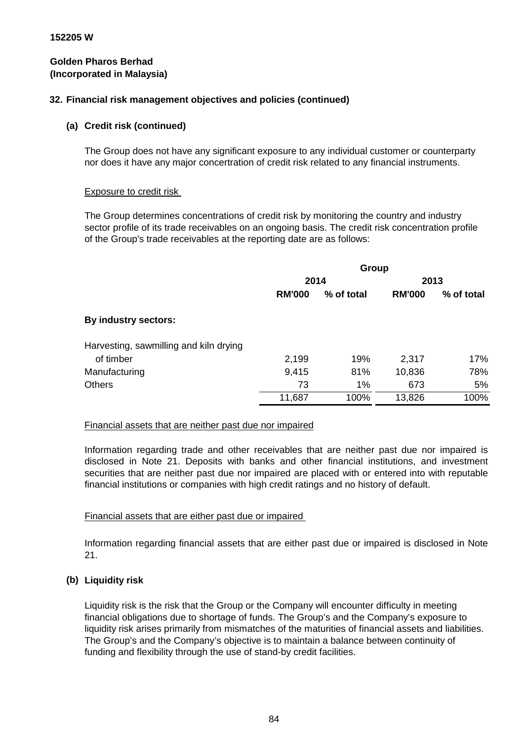## **32. Financial risk management objectives and policies (continued)**

#### **(a) Credit risk (continued)**

The Group does not have any significant exposure to any individual customer or counterparty nor does it have any major concertration of credit risk related to any financial instruments.

#### Exposure to credit risk

The Group determines concentrations of credit risk by monitoring the country and industry sector profile of its trade receivables on an ongoing basis. The credit risk concentration profile of the Group's trade receivables at the reporting date are as follows:

|                                        | Group         |            |               |            |  |
|----------------------------------------|---------------|------------|---------------|------------|--|
|                                        | 2014          |            |               | 2013       |  |
|                                        | <b>RM'000</b> | % of total | <b>RM'000</b> | % of total |  |
| By industry sectors:                   |               |            |               |            |  |
| Harvesting, sawmilling and kiln drying |               |            |               |            |  |
| of timber                              | 2,199         | 19%        | 2,317         | 17%        |  |
| Manufacturing                          | 9,415         | 81%        | 10,836        | 78%        |  |
| <b>Others</b>                          | 73            | 1%         | 673           | 5%         |  |
|                                        | 11,687        | 100%       | 13,826        | 100%       |  |
|                                        |               |            |               |            |  |

#### Financial assets that are neither past due nor impaired

Information regarding trade and other receivables that are neither past due nor impaired is disclosed in Note 21. Deposits with banks and other financial institutions, and investment securities that are neither past due nor impaired are placed with or entered into with reputable financial institutions or companies with high credit ratings and no history of default.

#### Financial assets that are either past due or impaired

Information regarding financial assets that are either past due or impaired is disclosed in Note 21.

#### **(b) Liquidity risk**

Liquidity risk is the risk that the Group or the Company will encounter difficulty in meeting financial obligations due to shortage of funds. The Group's and the Company's exposure to liquidity risk arises primarily from mismatches of the maturities of financial assets and liabilities. The Group's and the Company's objective is to maintain a balance between continuity of funding and flexibility through the use of stand-by credit facilities.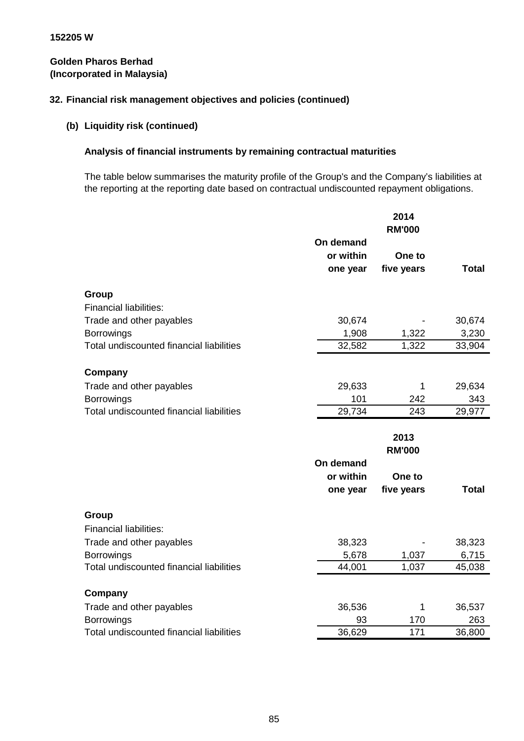## **32. Financial risk management objectives and policies (continued)**

# **(b) Liquidity risk (continued)**

# **Analysis of financial instruments by remaining contractual maturities**

The table below summarises the maturity profile of the Group's and the Company's liabilities at the reporting at the reporting date based on contractual undiscounted repayment obligations.

|                                          |           | 2014          |              |
|------------------------------------------|-----------|---------------|--------------|
|                                          | On demand | <b>RM'000</b> |              |
|                                          | or within | One to        |              |
|                                          | one year  | five years    | <b>Total</b> |
|                                          |           |               |              |
| Group                                    |           |               |              |
| <b>Financial liabilities:</b>            |           |               |              |
| Trade and other payables                 | 30,674    |               | 30,674       |
| Borrowings                               | 1,908     | 1,322         | 3,230        |
| Total undiscounted financial liabilities | 32,582    | 1,322         | 33,904       |
|                                          |           |               |              |
| Company                                  |           |               |              |
| Trade and other payables                 | 29,633    | 1             | 29,634       |
| <b>Borrowings</b>                        | 101       | 242           | 343          |
| Total undiscounted financial liabilities | 29,734    | 243           | 29,977       |
|                                          |           | 2013          |              |
|                                          |           | <b>RM'000</b> |              |
|                                          | On demand |               |              |
|                                          | or within | One to        |              |
|                                          | one year  | five years    | <b>Total</b> |
| Group                                    |           |               |              |
|                                          |           |               |              |
|                                          |           |               |              |
| <b>Financial liabilities:</b>            |           |               |              |
| Trade and other payables                 | 38,323    |               | 38,323       |
| <b>Borrowings</b>                        | 5,678     | 1,037         | 6,715        |
| Total undiscounted financial liabilities | 44,001    | 1,037         | 45,038       |
| Company                                  |           |               |              |
| Trade and other payables                 | 36,536    | 1             | 36,537       |
| <b>Borrowings</b>                        | 93        | 170           | 263          |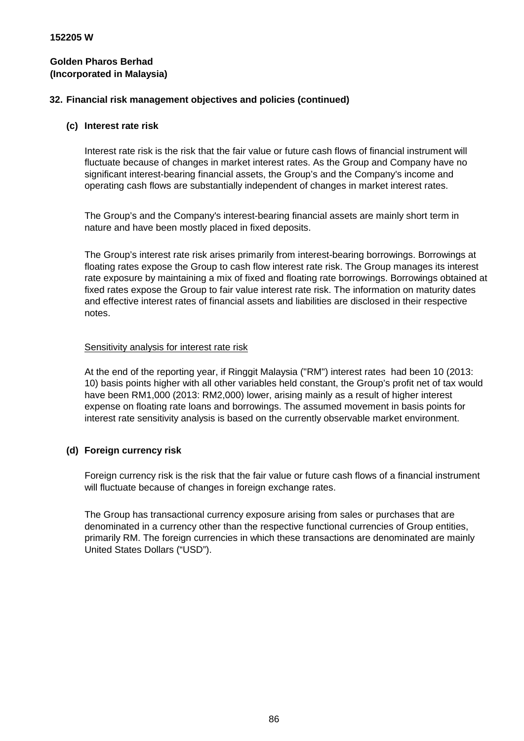## **32. Financial risk management objectives and policies (continued)**

#### **(c) Interest rate risk**

Interest rate risk is the risk that the fair value or future cash flows of financial instrument will fluctuate because of changes in market interest rates. As the Group and Company have no significant interest-bearing financial assets, the Group's and the Company's income and operating cash flows are substantially independent of changes in market interest rates.

The Group's and the Company's interest-bearing financial assets are mainly short term in nature and have been mostly placed in fixed deposits.

The Group's interest rate risk arises primarily from interest-bearing borrowings. Borrowings at floating rates expose the Group to cash flow interest rate risk. The Group manages its interest rate exposure by maintaining a mix of fixed and floating rate borrowings. Borrowings obtained at fixed rates expose the Group to fair value interest rate risk. The information on maturity dates and effective interest rates of financial assets and liabilities are disclosed in their respective notes.

#### Sensitivity analysis for interest rate risk

At the end of the reporting year, if Ringgit Malaysia ("RM") interest rates had been 10 (2013: 10) basis points higher with all other variables held constant, the Group's profit net of tax would have been RM1,000 (2013: RM2,000) lower, arising mainly as a result of higher interest expense on floating rate loans and borrowings. The assumed movement in basis points for interest rate sensitivity analysis is based on the currently observable market environment.

#### **(d) Foreign currency risk**

Foreign currency risk is the risk that the fair value or future cash flows of a financial instrument will fluctuate because of changes in foreign exchange rates.

The Group has transactional currency exposure arising from sales or purchases that are denominated in a currency other than the respective functional currencies of Group entities, primarily RM. The foreign currencies in which these transactions are denominated are mainly United States Dollars ("USD").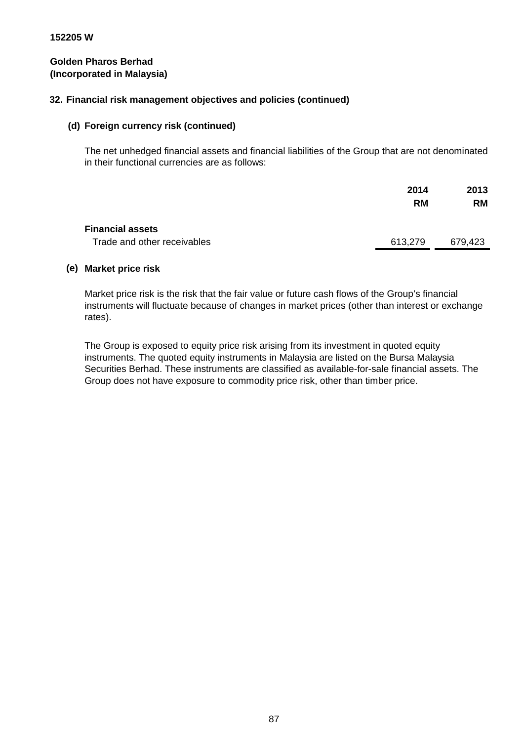## **32. Financial risk management objectives and policies (continued)**

#### **(d) Foreign currency risk (continued)**

The net unhedged financial assets and financial liabilities of the Group that are not denominated in their functional currencies are as follows:

|                             | 2014      | 2013      |
|-----------------------------|-----------|-----------|
|                             | <b>RM</b> | <b>RM</b> |
| <b>Financial assets</b>     |           |           |
| Trade and other receivables | 613,279   | 679,423   |

#### **(e) Market price risk**

Market price risk is the risk that the fair value or future cash flows of the Group's financial instruments will fluctuate because of changes in market prices (other than interest or exchange rates).

The Group is exposed to equity price risk arising from its investment in quoted equity instruments. The quoted equity instruments in Malaysia are listed on the Bursa Malaysia Securities Berhad. These instruments are classified as available-for-sale financial assets. The Group does not have exposure to commodity price risk, other than timber price.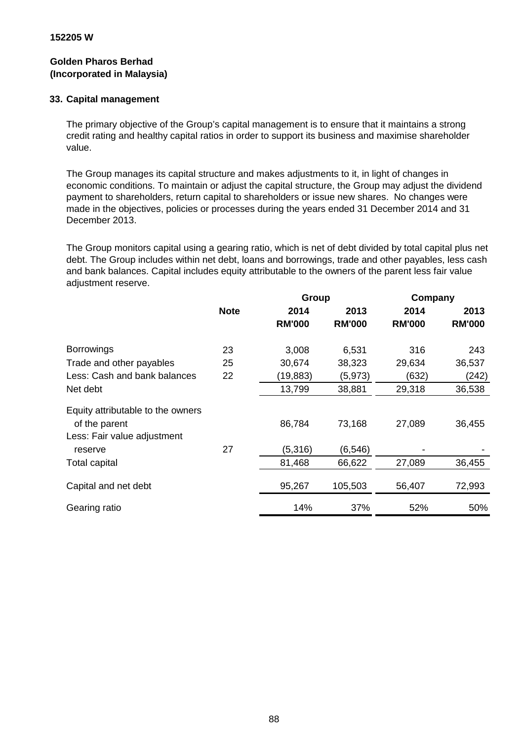#### **33. Capital management**

The primary objective of the Group's capital management is to ensure that it maintains a strong credit rating and healthy capital ratios in order to support its business and maximise shareholder value.

The Group manages its capital structure and makes adjustments to it, in light of changes in economic conditions. To maintain or adjust the capital structure, the Group may adjust the dividend payment to shareholders, return capital to shareholders or issue new shares. No changes were made in the objectives, policies or processes during the years ended 31 December 2014 and 31 December 2013.

The Group monitors capital using a gearing ratio, which is net of debt divided by total capital plus net debt. The Group includes within net debt, loans and borrowings, trade and other payables, less cash and bank balances. Capital includes equity attributable to the owners of the parent less fair value adjustment reserve.

|                                                                                   |             | Group         |               | Company       |               |
|-----------------------------------------------------------------------------------|-------------|---------------|---------------|---------------|---------------|
|                                                                                   | <b>Note</b> | 2014          | 2013          | 2014          | 2013          |
|                                                                                   |             | <b>RM'000</b> | <b>RM'000</b> | <b>RM'000</b> | <b>RM'000</b> |
| <b>Borrowings</b>                                                                 | 23          | 3,008         | 6,531         | 316           | 243           |
| Trade and other payables                                                          | 25          | 30,674        | 38,323        | 29,634        | 36,537        |
| Less: Cash and bank balances                                                      | 22          | (19, 883)     | (5,973)       | (632)         | (242)         |
| Net debt                                                                          |             | 13,799        | 38,881        | 29,318        | 36,538        |
| Equity attributable to the owners<br>of the parent<br>Less: Fair value adjustment |             | 86,784        | 73,168        | 27,089        | 36,455        |
| reserve                                                                           | 27          | (5,316)       | (6, 546)      |               |               |
| Total capital                                                                     |             | 81,468        | 66,622        | 27,089        | 36,455        |
| Capital and net debt                                                              |             | 95,267        | 105,503       | 56,407        | 72,993        |
| Gearing ratio                                                                     |             | 14%           | 37%           | 52%           | 50%           |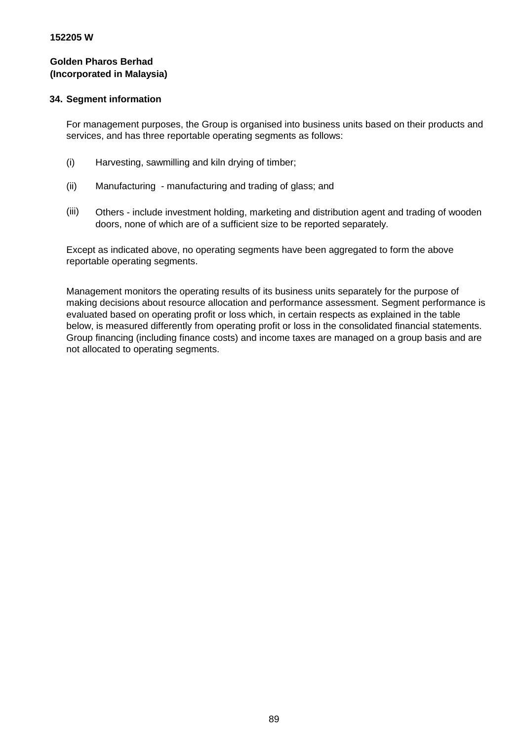#### **34. Segment information**

For management purposes, the Group is organised into business units based on their products and services, and has three reportable operating segments as follows:

- (i) Harvesting, sawmilling and kiln drying of timber;
- (ii) Manufacturing - manufacturing and trading of glass; and
- (iii) Others include investment holding, marketing and distribution agent and trading of wooden doors, none of which are of a sufficient size to be reported separately.

Except as indicated above, no operating segments have been aggregated to form the above reportable operating segments.

Management monitors the operating results of its business units separately for the purpose of making decisions about resource allocation and performance assessment. Segment performance is evaluated based on operating profit or loss which, in certain respects as explained in the table below, is measured differently from operating profit or loss in the consolidated financial statements. Group financing (including finance costs) and income taxes are managed on a group basis and are not allocated to operating segments.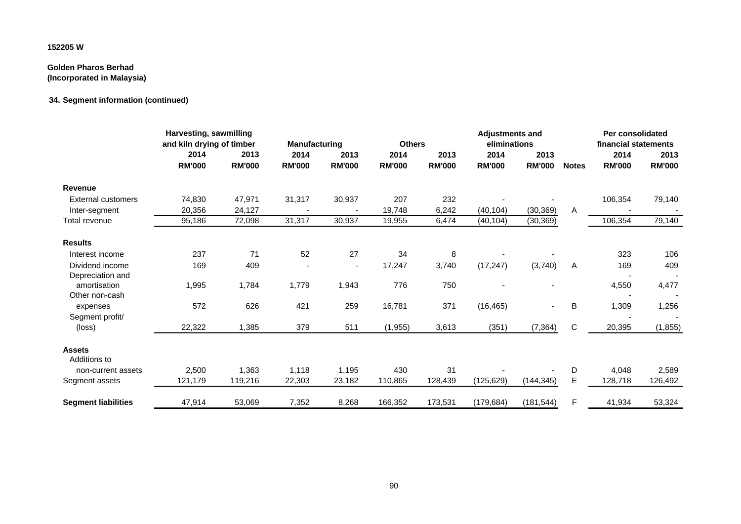#### **152205 W**

#### **Golden Pharos Berhad (Incorporated in Malaysia)**

#### **34. Segment information (continued)**

|                                     | Harvesting, sawmilling<br>and kiln drying of timber |                       | <b>Manufacturing</b>  |                       | <b>Others</b>         |                       | <b>Adjustments and</b><br>eliminations |                       |              | Per consolidated<br>financial statements |                       |
|-------------------------------------|-----------------------------------------------------|-----------------------|-----------------------|-----------------------|-----------------------|-----------------------|----------------------------------------|-----------------------|--------------|------------------------------------------|-----------------------|
|                                     | 2014<br><b>RM'000</b>                               | 2013<br><b>RM'000</b> | 2014<br><b>RM'000</b> | 2013<br><b>RM'000</b> | 2014<br><b>RM'000</b> | 2013<br><b>RM'000</b> | 2014<br><b>RM'000</b>                  | 2013<br><b>RM'000</b> | <b>Notes</b> | 2014<br><b>RM'000</b>                    | 2013<br><b>RM'000</b> |
| Revenue                             |                                                     |                       |                       |                       |                       |                       |                                        |                       |              |                                          |                       |
| <b>External customers</b>           | 74,830                                              | 47,971                | 31,317                | 30,937                | 207                   | 232                   |                                        |                       |              | 106,354                                  | 79,140                |
| Inter-segment                       | 20,356                                              | 24,127                |                       |                       | 19,748                | 6,242                 | (40, 104)                              | (30, 369)             | Α            |                                          |                       |
| Total revenue                       | 95,186                                              | 72,098                | 31,317                | 30,937                | 19,955                | 6,474                 | (40, 104)                              | (30, 369)             |              | 106,354                                  | 79,140                |
| <b>Results</b>                      |                                                     |                       |                       |                       |                       |                       |                                        |                       |              |                                          |                       |
| Interest income                     | 237                                                 | 71                    | 52                    | 27                    | 34                    | 8                     |                                        |                       |              | 323                                      | 106                   |
| Dividend income<br>Depreciation and | 169                                                 | 409                   |                       |                       | 17,247                | 3,740                 | (17, 247)                              | (3,740)               | Α            | 169                                      | 409                   |
| amortisation<br>Other non-cash      | 1,995                                               | 1,784                 | 1,779                 | 1,943                 | 776                   | 750                   |                                        |                       |              | 4,550                                    | 4,477                 |
| expenses<br>Segment profit/         | 572                                                 | 626                   | 421                   | 259                   | 16,781                | 371                   | (16, 465)                              |                       | B            | 1,309                                    | 1,256                 |
| (loss)                              | 22,322                                              | 1,385                 | 379                   | 511                   | (1, 955)              | 3,613                 | (351)                                  | (7, 364)              | C            | 20,395                                   | (1, 855)              |
| <b>Assets</b><br>Additions to       |                                                     |                       |                       |                       |                       |                       |                                        |                       |              |                                          |                       |
| non-current assets                  | 2,500                                               | 1,363                 | 1,118                 | 1,195                 | 430                   | 31                    |                                        |                       | D            | 4,048                                    | 2,589                 |
| Segment assets                      | 121,179                                             | 119,216               | 22,303                | 23,182                | 110,865               | 128,439               | (125, 629)                             | (144, 345)            | Е            | 128,718                                  | 126,492               |
| <b>Segment liabilities</b>          | 47,914                                              | 53,069                | 7,352                 | 8,268                 | 166,352               | 173,531               | (179, 684)                             | (181, 544)            | F            | 41,934                                   | 53,324                |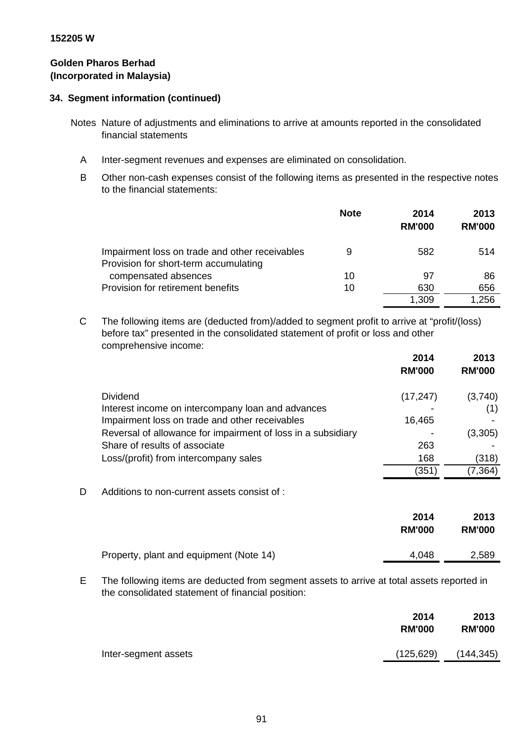## **34. Segment information (continued)**

- Notes Nature of adjustments and eliminations to arrive at amounts reported in the consolidated financial statements
	- A Inter-segment revenues and expenses are eliminated on consolidation.
	- Other non-cash expenses consist of the following items as presented in the respective notes to the financial statements: B

|                                                                                         | <b>Note</b> | 2014<br><b>RM'000</b> | 2013<br><b>RM'000</b> |
|-----------------------------------------------------------------------------------------|-------------|-----------------------|-----------------------|
| Impairment loss on trade and other receivables<br>Provision for short-term accumulating | 9           | 582                   | 514                   |
| compensated absences                                                                    | 10          | 97                    | 86                    |
| Provision for retirement benefits                                                       | 10          | 630                   | 656                   |
|                                                                                         |             | 1,309                 | 1,256                 |

The following items are (deducted from)/added to segment profit to arrive at "profit/(loss) before tax" presented in the consolidated statement of profit or loss and other comprehensive income: C

|                                                              | 2014          | 2013          |
|--------------------------------------------------------------|---------------|---------------|
|                                                              | <b>RM'000</b> | <b>RM'000</b> |
| <b>Dividend</b>                                              | (17, 247)     | (3,740)       |
| Interest income on intercompany loan and advances            |               |               |
| Impairment loss on trade and other receivables               | 16,465        |               |
| Reversal of allowance for impairment of loss in a subsidiary |               | (3,305)       |
| Share of results of associate                                | 263           |               |
| Loss/(profit) from intercompany sales                        | 168           | (318)         |
|                                                              | (351)         | (7, 364)      |

D Additions to non-current assets consist of :

|                                         | 2014<br><b>RM'000</b> | 2013<br><b>RM'000</b> |
|-----------------------------------------|-----------------------|-----------------------|
|                                         |                       |                       |
| Property, plant and equipment (Note 14) | 4,048                 | 2,589                 |

E The following items are deducted from segment assets to arrive at total assets reported in the consolidated statement of financial position:

|                      | 2014<br><b>RM'000</b> | 2013<br><b>RM'000</b> |
|----------------------|-----------------------|-----------------------|
| Inter-segment assets | (125, 629)            | (144, 345)            |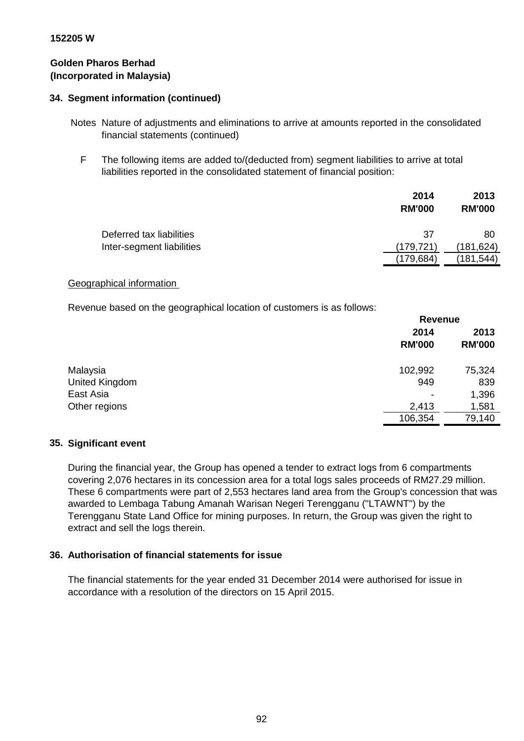## **34. Segment information (continued)**

- Notes Nature of adjustments and eliminations to arrive at amounts reported in the consolidated financial statements (continued)
	- F The following items are added to/(deducted from) segment liabilities to arrive at total liabilities reported in the consolidated statement of financial position:

|                           | 2014          | 2013          |
|---------------------------|---------------|---------------|
|                           | <b>RM'000</b> | <b>RM'000</b> |
| Deferred tax liabilities  | 37            | 80            |
| Inter-segment liabilities | (179, 721)    | (181, 624)    |
|                           | (179, 684)    | (181, 544)    |

#### Geographical information

Revenue based on the geographical location of customers is as follows:

|                |               | <b>Revenue</b> |  |  |
|----------------|---------------|----------------|--|--|
|                | 2014          | 2013           |  |  |
|                | <b>RM'000</b> | <b>RM'000</b>  |  |  |
| Malaysia       | 102,992       | 75,324         |  |  |
| United Kingdom | 949           | 839            |  |  |
| East Asia      |               | 1,396          |  |  |
| Other regions  | 2,413         | 1,581          |  |  |
|                | 106,354       | 79,140         |  |  |

#### **35. Significant event**

During the financial year, the Group has opened a tender to extract logs from 6 compartments covering 2,076 hectares in its concession area for a total logs sales proceeds of RM27.29 million. These 6 compartments were part of 2,553 hectares land area from the Group's concession that was awarded to Lembaga Tabung Amanah Warisan Negeri Terengganu ("LTAWNT") by the Terengganu State Land Office for mining purposes. In return, the Group was given the right to extract and sell the logs therein.

## **36. Authorisation of financial statements for issue**

The financial statements for the year ended 31 December 2014 were authorised for issue in accordance with a resolution of the directors on 15 April 2015.